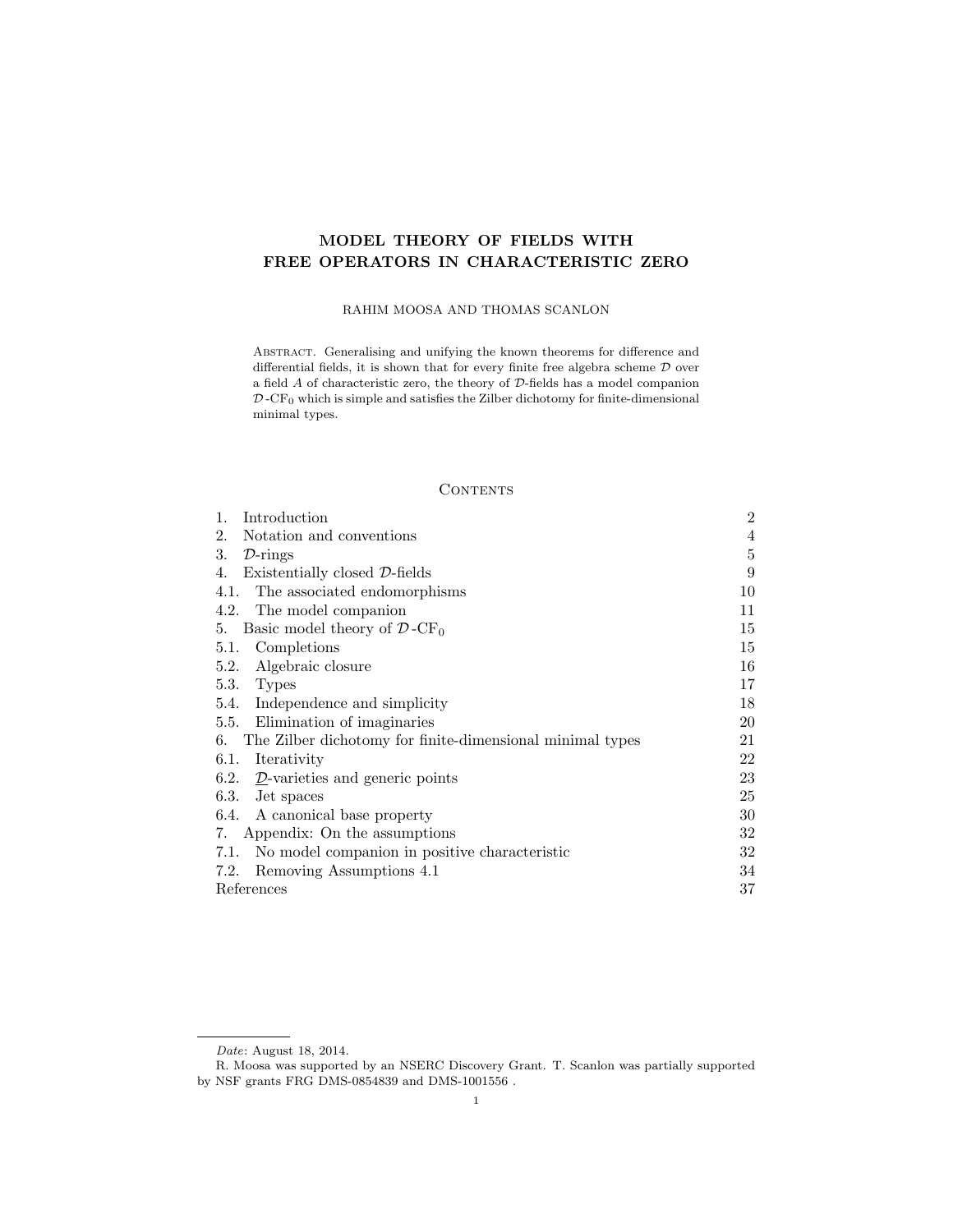# MODEL THEORY OF FIELDS WITH FREE OPERATORS IN CHARACTERISTIC ZERO

## RAHIM MOOSA AND THOMAS SCANLON

Abstract. Generalising and unifying the known theorems for difference and differential fields, it is shown that for every finite free algebra scheme  ${\mathcal D}$  over a field  $A$  of characteristic zero, the theory of  ${\mathcal D}$  -fields has a model companion  $D$ -CF<sub>0</sub> which is simple and satisfies the Zilber dichotomy for finite-dimensional minimal types.

## **CONTENTS**

| Introduction<br>1.                                              | $\overline{2}$ |
|-----------------------------------------------------------------|----------------|
| Notation and conventions<br>2.                                  | 4              |
| 3.<br>$\mathcal{D}\text{-rings}$                                | 5              |
| Existentially closed D-fields<br>4.                             | 9              |
| The associated endomorphisms<br>4.1.                            | 10             |
| 4.2. The model companion                                        | 11             |
| Basic model theory of $\mathcal{D}$ -CF <sub>0</sub><br>5.      | 15             |
| Completions<br>5.1.                                             | 15             |
| Algebraic closure<br>5.2.                                       | 16             |
| 5.3. Types                                                      | 17             |
| 5.4. Independence and simplicity                                | 18             |
| 5.5. Elimination of imaginaries                                 | 20             |
| The Zilber dichotomy for finite-dimensional minimal types<br>6. | 21             |
| Iterativity<br>6.1.                                             | 22             |
| 6.2. $\mathcal{D}$ -varieties and generic points                | 23             |
| 6.3. Jet spaces                                                 | 25             |
| 6.4. A canonical base property                                  | 30             |
| 7. Appendix: On the assumptions                                 | 32             |
| No model companion in positive characteristic<br>7.1.           | 32             |
| Removing Assumptions 4.1<br>7.2.                                | 34             |
| References                                                      | 37             |

Date: August 18, 2014.

R. Moosa was supported by an NSERC Discovery Grant. T. Scanlon was partially supported by NSF grants FRG DMS-0854839 and DMS-1001556 .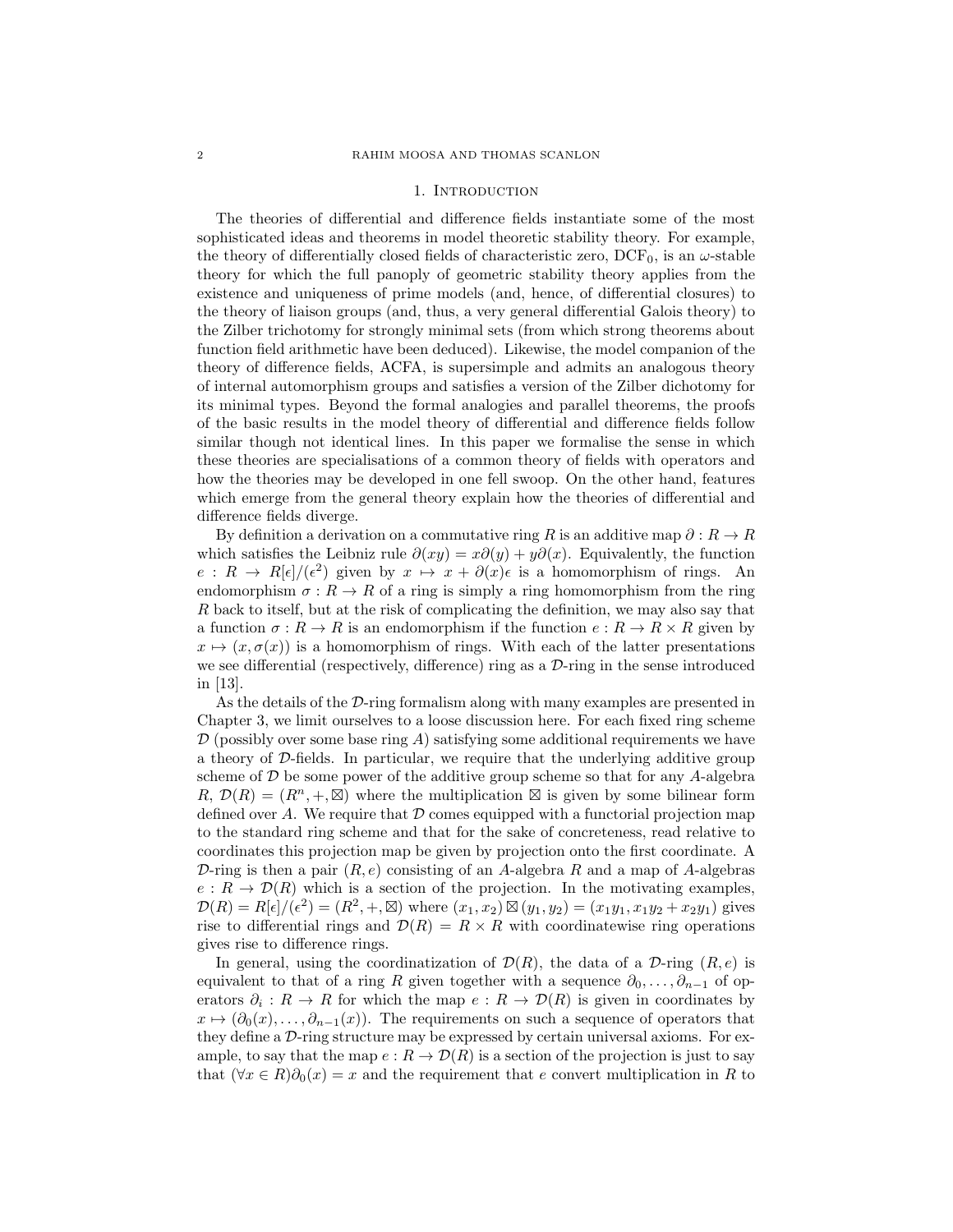#### 1. INTRODUCTION

The theories of differential and difference fields instantiate some of the most sophisticated ideas and theorems in model theoretic stability theory. For example, the theory of differentially closed fields of characteristic zero,  $DCF_0$ , is an  $\omega$ -stable theory for which the full panoply of geometric stability theory applies from the existence and uniqueness of prime models (and, hence, of differential closures) to the theory of liaison groups (and, thus, a very general differential Galois theory) to the Zilber trichotomy for strongly minimal sets (from which strong theorems about function field arithmetic have been deduced). Likewise, the model companion of the theory of difference fields, ACFA, is supersimple and admits an analogous theory of internal automorphism groups and satisfies a version of the Zilber dichotomy for its minimal types. Beyond the formal analogies and parallel theorems, the proofs of the basic results in the model theory of differential and difference fields follow similar though not identical lines. In this paper we formalise the sense in which these theories are specialisations of a common theory of fields with operators and how the theories may be developed in one fell swoop. On the other hand, features which emerge from the general theory explain how the theories of differential and difference fields diverge.

By definition a derivation on a commutative ring R is an additive map  $\partial : R \to R$ which satisfies the Leibniz rule  $\partial(xy) = x\partial(y) + y\partial(x)$ . Equivalently, the function  $e: R \to R[\epsilon]/(\epsilon^2)$  given by  $x \mapsto x + \partial(x)\epsilon$  is a homomorphism of rings. An endomorphism  $\sigma: R \to R$  of a ring is simply a ring homomorphism from the ring R back to itself, but at the risk of complicating the definition, we may also say that a function  $\sigma: R \to R$  is an endomorphism if the function  $e: R \to R \times R$  given by  $x \mapsto (x, \sigma(x))$  is a homomorphism of rings. With each of the latter presentations we see differential (respectively, difference) ring as a  $\mathcal{D}\text{-ring}$  in the sense introduced in [13].

As the details of the D-ring formalism along with many examples are presented in Chapter 3, we limit ourselves to a loose discussion here. For each fixed ring scheme  $\mathcal D$  (possibly over some base ring A) satisfying some additional requirements we have a theory of D-fields. In particular, we require that the underlying additive group scheme of  $D$  be some power of the additive group scheme so that for any A-algebra  $R, \mathcal{D}(R) = (R^n, +, \boxtimes)$  where the multiplication  $\boxtimes$  is given by some bilinear form defined over  $A$ . We require that  $D$  comes equipped with a functorial projection map to the standard ring scheme and that for the sake of concreteness, read relative to coordinates this projection map be given by projection onto the first coordinate. A D-ring is then a pair  $(R, e)$  consisting of an A-algebra R and a map of A-algebras  $e: R \to \mathcal{D}(R)$  which is a section of the projection. In the motivating examples,  $\mathcal{D}(R) = R[\epsilon]/(\epsilon^2) = (R^2, +, \boxtimes)$  where  $(x_1, x_2) \boxtimes (y_1, y_2) = (x_1y_1, x_1y_2 + x_2y_1)$  gives rise to differential rings and  $\mathcal{D}(R) = R \times R$  with coordinatewise ring operations gives rise to difference rings.

In general, using the coordinatization of  $\mathcal{D}(R)$ , the data of a  $\mathcal{D}\text{-ring}(R, e)$  is equivalent to that of a ring R given together with a sequence  $\partial_0, \ldots, \partial_{n-1}$  of operators  $\partial_i : R \to R$  for which the map  $e : R \to \mathcal{D}(R)$  is given in coordinates by  $x \mapsto (\partial_0(x), \ldots, \partial_{n-1}(x))$ . The requirements on such a sequence of operators that they define a D-ring structure may be expressed by certain universal axioms. For example, to say that the map  $e: R \to \mathcal{D}(R)$  is a section of the projection is just to say that  $(\forall x \in R)\partial_0(x) = x$  and the requirement that e convert multiplication in R to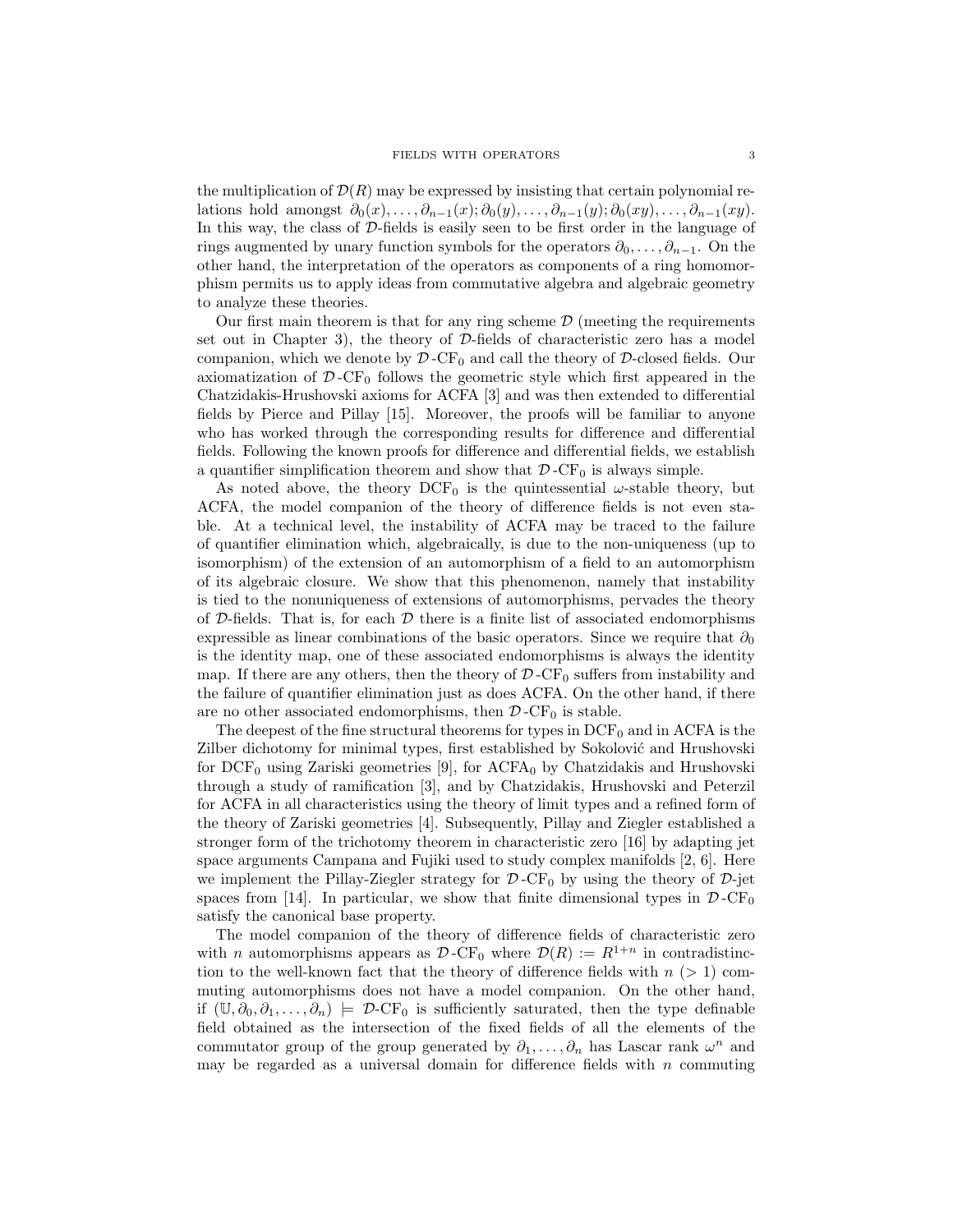the multiplication of  $\mathcal{D}(R)$  may be expressed by insisting that certain polynomial relations hold amongst  $\partial_0(x), \ldots, \partial_{n-1}(x); \partial_0(y), \ldots, \partial_{n-1}(y); \partial_0(xy), \ldots, \partial_{n-1}(xy)$ . In this way, the class of  $D$ -fields is easily seen to be first order in the language of rings augmented by unary function symbols for the operators  $\partial_0, \ldots, \partial_{n-1}$ . On the other hand, the interpretation of the operators as components of a ring homomorphism permits us to apply ideas from commutative algebra and algebraic geometry to analyze these theories.

Our first main theorem is that for any ring scheme  $\mathcal D$  (meeting the requirements set out in Chapter 3), the theory of  $D$ -fields of characteristic zero has a model companion, which we denote by  $\mathcal{D}$ -CF<sub>0</sub> and call the theory of  $\mathcal{D}$ -closed fields. Our axiomatization of  $\mathcal{D}$ -CF<sub>0</sub> follows the geometric style which first appeared in the Chatzidakis-Hrushovski axioms for ACFA [3] and was then extended to differential fields by Pierce and Pillay [15]. Moreover, the proofs will be familiar to anyone who has worked through the corresponding results for difference and differential fields. Following the known proofs for difference and differential fields, we establish a quantifier simplification theorem and show that  $\mathcal{D}$ -CF<sub>0</sub> is always simple.

As noted above, the theory  $DCF_0$  is the quintessential  $\omega$ -stable theory, but ACFA, the model companion of the theory of difference fields is not even stable. At a technical level, the instability of ACFA may be traced to the failure of quantifier elimination which, algebraically, is due to the non-uniqueness (up to isomorphism) of the extension of an automorphism of a field to an automorphism of its algebraic closure. We show that this phenomenon, namely that instability is tied to the nonuniqueness of extensions of automorphisms, pervades the theory of D-fields. That is, for each  $D$  there is a finite list of associated endomorphisms expressible as linear combinations of the basic operators. Since we require that  $\partial_0$ is the identity map, one of these associated endomorphisms is always the identity map. If there are any others, then the theory of  $\mathcal{D}$ -CF<sub>0</sub> suffers from instability and the failure of quantifier elimination just as does ACFA. On the other hand, if there are no other associated endomorphisms, then  $\mathcal{D}$ -CF<sub>0</sub> is stable.

The deepest of the fine structural theorems for types in  $DCF_0$  and in ACFA is the Zilber dichotomy for minimal types, first established by Sokolović and Hrushovski for  $DCF_0$  using Zariski geometries [9], for  $ACFA_0$  by Chatzidakis and Hrushovski through a study of ramification [3], and by Chatzidakis, Hrushovski and Peterzil for ACFA in all characteristics using the theory of limit types and a refined form of the theory of Zariski geometries [4]. Subsequently, Pillay and Ziegler established a stronger form of the trichotomy theorem in characteristic zero [16] by adapting jet space arguments Campana and Fujiki used to study complex manifolds [2, 6]. Here we implement the Pillay-Ziegler strategy for  $\mathcal{D}$ -CF<sub>0</sub> by using the theory of  $\mathcal{D}$ -jet spaces from [14]. In particular, we show that finite dimensional types in  $\mathcal{D}$ -CF<sub>0</sub> satisfy the canonical base property.

The model companion of the theory of difference fields of characteristic zero with *n* automorphisms appears as  $\mathcal{D}$ -CF<sub>0</sub> where  $\mathcal{D}(R) := R^{1+n}$  in contradistinction to the well-known fact that the theory of difference fields with  $n$  ( $> 1$ ) commuting automorphisms does not have a model companion. On the other hand, if  $(\mathbb{U}, \partial_0, \partial_1, \ldots, \partial_n) \models \mathcal{D}\text{-CF}_0$  is sufficiently saturated, then the type definable field obtained as the intersection of the fixed fields of all the elements of the commutator group of the group generated by  $\partial_1, \ldots, \partial_n$  has Lascar rank  $\omega^n$  and may be regarded as a universal domain for difference fields with  $n$  commuting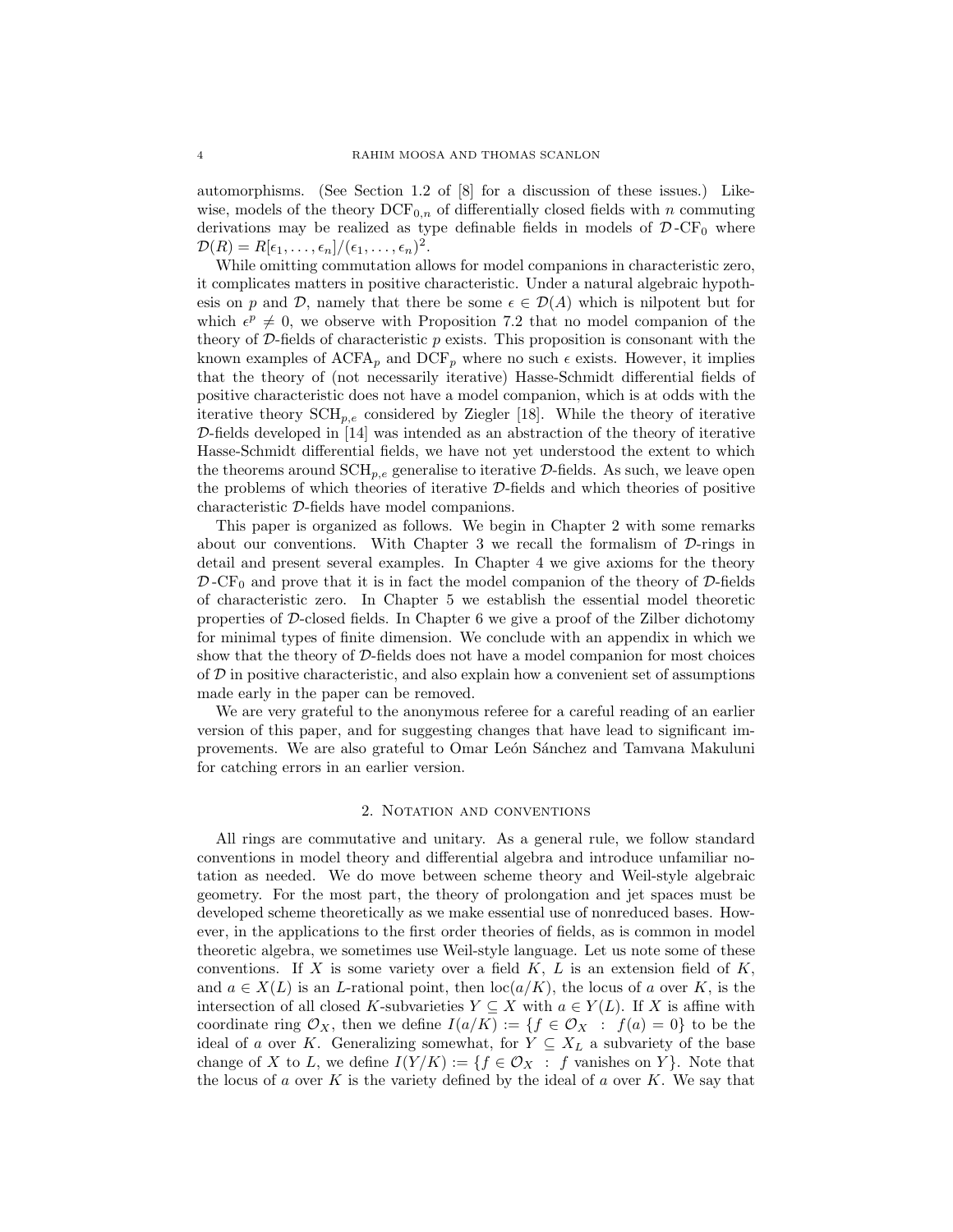automorphisms. (See Section 1.2 of [8] for a discussion of these issues.) Likewise, models of the theory  $DCF_{0,n}$  of differentially closed fields with n commuting derivations may be realized as type definable fields in models of  $\mathcal{D}$ -CF<sub>0</sub> where  $\mathcal{D}(R) = R[\epsilon_1,\ldots,\epsilon_n]/(\epsilon_1,\ldots,\epsilon_n)^2$ .

While omitting commutation allows for model companions in characteristic zero, it complicates matters in positive characteristic. Under a natural algebraic hypothesis on p and D, namely that there be some  $\epsilon \in \mathcal{D}(A)$  which is nilpotent but for which  $\epsilon^p \neq 0$ , we observe with Proposition 7.2 that no model companion of the theory of  $\mathcal{D}\text{-fields}$  of characteristic p exists. This proposition is consonant with the known examples of  $ACFA_p$  and  $DCF_p$  where no such  $\epsilon$  exists. However, it implies that the theory of (not necessarily iterative) Hasse-Schmidt differential fields of positive characteristic does not have a model companion, which is at odds with the iterative theory  $\text{SCH}_{n,e}$  considered by Ziegler [18]. While the theory of iterative D-fields developed in [14] was intended as an abstraction of the theory of iterative Hasse-Schmidt differential fields, we have not yet understood the extent to which the theorems around  $\text{SCH}_{p,e}$  generalise to iterative  $\mathcal{D}\text{-fields}$ . As such, we leave open the problems of which theories of iterative D-fields and which theories of positive characteristic D-fields have model companions.

This paper is organized as follows. We begin in Chapter 2 with some remarks about our conventions. With Chapter 3 we recall the formalism of  $D$ -rings in detail and present several examples. In Chapter 4 we give axioms for the theory  $\mathcal{D}$ -CF<sub>0</sub> and prove that it is in fact the model companion of the theory of  $\mathcal{D}$ -fields of characteristic zero. In Chapter 5 we establish the essential model theoretic properties of D-closed fields. In Chapter 6 we give a proof of the Zilber dichotomy for minimal types of finite dimension. We conclude with an appendix in which we show that the theory of D-fields does not have a model companion for most choices of  $D$  in positive characteristic, and also explain how a convenient set of assumptions made early in the paper can be removed.

We are very grateful to the anonymous referee for a careful reading of an earlier version of this paper, and for suggesting changes that have lead to significant improvements. We are also grateful to Omar León Sánchez and Tamvana Makuluni for catching errors in an earlier version.

### 2. Notation and conventions

All rings are commutative and unitary. As a general rule, we follow standard conventions in model theory and differential algebra and introduce unfamiliar notation as needed. We do move between scheme theory and Weil-style algebraic geometry. For the most part, the theory of prolongation and jet spaces must be developed scheme theoretically as we make essential use of nonreduced bases. However, in the applications to the first order theories of fields, as is common in model theoretic algebra, we sometimes use Weil-style language. Let us note some of these conventions. If X is some variety over a field  $K$ ,  $L$  is an extension field of  $K$ , and  $a \in X(L)$  is an L-rational point, then  $\text{loc}(a/K)$ , the locus of a over K, is the intersection of all closed K-subvarieties  $Y \subseteq X$  with  $a \in Y(L)$ . If X is affine with coordinate ring  $\mathcal{O}_X$ , then we define  $I(a/K) := \{f \in \mathcal{O}_X : f(a) = 0\}$  to be the ideal of a over K. Generalizing somewhat, for  $Y \subseteq X_L$  a subvariety of the base change of X to L, we define  $I(Y/K) := \{f \in \mathcal{O}_X : f \text{ vanishes on } Y\}.$  Note that the locus of a over K is the variety defined by the ideal of a over K. We say that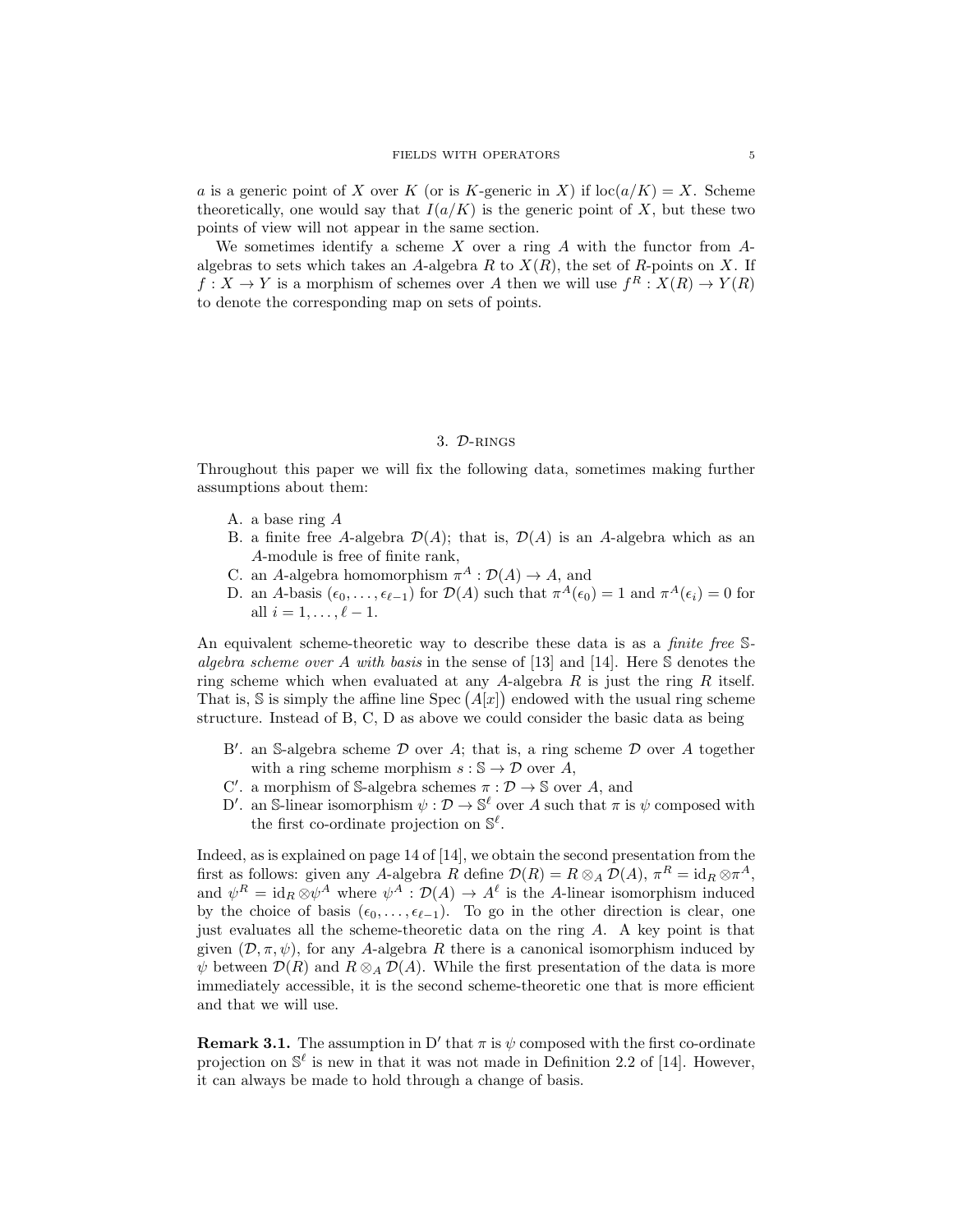a is a generic point of X over K (or is K-generic in X) if  $\text{loc}(a/K) = X$ . Scheme theoretically, one would say that  $I(a/K)$  is the generic point of X, but these two points of view will not appear in the same section.

We sometimes identify a scheme  $X$  over a ring  $A$  with the functor from  $A$ algebras to sets which takes an A-algebra R to  $X(R)$ , the set of R-points on X. If  $f: X \to Y$  is a morphism of schemes over A then we will use  $f^R: X(R) \to Y(R)$ to denote the corresponding map on sets of points.

#### 3. D-rings

Throughout this paper we will fix the following data, sometimes making further assumptions about them:

- A. a base ring A
- B. a finite free A-algebra  $\mathcal{D}(A)$ ; that is,  $\mathcal{D}(A)$  is an A-algebra which as an A-module is free of finite rank,
- C. an A-algebra homomorphism  $\pi^A : \mathcal{D}(A) \to A$ , and
- D. an A-basis  $(\epsilon_0, \ldots, \epsilon_{\ell-1})$  for  $\mathcal{D}(A)$  such that  $\pi^A(\epsilon_0) = 1$  and  $\pi^A(\epsilon_i) = 0$  for all  $i = 1, \ldots, \ell - 1$ .

An equivalent scheme-theoretic way to describe these data is as a *finite free* Salgebra scheme over A with basis in the sense of [13] and [14]. Here S denotes the ring scheme which when evaluated at any A-algebra R is just the ring R itself. That is, S is simply the affine line Spec  $(A[x])$  endowed with the usual ring scheme structure. Instead of B, C, D as above we could consider the basic data as being

- B'. an S-algebra scheme  $D$  over A; that is, a ring scheme  $D$  over A together with a ring scheme morphism  $s : \mathbb{S} \to \mathcal{D}$  over A,
- C'. a morphism of S-algebra schemes  $\pi : \mathcal{D} \to \mathbb{S}$  over A, and
- D'. an S-linear isomorphism  $\psi : \mathcal{D} \to \mathbb{S}^{\ell}$  over A such that  $\pi$  is  $\psi$  composed with the first co-ordinate projection on  $\mathbb{S}^{\ell}$ .

Indeed, as is explained on page 14 of [14], we obtain the second presentation from the first as follows: given any A-algebra R define  $\mathcal{D}(R) = R \otimes_A \mathcal{D}(A)$ ,  $\pi^R = id_R \otimes \pi^A$ , and  $\psi^R = \text{id}_R \otimes \psi^A$  where  $\psi^A : \mathcal{D}(A) \to A^\ell$  is the A-linear isomorphism induced by the choice of basis  $(\epsilon_0, \ldots, \epsilon_{\ell-1})$ . To go in the other direction is clear, one just evaluates all the scheme-theoretic data on the ring A. A key point is that given  $(\mathcal{D}, \pi, \psi)$ , for any A-algebra R there is a canonical isomorphism induced by  $\psi$  between  $\mathcal{D}(R)$  and  $R \otimes_A \mathcal{D}(A)$ . While the first presentation of the data is more immediately accessible, it is the second scheme-theoretic one that is more efficient and that we will use.

**Remark 3.1.** The assumption in D' that  $\pi$  is  $\psi$  composed with the first co-ordinate projection on  $\mathbb{S}^{\ell}$  is new in that it was not made in Definition 2.2 of [14]. However, it can always be made to hold through a change of basis.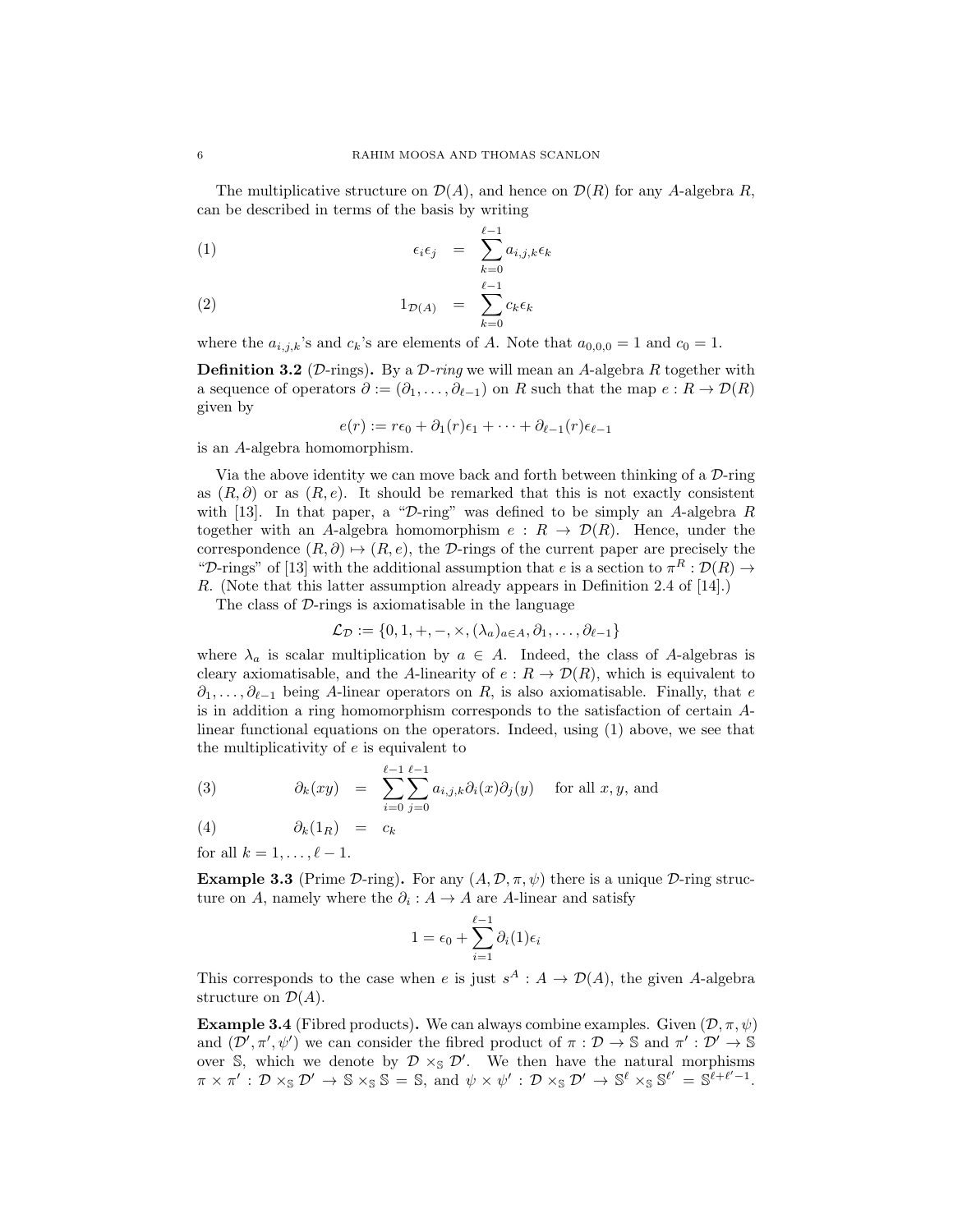The multiplicative structure on  $\mathcal{D}(A)$ , and hence on  $\mathcal{D}(R)$  for any A-algebra R, can be described in terms of the basis by writing

$$
\epsilon_i \epsilon_j = \sum_{k=0}^{\ell-1} a_{i,j,k} \epsilon_k
$$

$$
(2) \t\t\t 1_{\mathcal{D}(A)} = \sum_{k=0}^{\ell-1} c_k \epsilon_k
$$

where the  $a_{i,j,k}$ 's and  $c_k$ 's are elements of A. Note that  $a_{0,0,0} = 1$  and  $c_0 = 1$ .

**Definition 3.2** (D-rings). By a  $D$ -ring we will mean an A-algebra R together with a sequence of operators  $\partial := (\partial_1, \ldots, \partial_{\ell-1})$  on R such that the map  $e : R \to \mathcal{D}(R)$ given by

$$
e(r) := r\epsilon_0 + \partial_1(r)\epsilon_1 + \cdots + \partial_{\ell-1}(r)\epsilon_{\ell-1}
$$

is an A-algebra homomorphism.

Via the above identity we can move back and forth between thinking of a  $\mathcal{D}\text{-ring}$ as  $(R, \partial)$  or as  $(R, e)$ . It should be remarked that this is not exactly consistent with [13]. In that paper, a " $\mathcal{D}$ -ring" was defined to be simply an A-algebra R together with an A-algebra homomorphism  $e: R \to \mathcal{D}(R)$ . Hence, under the correspondence  $(R, \partial) \mapsto (R, e)$ , the D-rings of the current paper are precisely the "D-rings" of [13] with the additional assumption that e is a section to  $\pi^R : \mathcal{D}(R) \to$ R. (Note that this latter assumption already appears in Definition 2.4 of [14].)

The class of  $D$ -rings is axiomatisable in the language

$$
\mathcal{L}_{\mathcal{D}} := \{0, 1, +, -, \times, (\lambda_a)_{a \in A}, \partial_1, \dots, \partial_{\ell-1}\}
$$

where  $\lambda_a$  is scalar multiplication by  $a \in A$ . Indeed, the class of A-algebras is cleary axiomatisable, and the A-linearity of  $e: R \to \mathcal{D}(R)$ , which is equivalent to  $\partial_1, \ldots, \partial_{\ell-1}$  being A-linear operators on R, is also axiomatisable. Finally, that e is in addition a ring homomorphism corresponds to the satisfaction of certain Alinear functional equations on the operators. Indeed, using (1) above, we see that the multiplicativity of  $e$  is equivalent to

(3) 
$$
\partial_k(xy) = \sum_{i=0}^{\ell-1} \sum_{j=0}^{\ell-1} a_{i,j,k} \partial_i(x) \partial_j(y) \text{ for all } x, y, \text{ and}
$$

$$
(4) \qquad \qquad \partial_k(1_R) \quad = \quad c_k
$$

for all  $k = 1, \ldots, \ell - 1$ .

**Example 3.3** (Prime D-ring). For any  $(A, \mathcal{D}, \pi, \psi)$  there is a unique D-ring structure on A, namely where the  $\partial_i : A \to A$  are A-linear and satisfy

$$
1 = \epsilon_0 + \sum_{i=1}^{\ell-1} \partial_i(1)\epsilon_i
$$

This corresponds to the case when e is just  $s^A : A \to \mathcal{D}(A)$ , the given A-algebra structure on  $\mathcal{D}(A)$ .

**Example 3.4** (Fibred products). We can always combine examples. Given  $(\mathcal{D}, \pi, \psi)$ and  $(\mathcal{D}', \pi', \psi')$  we can consider the fibred product of  $\pi : \mathcal{D} \to \mathbb{S}$  and  $\pi' : \mathcal{D}' \to \mathbb{S}$ over  $\hat{S}$ , which we denote by  $\mathcal{D} \times_{\hat{S}} \mathcal{D}'$ . We then have the natural morphisms  $\pi \times \pi' : \mathcal{D} \times_{\mathbb{S}} \mathcal{D}' \to \mathbb{S} \times_{\mathbb{S}} \mathbb{S} = \mathbb{S}$ , and  $\psi \times \psi' : \mathcal{D} \times_{\mathbb{S}} \mathcal{D}' \to \mathbb{S}^{\ell} \times_{\mathbb{S}} \mathbb{S}^{\ell'} = \mathbb{S}^{\ell+\ell'-1}$ .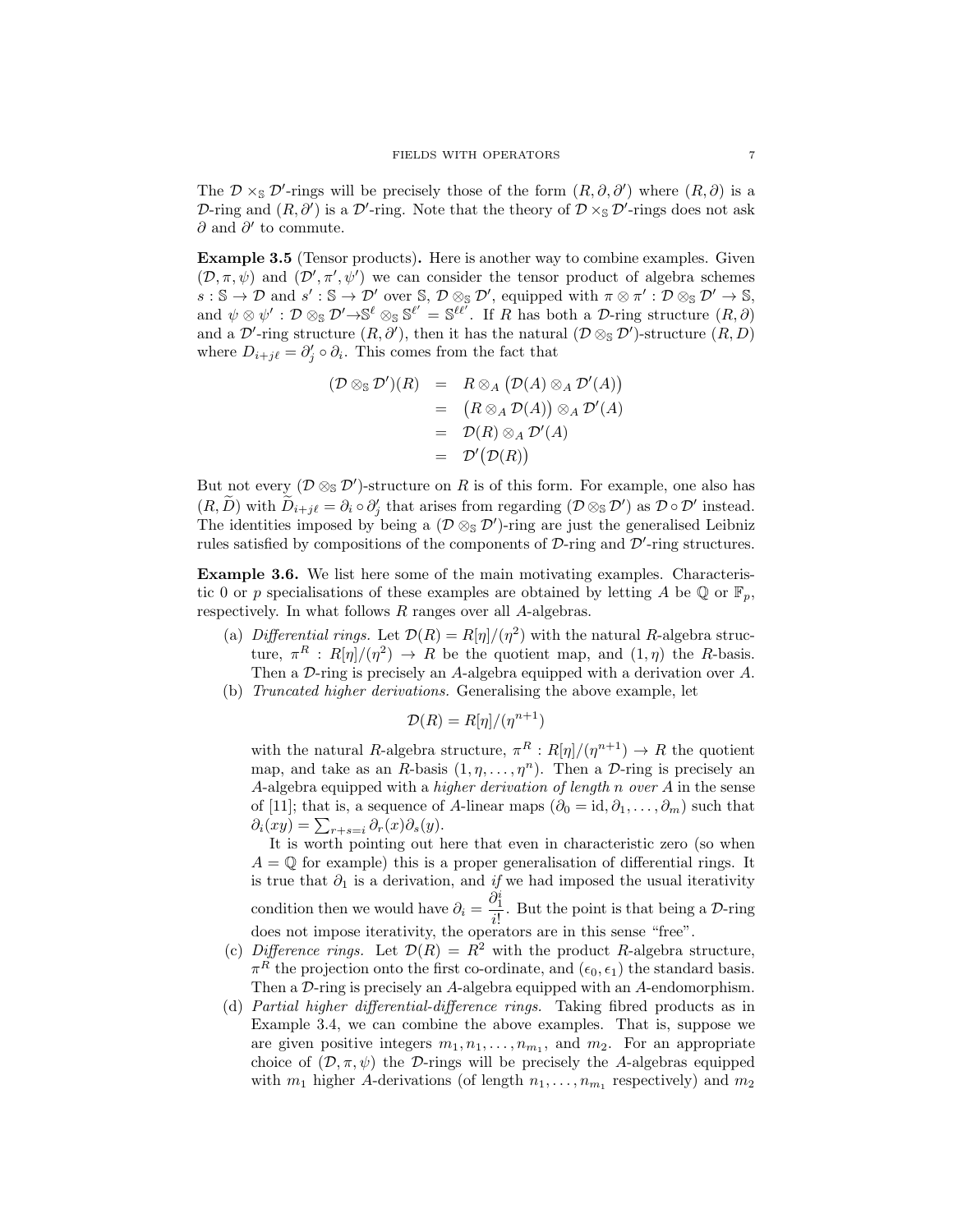The  $\mathcal{D} \times_{\mathbb{S}} \mathcal{D}'$ -rings will be precisely those of the form  $(R, \partial, \partial')$  where  $(R, \partial)$  is a D-ring and  $(R, \partial')$  is a D'-ring. Note that the theory of  $D \times_{\mathbb{S}} D'$ -rings does not ask ∂ and  $\partial'$  to commute.

Example 3.5 (Tensor products). Here is another way to combine examples. Given  $(\mathcal{D}, \pi, \psi)$  and  $(\mathcal{D}', \pi', \psi')$  we can consider the tensor product of algebra schemes  $s : \mathbb{S} \to \mathcal{D}$  and  $s' : \mathbb{S} \to \mathcal{D}'$  over  $\mathbb{S}, \mathcal{D} \otimes_{\mathbb{S}} \mathcal{D}',$  equipped with  $\pi \otimes \pi' : \mathcal{D} \otimes_{\mathbb{S}} \mathcal{D}' \to \mathbb{S},$ and  $\psi \otimes \psi' : \mathcal{D} \otimes_{\mathbb{S}} \mathcal{D}' \rightarrow \mathbb{S}^{\ell} \otimes_{\mathbb{S}} \mathbb{S}^{\ell'} = \mathbb{S}^{\ell \ell'}$ . If R has both a D-ring structure  $(R, \partial)$ and a D'-ring structure  $(R, \partial')$ , then it has the natural  $(\mathcal{D} \otimes_{\mathbb{S}} \mathcal{D}')$ -structure  $(R, D)$ where  $D_{i+j\ell} = \partial'_j \circ \partial_i$ . This comes from the fact that

$$
(\mathcal{D} \otimes_{\mathbb{S}} \mathcal{D}')(R) = R \otimes_A (\mathcal{D}(A) \otimes_A \mathcal{D}'(A))
$$
  
=  $(R \otimes_A \mathcal{D}(A)) \otimes_A \mathcal{D}'(A)$   
=  $\mathcal{D}(R) \otimes_A \mathcal{D}'(A)$   
=  $\mathcal{D}'(\mathcal{D}(R))$ 

But not every  $(\mathcal{D} \otimes_{\mathbb{S}} \mathcal{D}')$ -structure on R is of this form. For example, one also has  $(R, \tilde{D})$  with  $\tilde{D}_{i+j\ell} = \partial_i \circ \partial'_j$  that arises from regarding  $(\mathcal{D} \otimes_{\mathbb{S}} \mathcal{D}')$  as  $\mathcal{D} \circ \mathcal{D}'$  instead. The identities imposed by being a  $(\mathcal{D} \otimes_{\mathbb{S}} \mathcal{D}')$ -ring are just the generalised Leibniz rules satisfied by compositions of the components of  $D$ -ring and  $D'$ -ring structures.

Example 3.6. We list here some of the main motivating examples. Characteristic 0 or p specialisations of these examples are obtained by letting A be  $\mathbb{Q}$  or  $\mathbb{F}_n$ , respectively. In what follows R ranges over all A-algebras.

- (a) Differential rings. Let  $\mathcal{D}(R) = R[\eta]/(\eta^2)$  with the natural R-algebra structure,  $\pi^R : R[\eta]/(\eta^2) \to R$  be the quotient map, and  $(1, \eta)$  the R-basis. Then a D-ring is precisely an A-algebra equipped with a derivation over A.
- (b) Truncated higher derivations. Generalising the above example, let

$$
\mathcal{D}(R) = R[\eta]/(\eta^{n+1})
$$

with the natural R-algebra structure,  $\pi^R : R[\eta]/(\eta^{n+1}) \to R$  the quotient map, and take as an R-basis  $(1, \eta, \ldots, \eta^n)$ . Then a D-ring is precisely an A-algebra equipped with a *higher derivation of length n over*  $A$  in the sense of [11]; that is, a sequence of A-linear maps  $(\partial_0 = id, \partial_1, \dots, \partial_m)$  such that  $\partial_i(xy) = \sum_{r+s=i} \partial_r(x)\partial_s(y).$ 

It is worth pointing out here that even in characteristic zero (so when  $A = \mathbb{Q}$  for example) this is a proper generalisation of differential rings. It is true that  $\partial_1$  is a derivation, and if we had imposed the usual iterativity condition then we would have  $\partial_i = \frac{\partial_i^i}{\partial x_i^i}$  $\frac{\partial^2 I}{\partial t^2}$ . But the point is that being a D-ring does not impose iterativity, the operators are in this sense "free".

- (c) Difference rings. Let  $\mathcal{D}(R) = R^2$  with the product R-algebra structure,  $\pi^R$  the projection onto the first co-ordinate, and  $(\epsilon_0, \epsilon_1)$  the standard basis. Then a D-ring is precisely an A-algebra equipped with an A-endomorphism.
- (d) Partial higher differential-difference rings. Taking fibred products as in Example 3.4, we can combine the above examples. That is, suppose we are given positive integers  $m_1, n_1, \ldots, n_{m_1}$ , and  $m_2$ . For an appropriate choice of  $(D, \pi, \psi)$  the D-rings will be precisely the A-algebras equipped with  $m_1$  higher A-derivations (of length  $n_1, \ldots, n_{m_1}$  respectively) and  $m_2$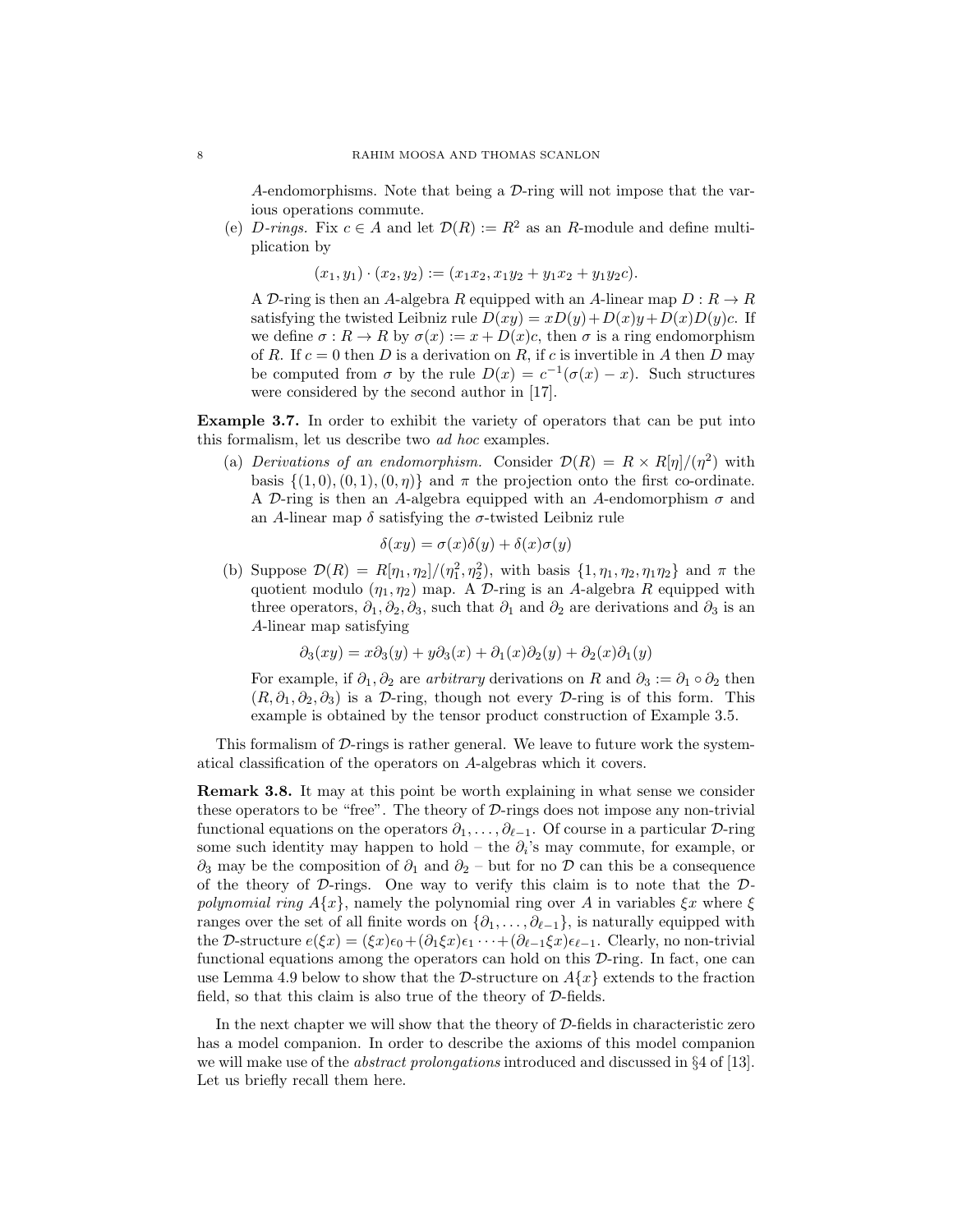A-endomorphisms. Note that being a  $\mathcal{D}\text{-ring}$  will not impose that the various operations commute.

(e) D-rings. Fix  $c \in A$  and let  $\mathcal{D}(R) := R^2$  as an R-module and define multiplication by

$$
(x_1, y_1) \cdot (x_2, y_2) := (x_1x_2, x_1y_2 + y_1x_2 + y_1y_2c).
$$

A D-ring is then an A-algebra R equipped with an A-linear map  $D: R \to R$ satisfying the twisted Leibniz rule  $D(xy) = xD(y) + D(x)y + D(x)D(y)c$ . If we define  $\sigma: R \to R$  by  $\sigma(x) := x + D(x)c$ , then  $\sigma$  is a ring endomorphism of R. If  $c = 0$  then D is a derivation on R, if c is invertible in A then D may be computed from  $\sigma$  by the rule  $D(x) = c^{-1}(\sigma(x) - x)$ . Such structures were considered by the second author in [17].

Example 3.7. In order to exhibit the variety of operators that can be put into this formalism, let us describe two ad hoc examples.

(a) Derivations of an endomorphism. Consider  $\mathcal{D}(R) = R \times R[\eta]/(\eta^2)$  with basis  $\{(1,0), (0, 1), (0, \eta)\}\$  and  $\pi$  the projection onto the first co-ordinate. A D-ring is then an A-algebra equipped with an A-endomorphism  $\sigma$  and an A-linear map  $\delta$  satisfying the  $\sigma$ -twisted Leibniz rule

$$
\delta(xy) = \sigma(x)\delta(y) + \delta(x)\sigma(y)
$$

(b) Suppose  $\mathcal{D}(R) = R[\eta_1, \eta_2]/(\eta_1^2, \eta_2^2)$ , with basis  $\{1, \eta_1, \eta_2, \eta_1 \eta_2\}$  and  $\pi$  the quotient modulo  $(\eta_1, \eta_2)$  map. A D-ring is an A-algebra R equipped with three operators,  $\partial_1$ ,  $\partial_2$ ,  $\partial_3$ , such that  $\partial_1$  and  $\partial_2$  are derivations and  $\partial_3$  is an A-linear map satisfying

$$
\partial_3(xy) = x\partial_3(y) + y\partial_3(x) + \partial_1(x)\partial_2(y) + \partial_2(x)\partial_1(y)
$$

For example, if  $\partial_1$ ,  $\partial_2$  are *arbitrary* derivations on R and  $\partial_3 := \partial_1 \circ \partial_2$  then  $(R, \partial_1, \partial_2, \partial_3)$  is a D-ring, though not every D-ring is of this form. This example is obtained by the tensor product construction of Example 3.5.

This formalism of  $D$ -rings is rather general. We leave to future work the systematical classification of the operators on A-algebras which it covers.

Remark 3.8. It may at this point be worth explaining in what sense we consider these operators to be "free". The theory of  $\mathcal{D}$ -rings does not impose any non-trivial functional equations on the operators  $\partial_1, \ldots, \partial_{\ell-1}$ . Of course in a particular D-ring some such identity may happen to hold – the  $\partial_i$ 's may commute, for example, or  $\partial_3$  may be the composition of  $\partial_1$  and  $\partial_2$  – but for no  $\mathcal D$  can this be a consequence of the theory of  $D$ -rings. One way to verify this claim is to note that the  $D$ polynomial ring  $A\{x\}$ , namely the polynomial ring over A in variables  $\xi x$  where  $\xi$ ranges over the set of all finite words on  $\{\partial_1, \ldots, \partial_{\ell-1}\}$ , is naturally equipped with the D-structure  $e(\xi x) = (\xi x)\epsilon_0+(\partial_1\xi x)\epsilon_1 \cdots+(\partial_{\ell-1}\xi x)\epsilon_{\ell-1}$ . Clearly, no non-trivial functional equations among the operators can hold on this D-ring. In fact, one can use Lemma 4.9 below to show that the D-structure on  $A\{x\}$  extends to the fraction field, so that this claim is also true of the theory of  $D$ -fields.

In the next chapter we will show that the theory of  $D$ -fields in characteristic zero has a model companion. In order to describe the axioms of this model companion we will make use of the abstract prolongations introduced and discussed in §4 of [13]. Let us briefly recall them here.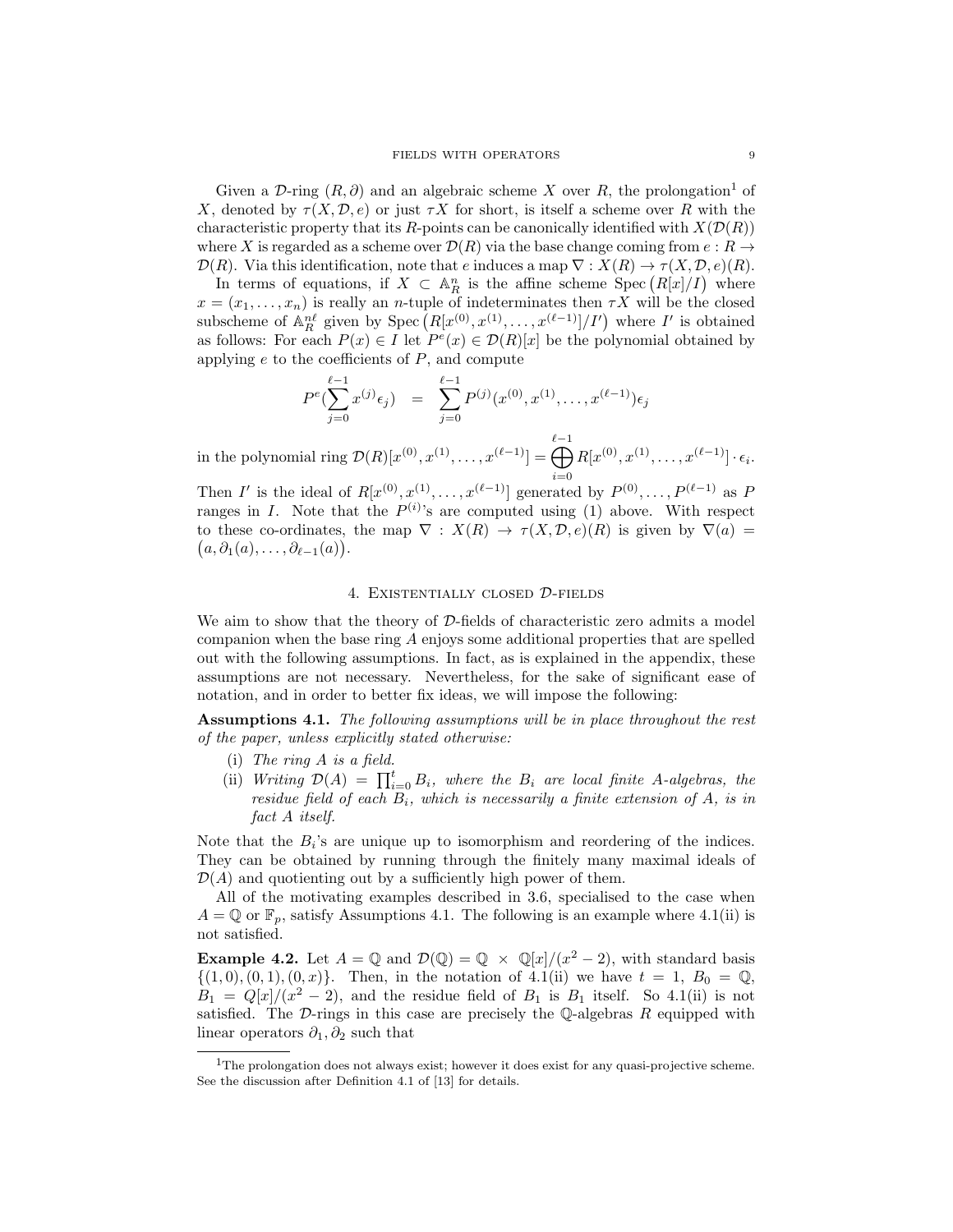Given a D-ring  $(R, \partial)$  and an algebraic scheme X over R, the prolongation<sup>1</sup> of X, denoted by  $\tau(X, \mathcal{D}, e)$  or just  $\tau X$  for short, is itself a scheme over R with the characteristic property that its R-points can be canonically identified with  $X(\mathcal{D}(R))$ where X is regarded as a scheme over  $\mathcal{D}(R)$  via the base change coming from  $e: R \to$  $\mathcal{D}(R)$ . Via this identification, note that e induces a map  $\nabla: X(R) \to \tau(X, \mathcal{D}, e)(R)$ .

In terms of equations, if  $X \subset \mathbb{A}^n_R$  is the affine scheme Spec  $(R[x]/I)$  where  $x = (x_1, \ldots, x_n)$  is really an *n*-tuple of indeterminates then  $\tau X$  will be the closed subscheme of  $\mathbb{A}_R^{n\ell}$  given by  $\text{Spec}\left(R[x^{(0)},x^{(1)},\ldots,x^{(\ell-1)}]/I'\right)$  where  $I'$  is obtained as follows: For each  $P(x) \in I$  let  $P^e(x) \in \mathcal{D}(R)[x]$  be the polynomial obtained by applying  $e$  to the coefficients of  $P$ , and compute

$$
P^{e}(\sum_{j=0}^{\ell-1} x^{(j)} \epsilon_j) = \sum_{j=0}^{\ell-1} P^{(j)}(x^{(0)}, x^{(1)}, \dots, x^{(\ell-1)}) \epsilon_j
$$

in the polynomial ring  $\mathcal{D}(R)[x^{(0)}, x^{(1)}, \dots, x^{(\ell-1)}] = \bigoplus^{\ell-1}$  $i=0$  $R[x^{(0)}, x^{(1)}, \dots, x^{(\ell-1)}] \cdot \epsilon_i.$ 

Then I' is the ideal of  $R[x^{(0)}, x^{(1)}, \ldots, x^{(\ell-1)}]$  generated by  $P^{(0)}, \ldots, P^{(\ell-1)}$  as P ranges in I. Note that the  $P^{(i)}$ 's are computed using (1) above. With respect to these co-ordinates, the map  $\nabla : X(R) \to \tau(X, \mathcal{D}, e)(R)$  is given by  $\nabla(a) =$  $(a, \partial_1(a), \ldots, \partial_{\ell-1}(a)).$ 

#### 4. Existentially closed D-fields

We aim to show that the theory of  $D$ -fields of characteristic zero admits a model companion when the base ring A enjoys some additional properties that are spelled out with the following assumptions. In fact, as is explained in the appendix, these assumptions are not necessary. Nevertheless, for the sake of significant ease of notation, and in order to better fix ideas, we will impose the following:

Assumptions 4.1. The following assumptions will be in place throughout the rest of the paper, unless explicitly stated otherwise:

- (i) The ring A is a field.
- (ii) Writing  $\mathcal{D}(A) = \prod_{i=0}^{t} B_i$ , where the  $B_i$  are local finite A-algebras, the residue field of each  $B_i$ , which is necessarily a finite extension of A, is in fact A itself.

Note that the  $B_i$ 's are unique up to isomorphism and reordering of the indices. They can be obtained by running through the finitely many maximal ideals of  $\mathcal{D}(A)$  and quotienting out by a sufficiently high power of them.

All of the motivating examples described in 3.6, specialised to the case when  $A = \mathbb{Q}$  or  $\mathbb{F}_p$ , satisfy Assumptions 4.1. The following is an example where 4.1(ii) is not satisfied.

**Example 4.2.** Let  $A = \mathbb{Q}$  and  $\mathcal{D}(\mathbb{Q}) = \mathbb{Q} \times \mathbb{Q}[x]/(x^2 - 2)$ , with standard basis  $\{(1,0), (0,1), (0,x)\}.$  Then, in the notation of 4.1(ii) we have  $t = 1, B_0 = \mathbb{Q},$  $B_1 = Q[x]/(x^2 - 2)$ , and the residue field of  $B_1$  is  $B_1$  itself. So 4.1(ii) is not satisfied. The  $\mathcal D$ -rings in this case are precisely the Q-algebras R equipped with linear operators  $\partial_1$ ,  $\partial_2$  such that

<sup>&</sup>lt;sup>1</sup>The prolongation does not always exist; however it does exist for any quasi-projective scheme. See the discussion after Definition 4.1 of [13] for details.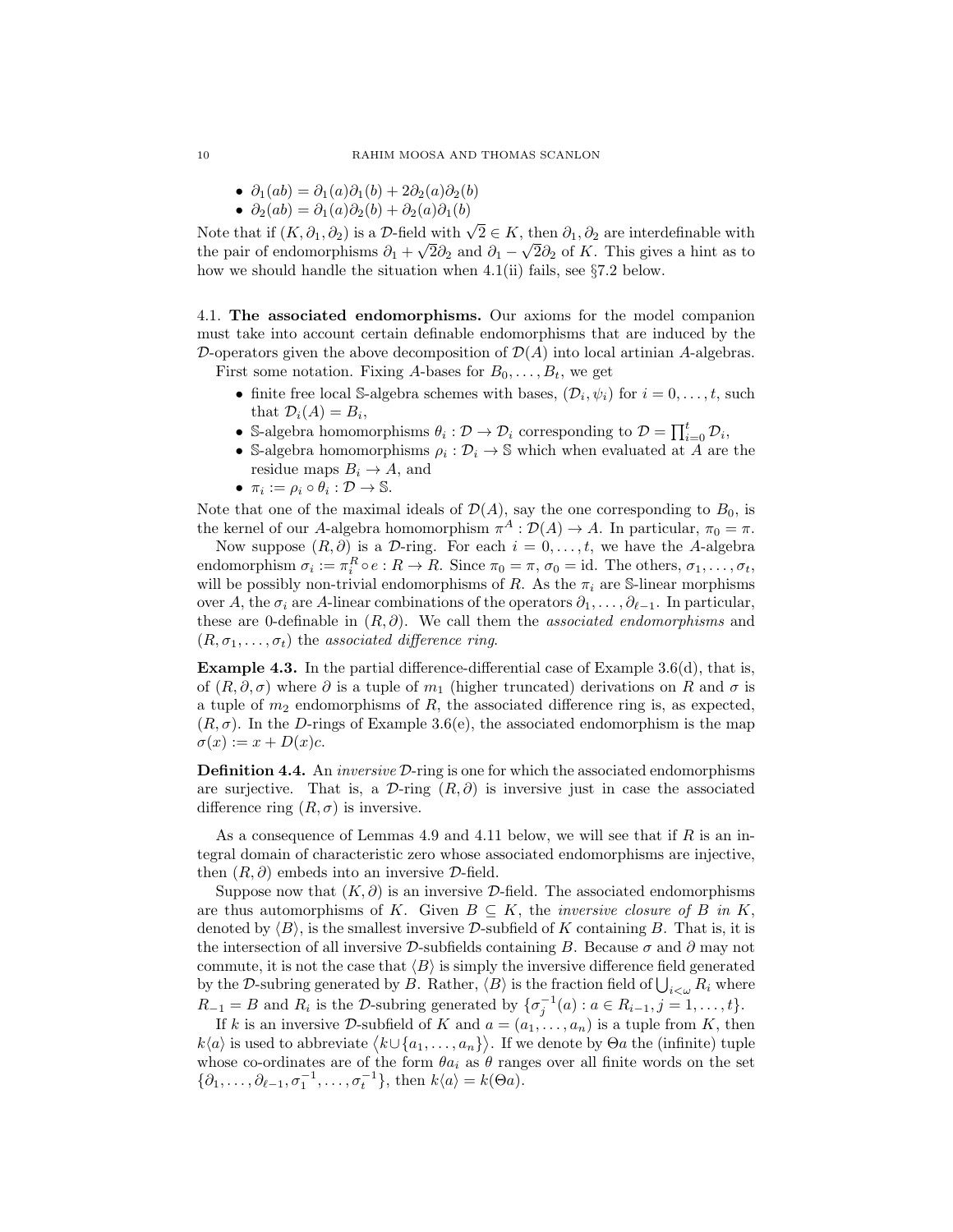- $\partial_1(ab) = \partial_1(a)\partial_1(b) + 2\partial_2(a)\partial_2(b)$
- $\partial_2(ab) = \partial_1(a)\partial_2(b) + \partial_2(a)\partial_1(b)$

Note that if  $(K, \partial_1, \partial_2)$  is a D-field with  $\sqrt{2} \in K$ , then  $\partial_1, \partial_2$  are interdefinable with the pair of endomorphisms  $\partial_1 + \sqrt{2\partial_2}$  and  $\partial_1 - \sqrt{2\partial_2}$  of K. This gives a hint as to how we should handle the situation when  $4.1(ii)$  fails, see §7.2 below.

4.1. The associated endomorphisms. Our axioms for the model companion must take into account certain definable endomorphisms that are induced by the D-operators given the above decomposition of  $\mathcal{D}(A)$  into local artinian A-algebras. First some notation. Fixing A-bases for  $B_0, \ldots, B_t$ , we get

• finite free local S-algebra schemes with bases,  $(\mathcal{D}_i, \psi_i)$  for  $i = 0, \ldots, t$ , such that  $\mathcal{D}_i(A) = B_i$ ,

- S-algebra homomorphisms  $\theta_i : \mathcal{D} \to \mathcal{D}_i$  corresponding to  $\mathcal{D} = \prod_{i=0}^t \mathcal{D}_i$ ,
- S-algebra homomorphisms  $\rho_i : \mathcal{D}_i \to \mathbb{S}$  which when evaluated at A are the residue maps  $B_i \to A$ , and
- $\pi_i := \rho_i \circ \theta_i : \mathcal{D} \to \mathbb{S}.$

Note that one of the maximal ideals of  $\mathcal{D}(A)$ , say the one corresponding to  $B_0$ , is the kernel of our A-algebra homomorphism  $\pi^A : \mathcal{D}(A) \to A$ . In particular,  $\pi_0 = \pi$ .

Now suppose  $(R, \partial)$  is a D-ring. For each  $i = 0, \ldots, t$ , we have the A-algebra endomorphism  $\sigma_i := \pi_i^R \circ e : R \to R$ . Since  $\pi_0 = \pi, \sigma_0 = \text{id}$ . The others,  $\sigma_1, \ldots, \sigma_t$ , will be possibly non-trivial endomorphisms of R. As the  $\pi_i$  are S-linear morphisms over A, the  $\sigma_i$  are A-linear combinations of the operators  $\partial_1, \ldots, \partial_{\ell-1}$ . In particular, these are 0-definable in  $(R, \partial)$ . We call them the *associated endomorphisms* and  $(R, \sigma_1, \ldots, \sigma_t)$  the associated difference ring.

Example 4.3. In the partial difference-differential case of Example 3.6(d), that is, of  $(R, \partial, \sigma)$  where  $\partial$  is a tuple of  $m_1$  (higher truncated) derivations on R and  $\sigma$  is a tuple of  $m_2$  endomorphisms of  $R$ , the associated difference ring is, as expected,  $(R, \sigma)$ . In the D-rings of Example 3.6(e), the associated endomorphism is the map  $\sigma(x) := x + D(x)c.$ 

**Definition 4.4.** An *inversive D*-ring is one for which the associated endomorphisms are surjective. That is, a  $\mathcal{D}\text{-ring}(R,\partial)$  is inversive just in case the associated difference ring  $(R, \sigma)$  is inversive.

As a consequence of Lemmas 4.9 and 4.11 below, we will see that if  $R$  is an integral domain of characteristic zero whose associated endomorphisms are injective, then  $(R, \partial)$  embeds into an inversive  $\mathcal{D}\text{-field}$ .

Suppose now that  $(K, \partial)$  is an inversive D-field. The associated endomorphisms are thus automorphisms of K. Given  $B \subseteq K$ , the *inversive closure of B in K*, denoted by  $\langle B \rangle$ , is the smallest inversive D-subfield of K containing B. That is, it is the intersection of all inversive D-subfields containing B. Because  $\sigma$  and  $\partial$  may not commute, it is not the case that  $\langle B \rangle$  is simply the inversive difference field generated by the D-subring generated by B. Rather,  $\langle B \rangle$  is the fraction field of  $\bigcup_{i<\omega} R_i$  where  $R_{-1} = B$  and  $R_i$  is the D-subring generated by  $\{\sigma_j^{-1}(a) : a \in R_{i-1}, j = 1, \ldots, t\}.$ 

If k is an inversive D-subfield of K and  $a = (a_1, \ldots, a_n)$  is a tuple from K, then  $k\langle a \rangle$  is used to abbreviate  $\langle k \cup \{a_1, \ldots, a_n\} \rangle$ . If we denote by  $\Theta$ *a* the (infinite) tuple whose co-ordinates are of the form  $\theta a_i$  as  $\theta$  ranges over all finite words on the set  $\{\partial_1,\ldots,\partial_{\ell-1},\sigma_1^{-1},\ldots,\sigma_t^{-1}\},\$  then  $k\langle a\rangle = k(\Theta a)$ .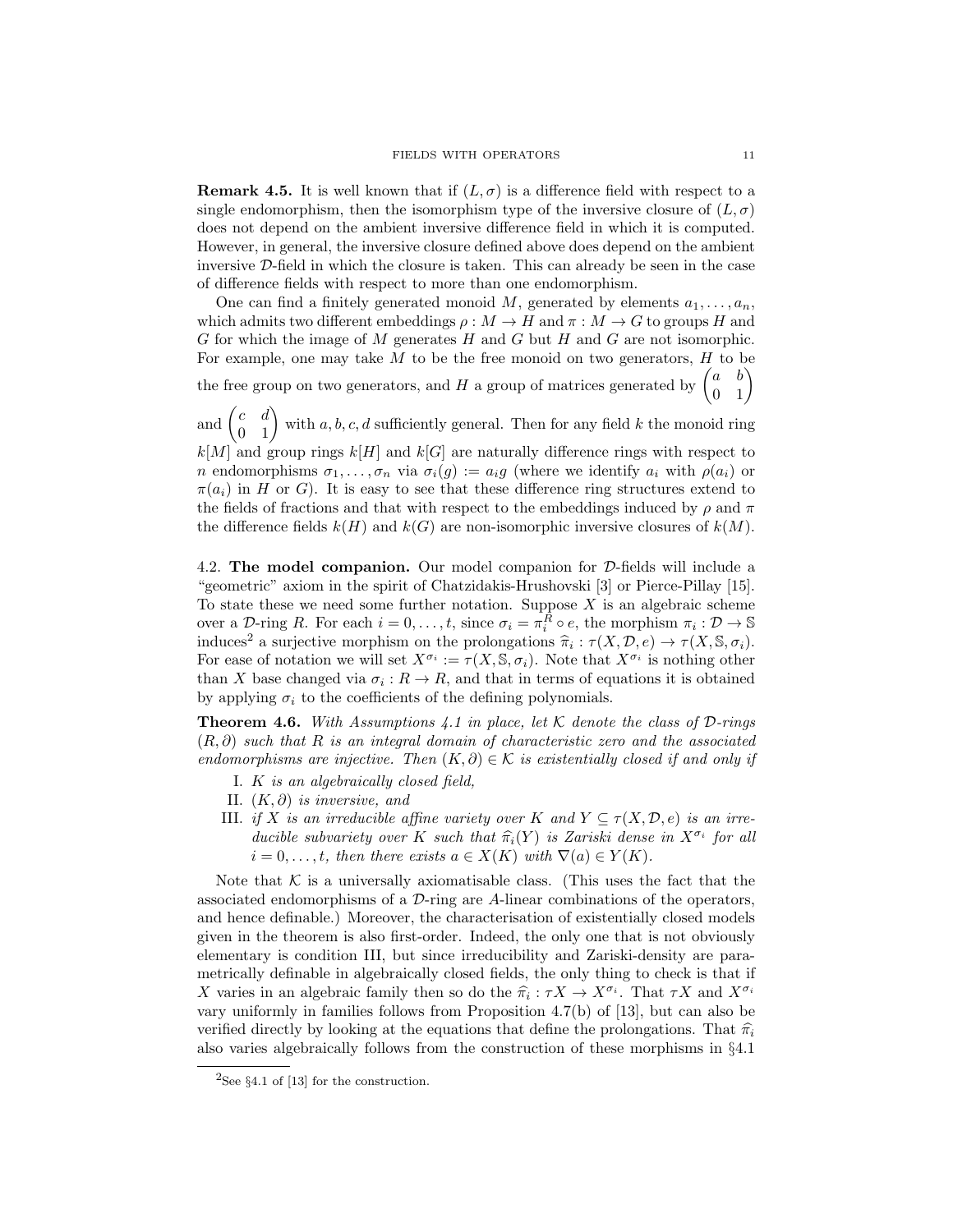**Remark 4.5.** It is well known that if  $(L, \sigma)$  is a difference field with respect to a single endomorphism, then the isomorphism type of the inversive closure of  $(L, \sigma)$ does not depend on the ambient inversive difference field in which it is computed. However, in general, the inversive closure defined above does depend on the ambient inversive D-field in which the closure is taken. This can already be seen in the case of difference fields with respect to more than one endomorphism.

One can find a finitely generated monoid M, generated by elements  $a_1, \ldots, a_n$ , which admits two different embeddings  $\rho : M \to H$  and  $\pi : M \to G$  to groups H and G for which the image of M generates  $H$  and  $G$  but  $H$  and  $G$  are not isomorphic. For example, one may take  $M$  to be the free monoid on two generators,  $H$  to be the free group on two generators, and H a group of matrices generated by  $\begin{pmatrix} a & b \\ 0 & 1 \end{pmatrix}$ 

and  $\begin{pmatrix} c & d \\ 0 & 1 \end{pmatrix}$  with  $a, b, c, d$  sufficiently general. Then for any field k the monoid ring  $k[M]$  and group rings  $k[H]$  and  $k[G]$  are naturally difference rings with respect to n endomorphisms  $\sigma_1, \ldots, \sigma_n$  via  $\sigma_i(g) := a_i g$  (where we identify  $a_i$  with  $\rho(a_i)$  or  $\pi(a_i)$  in H or G). It is easy to see that these difference ring structures extend to the fields of fractions and that with respect to the embeddings induced by  $\rho$  and  $\pi$ the difference fields  $k(H)$  and  $k(G)$  are non-isomorphic inversive closures of  $k(M)$ .

4.2. The model companion. Our model companion for D-fields will include a "geometric" axiom in the spirit of Chatzidakis-Hrushovski [3] or Pierce-Pillay [15]. To state these we need some further notation. Suppose  $X$  is an algebraic scheme over a  $\mathcal{D}$ -ring R. For each  $i = 0, \ldots, t$ , since  $\sigma_i = \pi_i^R \circ e$ , the morphism  $\pi_i : \mathcal{D} \to \mathbb{S}$ induces<sup>2</sup> a surjective morphism on the prolongations  $\hat{\pi}_i : \tau(X, \mathcal{D}, e) \to \tau(X, \mathbb{S}, \sigma_i)$ .<br>For one of notation we will set  $X^{\sigma_i} := \tau(X \otimes \sigma_i)$ . Note that  $X^{\sigma_i}$  is nothing other For ease of notation we will set  $X^{\sigma_i} := \tau(X, \mathbb{S}, \sigma_i)$ . Note that  $X^{\sigma_i}$  is nothing other than X base changed via  $\sigma_i: R \to R$ , and that in terms of equations it is obtained by applying  $\sigma_i$  to the coefficients of the defining polynomials.

**Theorem 4.6.** With Assumptions 4.1 in place, let K denote the class of D-rings  $(R, \partial)$  such that R is an integral domain of characteristic zero and the associated endomorphisms are injective. Then  $(K, \partial) \in \mathcal{K}$  is existentially closed if and only if

- I. K is an algebraically closed field,
- II.  $(K, \partial)$  is inversive, and
- III. if X is an irreducible affine variety over K and  $Y \subseteq \tau(X, \mathcal{D}, e)$  is an irreducible subvariety over K such that  $\widehat{\pi}_i(Y)$  is Zariski dense in  $X^{\sigma_i}$  for all<br> $i = 0$ , then there exists  $c \in X(K)$  with  $\nabla(c) \in Y(K)$  $i = 0, \ldots, t$ , then there exists  $a \in X(K)$  with  $\nabla(a) \in Y(K)$ .

Note that  $K$  is a universally axiomatisable class. (This uses the fact that the associated endomorphisms of a  $\mathcal{D}\text{-ring}$  are A-linear combinations of the operators, and hence definable.) Moreover, the characterisation of existentially closed models given in the theorem is also first-order. Indeed, the only one that is not obviously elementary is condition III, but since irreducibility and Zariski-density are parametrically definable in algebraically closed fields, the only thing to check is that if X varies in an algebraic family then so do the  $\hat{\pi}_i : \tau X \to X^{\sigma_i}$ . That  $\tau X$  and  $X^{\sigma_i}$ <br>were uniformly in familias follows from Proposition 4.7(b) of [13] but see also be vary uniformly in families follows from Proposition 4.7(b) of [13], but can also be verified directly by looking at the equations that define the prolongations. That  $\hat{\pi}_i$ also varies algebraically follows from the construction of these morphisms in §4.1

<sup>&</sup>lt;sup>2</sup>See §4.1 of [13] for the construction.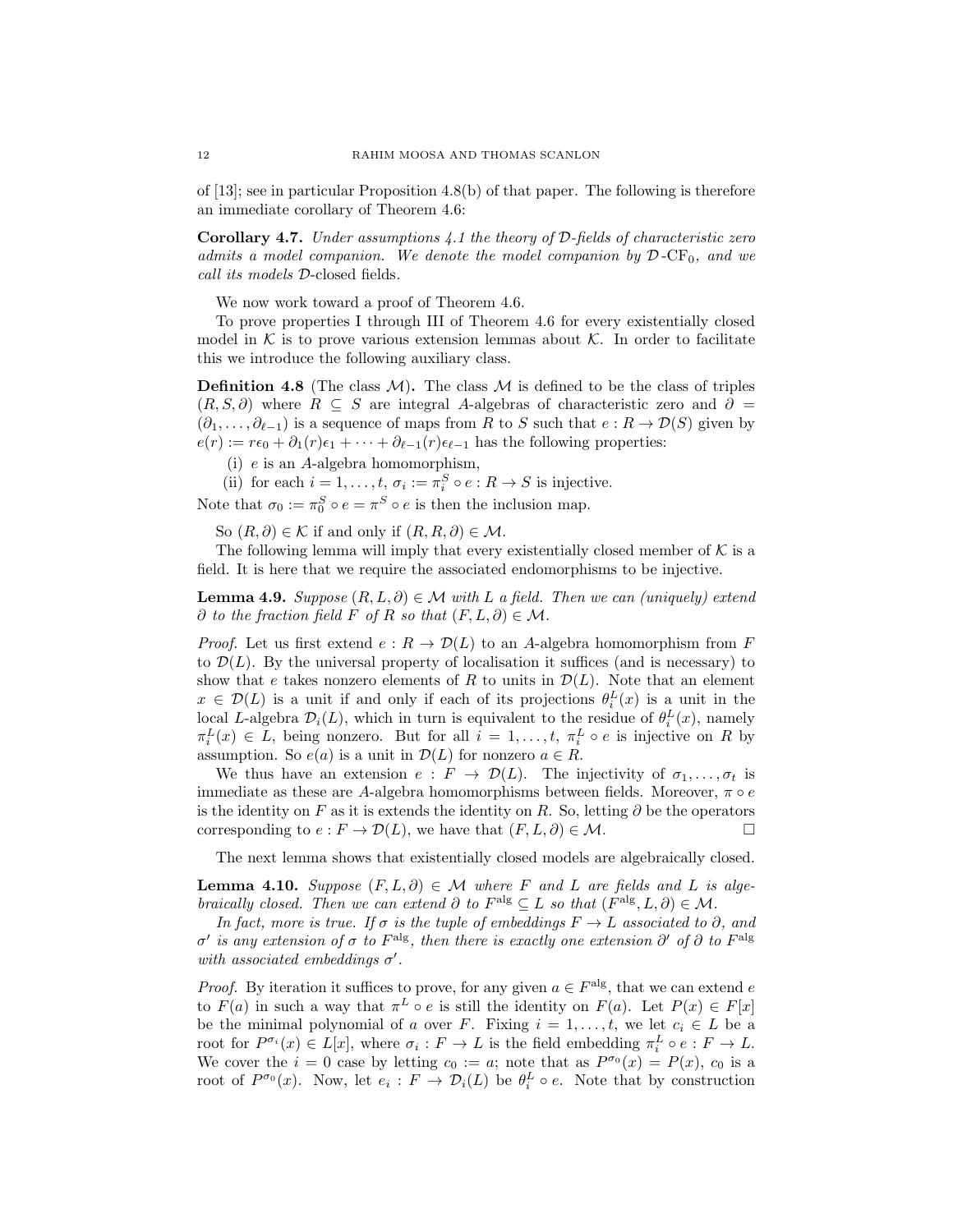of [13]; see in particular Proposition 4.8(b) of that paper. The following is therefore an immediate corollary of Theorem 4.6:

**Corollary 4.7.** Under assumptions  $4.1$  the theory of D-fields of characteristic zero admits a model companion. We denote the model companion by  $\mathcal{D}$ -CF<sub>0</sub>, and we call its models D-closed fields.

We now work toward a proof of Theorem 4.6.

To prove properties I through III of Theorem 4.6 for every existentially closed model in  $K$  is to prove various extension lemmas about  $K$ . In order to facilitate this we introduce the following auxiliary class.

**Definition 4.8** (The class  $M$ ). The class  $M$  is defined to be the class of triples  $(R, S, \partial)$  where  $R \subseteq S$  are integral A-algebras of characteristic zero and  $\partial =$  $(\partial_1, \ldots, \partial_{\ell-1})$  is a sequence of maps from R to S such that  $e : R \to \mathcal{D}(S)$  given by  $e(r) := r\epsilon_0 + \partial_1(r)\epsilon_1 + \cdots + \partial_{\ell-1}(r)\epsilon_{\ell-1}$  has the following properties:

(i) e is an A-algebra homomorphism,

(ii) for each  $i = 1, ..., t$ ,  $\sigma_i := \pi_i^S \circ e : R \to S$  is injective.

Note that  $\sigma_0 := \pi_0^S \circ e = \pi^S \circ e$  is then the inclusion map.

So  $(R, \partial) \in \mathcal{K}$  if and only if  $(R, R, \partial) \in \mathcal{M}$ .

The following lemma will imply that every existentially closed member of  $K$  is a field. It is here that we require the associated endomorphisms to be injective.

**Lemma 4.9.** Suppose  $(R, L, \partial) \in \mathcal{M}$  with L a field. Then we can (uniquely) extend  $\partial$  to the fraction field F of R so that  $(F, L, \partial) \in \mathcal{M}$ .

*Proof.* Let us first extend  $e: R \to \mathcal{D}(L)$  to an A-algebra homomorphism from F to  $\mathcal{D}(L)$ . By the universal property of localisation it suffices (and is necessary) to show that e takes nonzero elements of R to units in  $\mathcal{D}(L)$ . Note that an element  $x \in \mathcal{D}(L)$  is a unit if and only if each of its projections  $\theta_i^L(x)$  is a unit in the local L-algebra  $\mathcal{D}_i(L)$ , which in turn is equivalent to the residue of  $\theta_i^L(x)$ , namely  $\pi_i^L(x) \in L$ , being nonzero. But for all  $i = 1, \ldots, t$ ,  $\pi_i^L \circ e$  is injective on R by assumption. So  $e(a)$  is a unit in  $\mathcal{D}(L)$  for nonzero  $a \in R$ .

We thus have an extension  $e: F \to \mathcal{D}(L)$ . The injectivity of  $\sigma_1, \ldots, \sigma_t$  is immediate as these are A-algebra homomorphisms between fields. Moreover,  $\pi \circ e$ is the identity on F as it is extends the identity on R. So, letting  $\partial$  be the operators corresponding to  $e : F \to \mathcal{D}(L)$ , we have that  $(F, L, \partial) \in \mathcal{M}$ .

The next lemma shows that existentially closed models are algebraically closed.

**Lemma 4.10.** Suppose  $(F, L, \partial) \in \mathcal{M}$  where F and L are fields and L is algebraically closed. Then we can extend  $\partial$  to  $F^{\text{alg}} \subseteq L$  so that  $(F^{\text{alg}}, L, \partial) \in M$ .

In fact, more is true. If  $\sigma$  is the tuple of embeddings  $F \to L$  associated to  $\partial$ , and  $\sigma'$  is any extension of  $\sigma$  to  $F^{\text{alg}}$ , then there is exactly one extension  $\partial'$  of  $\partial$  to  $F^{\text{alg}}$ with associated embeddings  $\sigma'$ .

*Proof.* By iteration it suffices to prove, for any given  $a \in F^{\text{alg}}$ , that we can extend e to  $F(a)$  in such a way that  $\pi^L \circ e$  is still the identity on  $F(a)$ . Let  $P(x) \in F[x]$ be the minimal polynomial of a over F. Fixing  $i = 1, \ldots, t$ , we let  $c_i \in L$  be a root for  $P^{\sigma_i}(x) \in L[x]$ , where  $\sigma_i : F \to L$  is the field embedding  $\pi_i^L \circ e : F \to L$ . We cover the  $i = 0$  case by letting  $c_0 := a$ ; note that as  $P^{\sigma_0}(x) = P(x)$ ,  $c_0$  is a root of  $P^{\sigma_0}(x)$ . Now, let  $e_i : F \to \mathcal{D}_i(L)$  be  $\theta_i^L \circ e$ . Note that by construction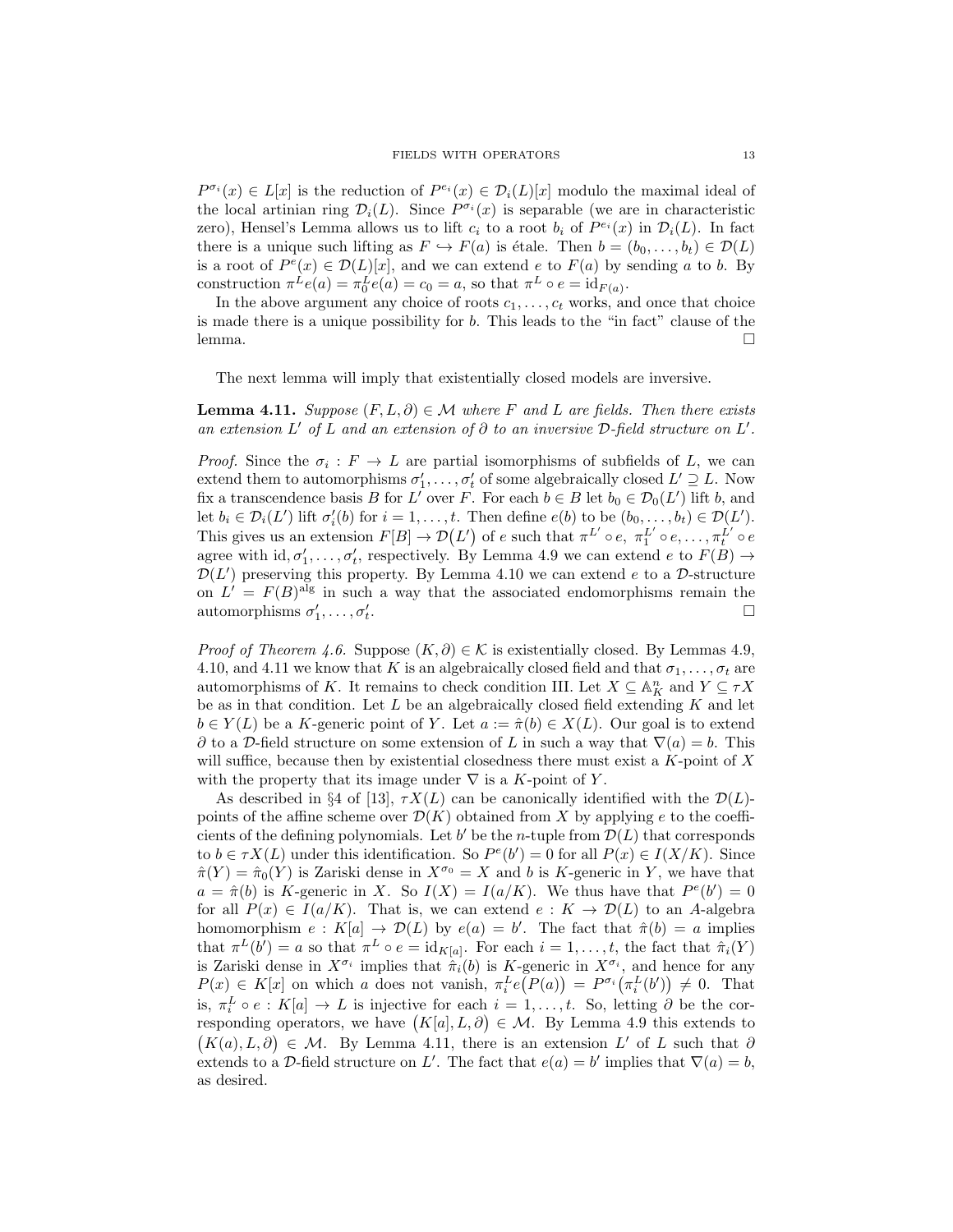$P^{\sigma_i}(x) \in L[x]$  is the reduction of  $P^{e_i}(x) \in \mathcal{D}_i(L)[x]$  modulo the maximal ideal of the local artinian ring  $\mathcal{D}_i(L)$ . Since  $P^{\sigma_i}(x)$  is separable (we are in characteristic zero), Hensel's Lemma allows us to lift  $c_i$  to a root  $b_i$  of  $P^{e_i}(x)$  in  $\mathcal{D}_i(L)$ . In fact there is a unique such lifting as  $F \hookrightarrow F(a)$  is étale. Then  $b = (b_0, \ldots, b_t) \in \mathcal{D}(L)$ is a root of  $P^e(x) \in \mathcal{D}(L)[x]$ , and we can extend e to  $F(a)$  by sending a to b. By construction  $\pi^L e(a) = \pi_0^L e(a) = c_0 = a$ , so that  $\pi^L \circ e = \text{id}_{F(a)}$ .

In the above argument any choice of roots  $c_1, \ldots, c_t$  works, and once that choice is made there is a unique possibility for b. This leads to the "in fact" clause of the lemma. □

The next lemma will imply that existentially closed models are inversive.

**Lemma 4.11.** Suppose  $(F, L, \partial) \in \mathcal{M}$  where F and L are fields. Then there exists an extension L' of L and an extension of  $\partial$  to an inversive D-field structure on L'.

*Proof.* Since the  $\sigma_i : F \to L$  are partial isomorphisms of subfields of L, we can extend them to automorphisms  $\sigma'_1, \ldots, \sigma'_t$  of some algebraically closed  $L' \supseteq L$ . Now fix a transcendence basis B for L' over F. For each  $b \in B$  let  $b_0 \in \mathcal{D}_0(L')$  lift b, and let  $b_i \in \mathcal{D}_i(L')$  lift  $\sigma'_i(b)$  for  $i = 1, \ldots, t$ . Then define  $e(b)$  to be  $(b_0, \ldots, b_t) \in \mathcal{D}(L')$ . This gives us an extension  $F[B] \to \mathcal{D}(L')$  of e such that  $\pi^{L'} \circ e$ ,  $\pi_1^{L'} \circ e$ , ...,  $\pi_t^{L'} \circ e$ agree with  $id, \sigma'_1, \ldots, \sigma'_t$ , respectively. By Lemma 4.9 we can extend  $e$  to  $F(B) \to$  $\mathcal{D}(L')$  preserving this property. By Lemma 4.10 we can extend e to a D-structure on  $L' = F(B)^{\text{alg}}$  in such a way that the associated endomorphisms remain the automorphisms  $\sigma'_1, \ldots, \sigma'_t$ .

*Proof of Theorem 4.6.* Suppose  $(K, \partial) \in \mathcal{K}$  is existentially closed. By Lemmas 4.9, 4.10, and 4.11 we know that K is an algebraically closed field and that  $\sigma_1, \ldots, \sigma_t$  are automorphisms of K. It remains to check condition III. Let  $X \subseteq \mathbb{A}^n_K$  and  $Y \subseteq \tau X$ be as in that condition. Let  $L$  be an algebraically closed field extending  $K$  and let  $b \in Y(L)$  be a K-generic point of Y. Let  $a := \hat{\pi}(b) \in X(L)$ . Our goal is to extend  $\partial$  to a D-field structure on some extension of L in such a way that  $\nabla(a) = b$ . This will suffice, because then by existential closedness there must exist a  $K$ -point of  $X$ with the property that its image under  $\nabla$  is a K-point of Y.

As described in §4 of [13],  $\tau X(L)$  can be canonically identified with the  $\mathcal{D}(L)$ points of the affine scheme over  $\mathcal{D}(K)$  obtained from X by applying e to the coefficients of the defining polynomials. Let  $b'$  be the *n*-tuple from  $\mathcal{D}(L)$  that corresponds to  $b \in \tau X(L)$  under this identification. So  $P^e(b') = 0$  for all  $P(x) \in I(X/K)$ . Since  $\hat{\pi}(Y) = \hat{\pi}_0(Y)$  is Zariski dense in  $X^{\sigma_0} = X$  and b is K-generic in Y, we have that  $a = \hat{\pi}(b)$  is K-generic in X. So  $I(X) = I(a/K)$ . We thus have that  $P^e(b') = 0$ for all  $P(x) \in I(a/K)$ . That is, we can extend  $e: K \to \mathcal{D}(L)$  to an A-algebra homomorphism  $e: K[a] \to \mathcal{D}(L)$  by  $e(a) = b'$ . The fact that  $\hat{\pi}(b) = a$  implies that  $\pi^{L}(b') = a$  so that  $\pi^{L} \circ e = \text{id}_{K[a]}$ . For each  $i = 1, \ldots, t$ , the fact that  $\hat{\pi}_{i}(Y)$ is Zariski dense in  $X^{\sigma_i}$  implies that  $\hat{\pi}_i(b)$  is K-generic in  $X^{\sigma_i}$ , and hence for any  $P(x) \in K[x]$  on which a does not vanish,  $\pi_i^L e(P(a)) = P^{\sigma_i}(\pi_i^L(b')) \neq 0$ . That is,  $\pi_i^L \circ e : K[a] \to L$  is injective for each  $i = 1, \ldots, t$ . So, letting  $\partial$  be the corresponding operators, we have  $(K[a], L, \partial) \in \mathcal{M}$ . By Lemma 4.9 this extends to  $(K(a), L, \partial) \in \mathcal{M}$ . By Lemma 4.11, there is an extension L' of L such that  $\partial$ extends to a D-field structure on L'. The fact that  $e(a) = b'$  implies that  $\nabla(a) = b$ , as desired.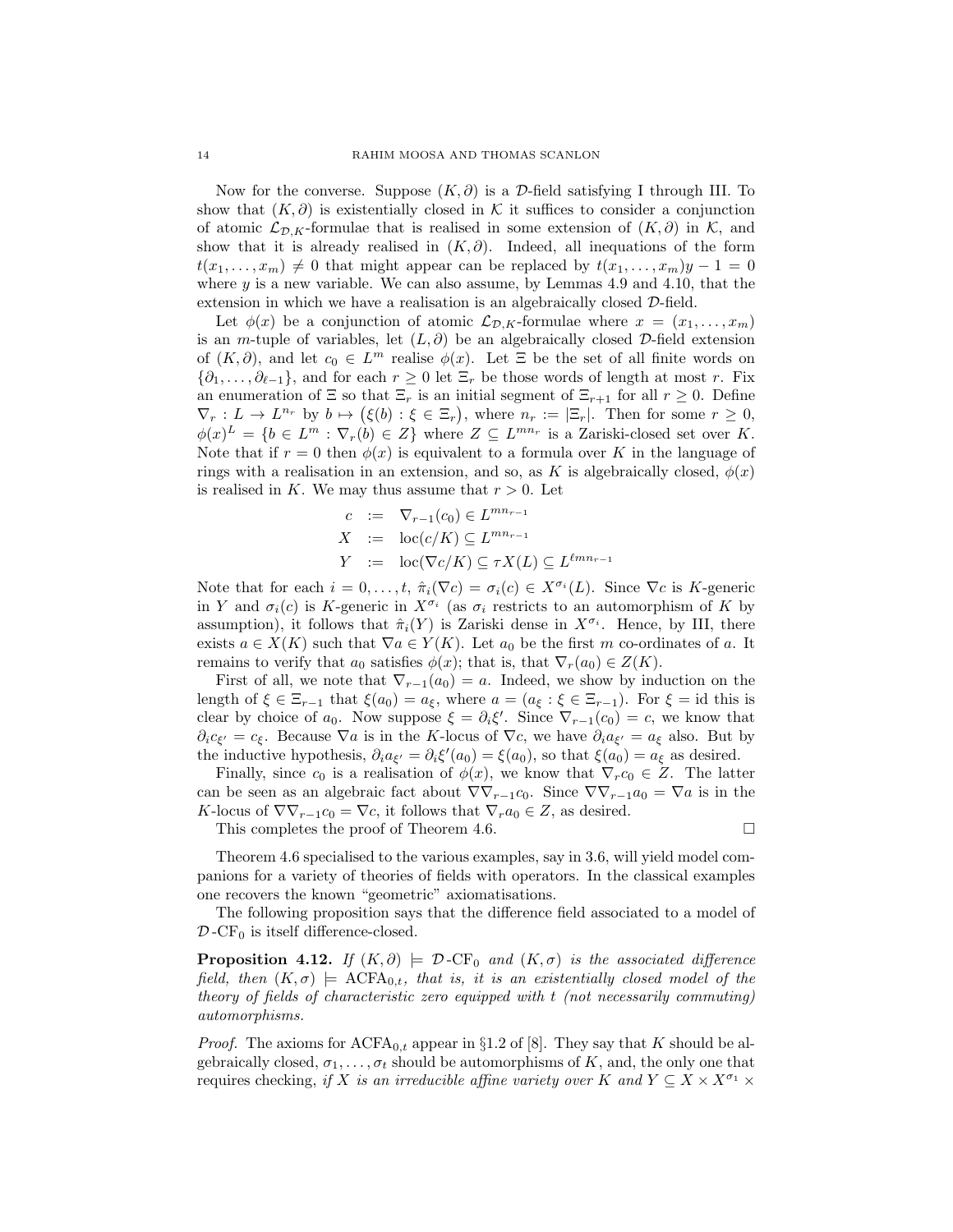Now for the converse. Suppose  $(K, \partial)$  is a D-field satisfying I through III. To show that  $(K, \partial)$  is existentially closed in K it suffices to consider a conjunction of atomic  $\mathcal{L}_{\mathcal{D}, K}$ -formulae that is realised in some extension of  $(K, \partial)$  in K, and show that it is already realised in  $(K, \partial)$ . Indeed, all inequations of the form  $t(x_1, \ldots, x_m) \neq 0$  that might appear can be replaced by  $t(x_1, \ldots, x_m)y - 1 = 0$ where  $y$  is a new variable. We can also assume, by Lemmas 4.9 and 4.10, that the extension in which we have a realisation is an algebraically closed D-field.

Let  $\phi(x)$  be a conjunction of atomic  $\mathcal{L}_{\mathcal{D}, K}$ -formulae where  $x = (x_1, \ldots, x_m)$ is an m-tuple of variables, let  $(L, \partial)$  be an algebraically closed D-field extension of  $(K, \partial)$ , and let  $c_0 \in L^m$  realise  $\phi(x)$ . Let  $\Xi$  be the set of all finite words on  $\{\partial_1,\ldots,\partial_{\ell-1}\}\$ , and for each  $r \geq 0$  let  $\Xi_r$  be those words of length at most r. Fix an enumeration of  $\Xi$  so that  $\Xi_r$  is an initial segment of  $\Xi_{r+1}$  for all  $r \geq 0$ . Define  $\nabla_r: L \to L^{n_r}$  by  $b \mapsto (\xi(b): \xi \in \Xi_r)$ , where  $n_r := |\Xi_r|$ . Then for some  $r \geq 0$ ,  $\phi(x)^L = \{b \in L^m : \nabla_r(b) \in Z\}$  where  $Z \subseteq L^{mn_r}$  is a Zariski-closed set over K. Note that if  $r = 0$  then  $\phi(x)$  is equivalent to a formula over K in the language of rings with a realisation in an extension, and so, as K is algebraically closed,  $\phi(x)$ is realised in K. We may thus assume that  $r > 0$ . Let

$$
c := \nabla_{r-1}(c_0) \in L^{mn_{r-1}}
$$
  
\n
$$
X := \operatorname{loc}(c/K) \subseteq L^{mn_{r-1}}
$$
  
\n
$$
Y := \operatorname{loc}(\nabla c/K) \subseteq \tau X(L) \subseteq L^{\ell mn_{r-1}}
$$

Note that for each  $i = 0, \ldots, t$ ,  $\hat{\pi}_i(\nabla c) = \sigma_i(c) \in X^{\sigma_i}(L)$ . Since  $\nabla c$  is K-generic in Y and  $\sigma_i(c)$  is K-generic in  $X^{\sigma_i}$  (as  $\sigma_i$  restricts to an automorphism of K by assumption), it follows that  $\hat{\pi}_i(Y)$  is Zariski dense in  $X^{\sigma_i}$ . Hence, by III, there exists  $a \in X(K)$  such that  $\nabla a \in Y(K)$ . Let  $a_0$  be the first m co-ordinates of a. It remains to verify that  $a_0$  satisfies  $\phi(x)$ ; that is, that  $\nabla_r(a_0) \in Z(K)$ .

First of all, we note that  $\nabla_{r-1}(a_0) = a$ . Indeed, we show by induction on the length of  $\xi \in \Xi_{r-1}$  that  $\xi(a_0) = a_{\xi}$ , where  $a = (a_{\xi} : \xi \in \Xi_{r-1})$ . For  $\xi = id$  this is clear by choice of  $a_0$ . Now suppose  $\xi = \partial_i \xi'$ . Since  $\nabla_{r-1}(c_0) = c$ , we know that  $\partial_i c_{\xi'} = c_{\xi}$ . Because  $\nabla a$  is in the K-locus of  $\nabla c$ , we have  $\partial_i a_{\xi'} = a_{\xi}$  also. But by the inductive hypothesis,  $\partial_i a_{\xi'} = \partial_i \xi'(a_0) = \xi(a_0)$ , so that  $\xi(a_0) = a_{\xi}$  as desired.

Finally, since  $c_0$  is a realisation of  $\phi(x)$ , we know that  $\nabla_r c_0 \in Z$ . The latter can be seen as an algebraic fact about  $\nabla \nabla_{r-1}c_0$ . Since  $\nabla \nabla_{r-1}a_0 = \nabla a$  is in the K-locus of  $\nabla \nabla_{r-1} c_0 = \nabla c$ , it follows that  $\nabla_r a_0 \in Z$ , as desired.

This completes the proof of Theorem 4.6.

Theorem 4.6 specialised to the various examples, say in 3.6, will yield model companions for a variety of theories of fields with operators. In the classical examples one recovers the known "geometric" axiomatisations.

The following proposition says that the difference field associated to a model of  $\mathcal{D}$ -CF<sub>0</sub> is itself difference-closed.

**Proposition 4.12.** If  $(K, \partial) \models \mathcal{D}$ -CF<sub>0</sub> and  $(K, \sigma)$  is the associated difference field, then  $(K, \sigma)$   $\models$  ACFA<sub>0,t</sub>, that is, it is an existentially closed model of the theory of fields of characteristic zero equipped with t (not necessarily commuting) automorphisms.

*Proof.* The axioms for  $ACFA_{0,t}$  appear in §1.2 of [8]. They say that K should be algebraically closed,  $\sigma_1, \ldots, \sigma_t$  should be automorphisms of K, and, the only one that requires checking, if X is an irreducible affine variety over K and  $Y \subseteq X \times X^{\sigma_1} \times Y$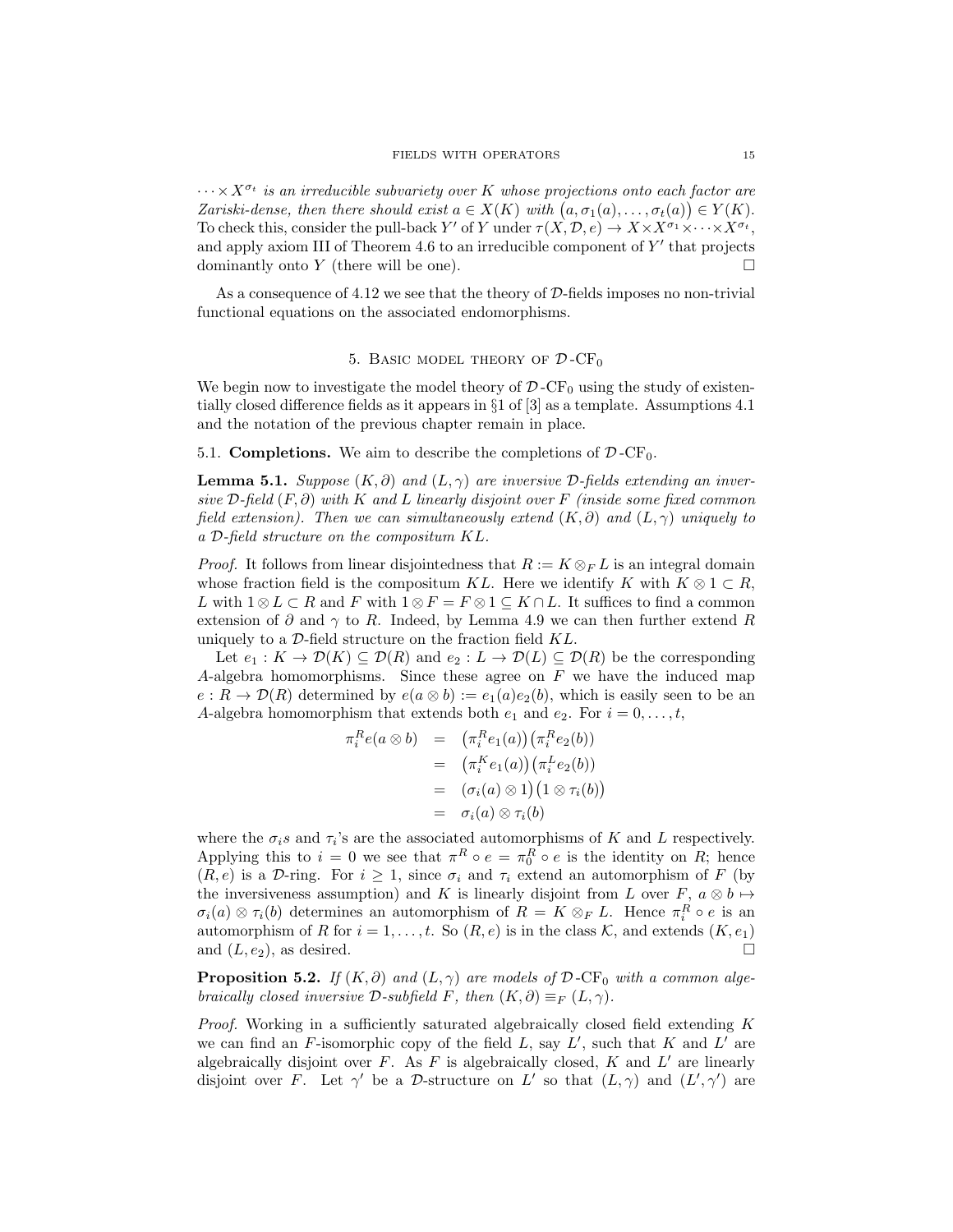$\cdots \times X^{\sigma_t}$  is an irreducible subvariety over K whose projections onto each factor are Zariski-dense, then there should exist  $a \in X(K)$  with  $(a, \sigma_1(a), \ldots, \sigma_t(a)) \in Y(K)$ . To check this, consider the pull-back Y' of Y under  $\tau(X, \mathcal{D}, e) \to X \times X^{\sigma_1} \times \cdots \times X^{\sigma_t}$ , and apply axiom III of Theorem 4.6 to an irreducible component of  $Y'$  that projects dominantly onto Y (there will be one).  $\Box$ 

As a consequence of 4.12 we see that the theory of D-fields imposes no non-trivial functional equations on the associated endomorphisms.

## 5. BASIC MODEL THEORY OF  $\mathcal{D}$ -CF<sub>0</sub>

We begin now to investigate the model theory of  $\mathcal{D}$ -CF<sub>0</sub> using the study of existentially closed difference fields as it appears in §1 of [3] as a template. Assumptions 4.1 and the notation of the previous chapter remain in place.

5.1. **Completions.** We aim to describe the completions of  $\mathcal{D}$ -CF<sub>0</sub>.

**Lemma 5.1.** Suppose  $(K, \partial)$  and  $(L, \gamma)$  are inversive  $D$ -fields extending an inversive  $\mathcal{D}\text{-field } (F, \partial)$  with  $K$  and  $L$  linearly disjoint over  $F$  (inside some fixed common field extension). Then we can simultaneously extend  $(K, \partial)$  and  $(L, \gamma)$  uniquely to a D-field structure on the compositum KL.

*Proof.* It follows from linear disjointedness that  $R := K \otimes_F L$  is an integral domain whose fraction field is the compositum KL. Here we identify K with  $K \otimes 1 \subset R$ , L with  $1 \otimes L \subset R$  and F with  $1 \otimes F = F \otimes 1 \subseteq K \cap L$ . It suffices to find a common extension of  $\partial$  and  $\gamma$  to R. Indeed, by Lemma 4.9 we can then further extend R uniquely to a  $\mathcal{D}\text{-field}$  structure on the fraction field  $KL$ .

Let  $e_1 : K \to \mathcal{D}(K) \subseteq \mathcal{D}(R)$  and  $e_2 : L \to \mathcal{D}(L) \subseteq \mathcal{D}(R)$  be the corresponding A-algebra homomorphisms. Since these agree on  $F$  we have the induced map  $e: R \to \mathcal{D}(R)$  determined by  $e(a \otimes b) := e_1(a)e_2(b)$ , which is easily seen to be an A-algebra homomorphism that extends both  $e_1$  and  $e_2$ . For  $i = 0, \ldots, t$ ,

$$
\pi_i^R e(a \otimes b) = (\pi_i^R e_1(a)) (\pi_i^R e_2(b))
$$
  
=  $(\pi_i^K e_1(a)) (\pi_i^L e_2(b))$   
=  $(\sigma_i(a) \otimes 1) (1 \otimes \tau_i(b))$   
=  $\sigma_i(a) \otimes \tau_i(b)$ 

where the  $\sigma_i$ s and  $\tau_i$ 's are the associated automorphisms of K and L respectively. Applying this to  $i = 0$  we see that  $\pi^R \circ e = \pi_0^R \circ e$  is the identity on R; hence  $(R, e)$  is a D-ring. For  $i \geq 1$ , since  $\sigma_i$  and  $\tau_i$  extend an automorphism of F (by the inversiveness assumption) and K is linearly disjoint from L over F,  $a \otimes b \mapsto$  $\sigma_i(a) \otimes \tau_i(b)$  determines an automorphism of  $R = K \otimes_F L$ . Hence  $\pi_i^R \circ e$  is an automorphism of R for  $i = 1, ..., t$ . So  $(R, e)$  is in the class K, and extends  $(K, e_1)$ and  $(L, e_2)$ , as desired.

**Proposition 5.2.** If  $(K, \partial)$  and  $(L, \gamma)$  are models of  $\mathcal{D}$ -CF<sub>0</sub> with a common algebraically closed inversive  $\mathcal{D}\text{-subfield } F$ , then  $(K,\partial) \equiv_F (L,\gamma)$ .

Proof. Working in a sufficiently saturated algebraically closed field extending K we can find an  $F$ -isomorphic copy of the field  $L$ , say  $L'$ , such that  $K$  and  $L'$  are algebraically disjoint over  $F$ . As  $F$  is algebraically closed,  $K$  and  $L'$  are linearly disjoint over F. Let  $\gamma'$  be a D-structure on L' so that  $(L, \gamma)$  and  $(L', \gamma')$  are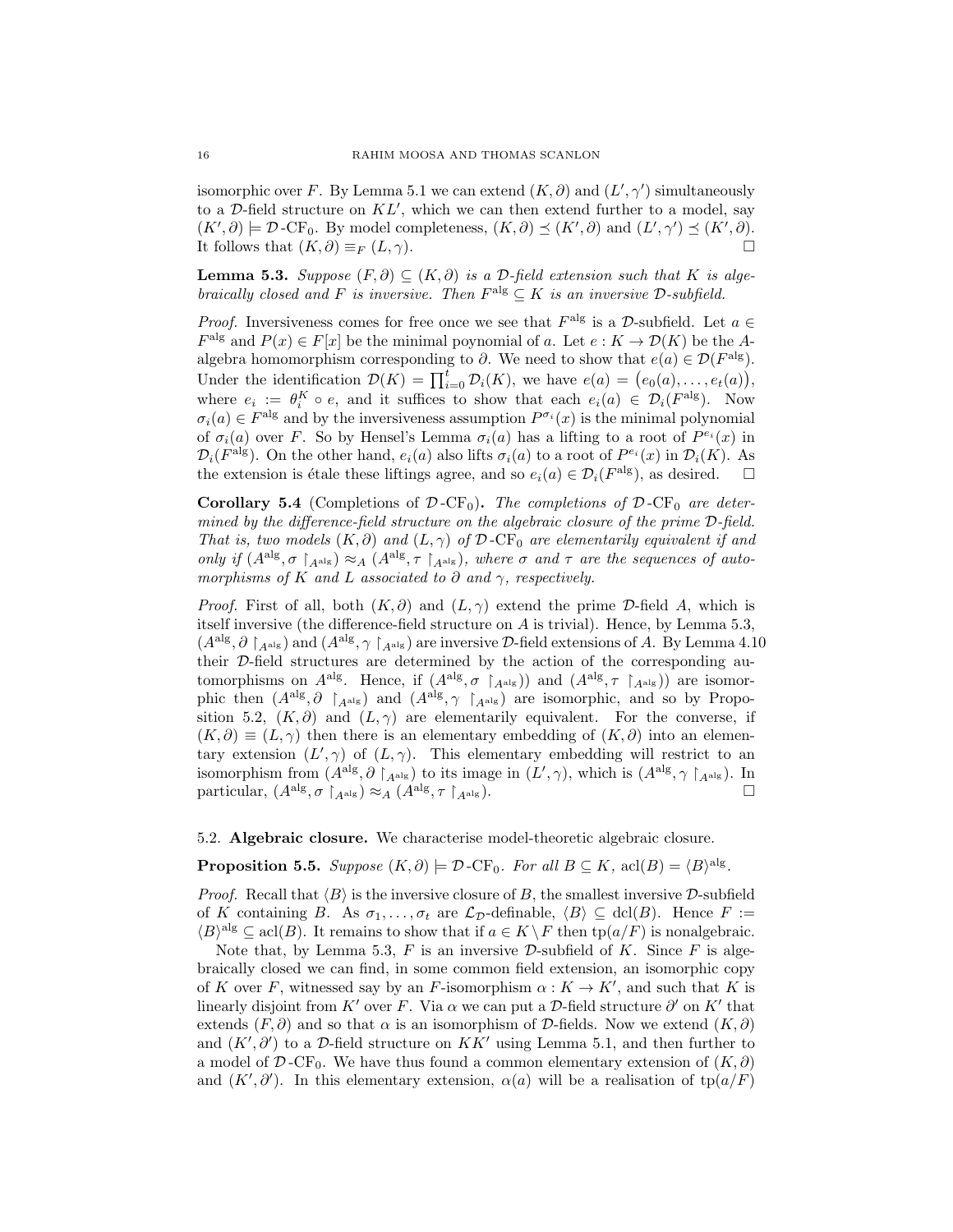isomorphic over F. By Lemma 5.1 we can extend  $(K, \partial)$  and  $(L', \gamma')$  simultaneously to a  $D$ -field structure on  $KL'$ , which we can then extend further to a model, say  $(K',\partial) \models \mathcal{D}\text{-CF}_0$ . By model completeness,  $(K,\partial) \preceq (K',\partial)$  and  $(L',\gamma') \preceq (K',\partial)$ . It follows that  $(K, \partial) \equiv_F (L, \gamma)$ .

**Lemma 5.3.** Suppose  $(F, \partial) \subseteq (K, \partial)$  is a D-field extension such that K is algebraically closed and F is inversive. Then  $F<sup>alg</sup> \subseteq K$  is an inversive  $\mathcal{D}\text{-}subfield$ .

*Proof.* Inversiveness comes for free once we see that  $F^{\text{alg}}$  is a  $D$ -subfield. Let  $a \in$  $F<sup>alg</sup>$  and  $P(x) \in F[x]$  be the minimal poynomial of a. Let  $e: K \to \mathcal{D}(K)$  be the Aalgebra homomorphism corresponding to  $\partial$ . We need to show that  $e(a) \in \mathcal{D}(F^{\text{alg}})$ . Under the identification  $\mathcal{D}(K) = \prod_{i=0}^{t} \mathcal{D}_i(K)$ , we have  $e(a) = (e_0(a), \ldots, e_t(a)),$ where  $e_i := \theta_i^K \circ e$ , and it suffices to show that each  $e_i(a) \in \mathcal{D}_i(F^{\text{alg}})$ . Now  $\sigma_i(a) \in F^{\text{alg}}$  and by the inversiveness assumption  $P^{\sigma_i}(x)$  is the minimal polynomial of  $\sigma_i(a)$  over F. So by Hensel's Lemma  $\sigma_i(a)$  has a lifting to a root of  $P^{e_i}(x)$  in  $\mathcal{D}_i(F^{\text{alg}})$ . On the other hand,  $e_i(a)$  also lifts  $\sigma_i(a)$  to a root of  $P^{e_i}(x)$  in  $\mathcal{D}_i(K)$ . As the extension is étale these liftings agree, and so  $e_i(a) \in \mathcal{D}_i(F^{\text{alg}})$ , as desired.  $\square$ 

Corollary 5.4 (Completions of  $\mathcal{D}$ -CF<sub>0</sub>). The completions of  $\mathcal{D}$ -CF<sub>0</sub> are determined by the difference-field structure on the algebraic closure of the prime D-field. That is, two models  $(K, \partial)$  and  $(L, \gamma)$  of  $\mathcal{D}$ -CF<sub>0</sub> are elementarily equivalent if and only if  $(A^{alg}, \sigma \upharpoonright_{A^{alg}}) \approx_A (A^{alg}, \tau \upharpoonright_{A^{alg}})$ , where  $\sigma$  and  $\tau$  are the sequences of automorphisms of K and L associated to  $\partial$  and  $\gamma$ , respectively.

*Proof.* First of all, both  $(K, \partial)$  and  $(L, \gamma)$  extend the prime D-field A, which is itself inversive (the difference-field structure on A is trivial). Hence, by Lemma 5.3,  $(A^{alg}, \partial \restriction_{A^{alg}})$  and  $(A^{alg}, \gamma \restriction_{A^{alg}})$  are inversive D-field extensions of A. By Lemma 4.10 their D-field structures are determined by the action of the corresponding automorphisms on  $A^{alg}$ . Hence, if  $(A^{alg}, \sigma \upharpoonright_{A^{alg}})$  and  $(A^{alg}, \tau \upharpoonright_{A^{alg}})$  are isomorphic then  $(A^{alg}, \partial \bigcap_{A^{alg}}$  and  $(A^{alg}, \gamma \bigcap_{A^{alg}})$  are isomorphic, and so by Proposition 5.2,  $(K, \partial)$  and  $(L, \gamma)$  are elementarily equivalent. For the converse, if  $(K, \partial) \equiv (L, \gamma)$  then there is an elementary embedding of  $(K, \partial)$  into an elementary extension  $(L', \gamma)$  of  $(L, \gamma)$ . This elementary embedding will restrict to an isomorphism from  $(A^{alg}, \partial \upharpoonright_{A^{alg}})$  to its image in  $(L', \gamma)$ , which is  $(A^{alg}, \gamma \upharpoonright_{A^{alg}})$ . In particular,  $(A^{alg}, \sigma \upharpoonright_{A^{alg}}) \approx_A (A^{alg}, \tau \upharpoonright_{A^{alg}})$ .

5.2. Algebraic closure. We characterise model-theoretic algebraic closure.

**Proposition 5.5.** Suppose  $(K, \partial) \models \mathcal{D}$ -CF<sub>0</sub>. For all  $B \subseteq K$ , acl $(B) = \langle B \rangle^{\text{alg}}$ .

*Proof.* Recall that  $\langle B \rangle$  is the inversive closure of B, the smallest inversive D-subfield of K containing B. As  $\sigma_1, \ldots, \sigma_t$  are  $\mathcal{L}_{\mathcal{D}}$ -definable,  $\langle B \rangle \subseteq \text{dcl}(B)$ . Hence  $F :=$  $\langle B \rangle^{\text{alg}} \subseteq \text{acl}(B)$ . It remains to show that if  $a \in K \backslash F$  then  $\text{tp}(a/F)$  is nonalgebraic.

Note that, by Lemma 5.3,  $F$  is an inversive  $D$ -subfield of  $K$ . Since  $F$  is algebraically closed we can find, in some common field extension, an isomorphic copy of K over F, witnessed say by an F-isomorphism  $\alpha: K \to K'$ , and such that K is linearly disjoint from K' over F. Via  $\alpha$  we can put a D-field structure  $\partial'$  on K' that extends  $(F, \partial)$  and so that  $\alpha$  is an isomorphism of  $\mathcal{D}$ -fields. Now we extend  $(K, \partial)$ and  $(K', \partial')$  to a D-field structure on  $KK'$  using Lemma 5.1, and then further to a model of  $\mathcal{D}$ -CF<sub>0</sub>. We have thus found a common elementary extension of  $(K, \partial)$ and  $(K', \partial')$ . In this elementary extension,  $\alpha(a)$  will be a realisation of tp $(a/F)$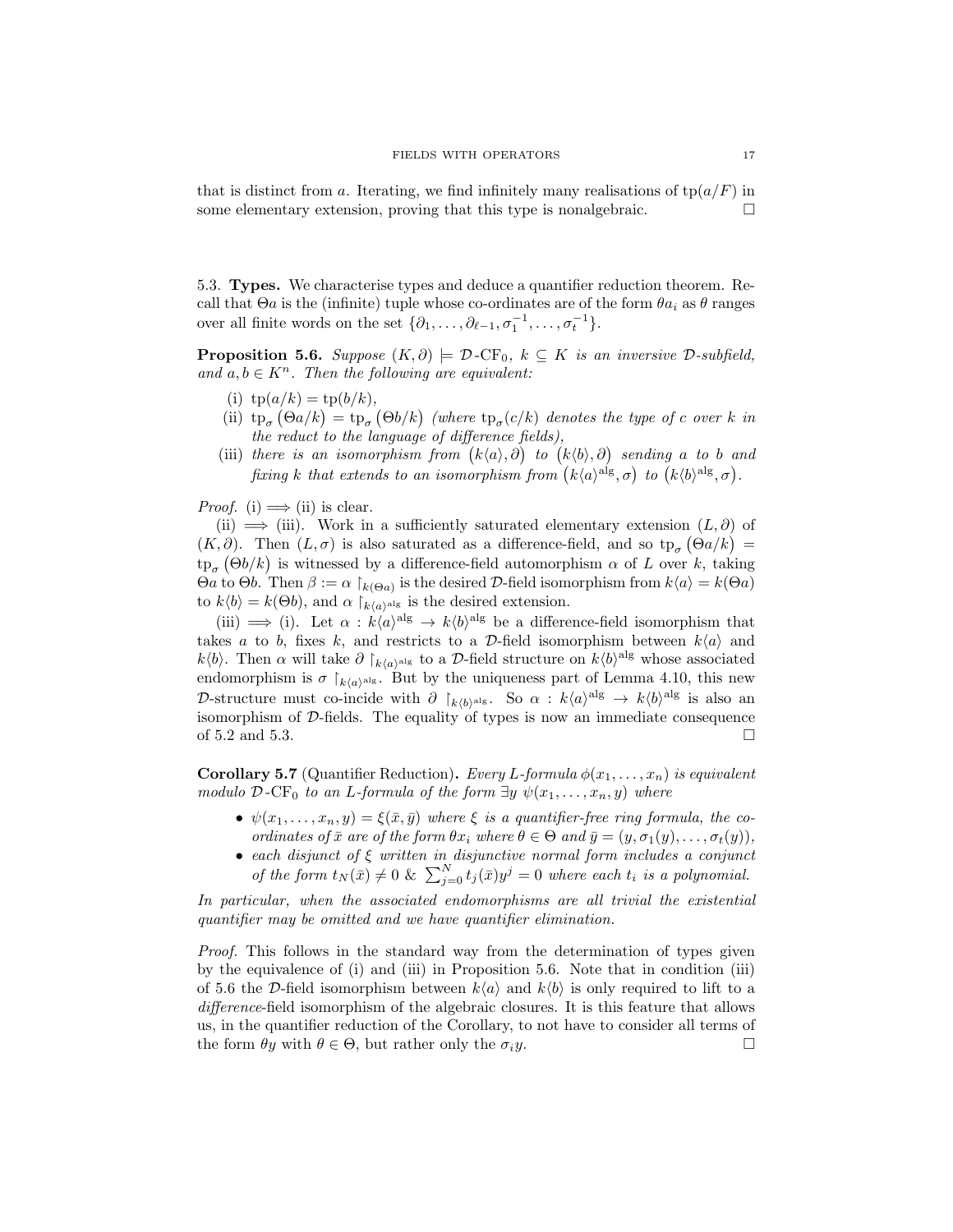that is distinct from a. Iterating, we find infinitely many realisations of  $\text{tp}(a/F)$  in some elementary extension, proving that this type is nonalgebraic.  $\Box$ 

5.3. Types. We characterise types and deduce a quantifier reduction theorem. Recall that  $\Theta a$  is the (infinite) tuple whose co-ordinates are of the form  $\theta a_i$  as  $\theta$  ranges over all finite words on the set  $\{\partial_1, \ldots, \partial_{\ell-1}, \sigma_1^{-1}, \ldots, \sigma_t^{-1}\}.$ 

**Proposition 5.6.** Suppose  $(K, \partial) \models \mathcal{D}$ -CF<sub>0</sub>,  $k \subseteq K$  is an inversive  $\mathcal{D}$ -subfield, and  $a, b \in K^n$ . Then the following are equivalent:

- (i)  $tp(a/k) = tp(b/k),$
- (ii)  $tp_{\sigma}(\Theta a/k) = tp_{\sigma}(\Theta b/k)$  (where  $tp_{\sigma}(c/k)$  denotes the type of c over k in the reduct to the language of difference fields),
- (iii) there is an isomorphism from  $(k\langle a\rangle, \partial)$  to  $(k\langle b\rangle, \partial)$  sending a to b and fixing k that extends to an isomorphism from  $(k\langle a \rangle^{\text{alg}}, \sigma)$  to  $(k\langle b \rangle^{\text{alg}}, \sigma)$ .

*Proof.* (i)  $\implies$  (ii) is clear.

(ii)  $\implies$  (iii). Work in a sufficiently saturated elementary extension  $(L, \partial)$  of  $(K, \partial)$ . Then  $(L, \sigma)$  is also saturated as a difference-field, and so  $tp_{\sigma}(\Theta a/k)$  $\text{tp}_{\sigma}(\Theta b/k)$  is witnessed by a difference-field automorphism  $\alpha$  of L over k, taking Θa to Θb. Then  $\beta := \alpha \restriction_{k(\Theta a)}$  is the desired D-field isomorphism from  $k\langle a \rangle = k(\Theta a)$ to  $k\langle b \rangle = k(\Theta b)$ , and  $\alpha \mid_{k\langle a \rangle}$ <sup>alg</sup> is the desired extension.

(iii)  $\implies$  (i). Let  $\alpha : k\langle a \rangle^{\text{alg}} \to k\langle b \rangle^{\text{alg}}$  be a difference-field isomorphism that takes a to b, fixes k, and restricts to a D-field isomorphism between  $k\langle a \rangle$  and  $k\langle b\rangle$ . Then  $\alpha$  will take  $\partial |_{k\langle a\rangle}$ <sup>alg</sup> to a D-field structure on  $k\langle b\rangle$ <sup>alg</sup> whose associated endomorphism is  $\sigma \upharpoonright_{k(a)^\text{alg}}$ . But by the uniqueness part of Lemma 4.10, this new D-structure must co-incide with  $\partial \big|_{k(b)^\text{alg}}$ . So  $\alpha : k(a)^\text{alg} \to k(b)^\text{alg}$  is also an isomorphism of D-fields. The equality of types is now an immediate consequence of 5.2 and 5.3.  $\Box$ 

**Corollary 5.7** (Quantifier Reduction). Every L-formula  $\phi(x_1, \ldots, x_n)$  is equivalent modulo D-CF<sub>0</sub> to an L-formula of the form  $\exists y \psi(x_1, \ldots, x_n, y)$  where

- $\psi(x_1,\ldots,x_n,y)=\xi(\bar{x},\bar{y})$  where  $\xi$  is a quantifier-free ring formula, the coordinates of  $\bar{x}$  are of the form  $\theta x_i$  where  $\theta \in \Theta$  and  $\bar{y}=(y,\sigma_1(y),\ldots,\sigma_t(y)),$
- each disjunct of ξ written in disjunctive normal form includes a conjunct of the form  $t_N(\bar{x}) \neq 0$  &  $\sum_{j=0}^N t_j(\bar{x})y^j = 0$  where each  $t_i$  is a polynomial.

In particular, when the associated endomorphisms are all trivial the existential quantifier may be omitted and we have quantifier elimination.

Proof. This follows in the standard way from the determination of types given by the equivalence of (i) and (iii) in Proposition 5.6. Note that in condition (iii) of 5.6 the D-field isomorphism between  $k\langle a \rangle$  and  $k\langle b \rangle$  is only required to lift to a difference-field isomorphism of the algebraic closures. It is this feature that allows us, in the quantifier reduction of the Corollary, to not have to consider all terms of the form  $\theta y$  with  $\theta \in \Theta$ , but rather only the  $\sigma_i y$ .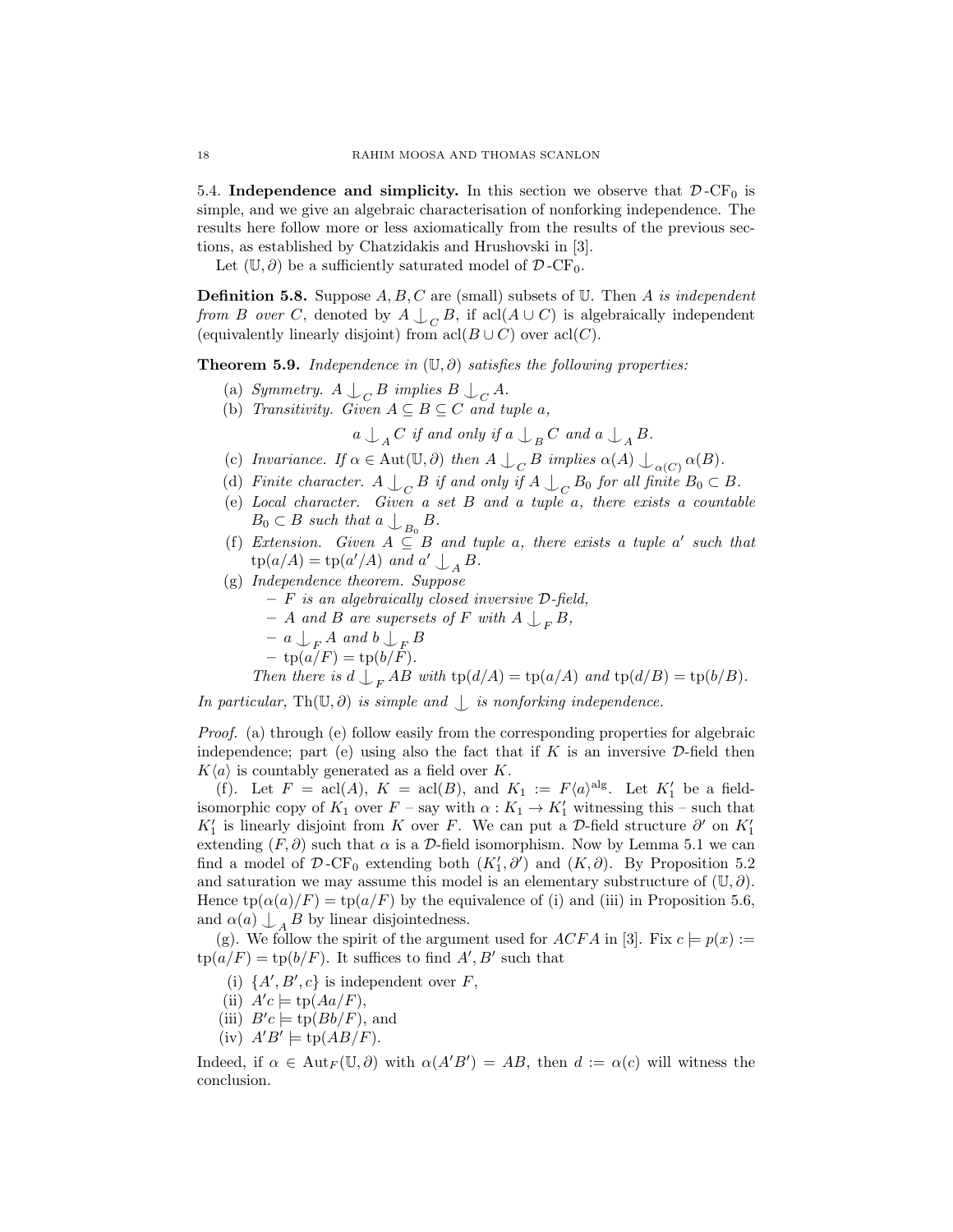5.4. Independence and simplicity. In this section we observe that  $\mathcal{D}$ -CF<sub>0</sub> is simple, and we give an algebraic characterisation of nonforking independence. The results here follow more or less axiomatically from the results of the previous sections, as established by Chatzidakis and Hrushovski in [3].

Let  $(\mathbb{U}, \partial)$  be a sufficiently saturated model of  $\mathcal{D}$ -CF<sub>0</sub>.

**Definition 5.8.** Suppose  $A, B, C$  are (small) subsets of  $U$ . Then  $A$  is independent from B over C, denoted by  $A \bigcup_C B$ , if acl( $A \cup C$ ) is algebraically independent (equivalently linearly disjoint) from  $\operatorname{acl}(B\cup C)$  over  $\operatorname{acl}(C)$ .

**Theorem 5.9.** Independence in  $(\mathbb{U}, \partial)$  satisfies the following properties:

- (a) Symmetry.  $A \bigcup_C B$  implies  $B \bigcup_C A$ .
- (b) Transitivity. Given  $A \subseteq B \subseteq C$  and tuple a,

 $a\bigcup\nolimits_{A}C\text{ if and only if }a\bigcup\nolimits_{B}C\text{ and }a\bigcup\nolimits_{A}B\text{.}%$ 

- (c) Invariance. If  $\alpha \in \text{Aut}(\mathbb{U}, \partial)$  then  $A \perp_C B$  implies  $\alpha(A) \perp_{\alpha(C)} \alpha(B)$ .
- (d) Finite character.  $A \bigcup_C B$  if and only if  $A \bigcup_C B_0$  for all finite  $B_0 \subset B$ .
- (e) Local character. Given a set B and a tuple a, there exists a countable  $B_0 \subset B$  such that  $a \bigcup_{B_0} B$ .
- (f) Extension. Given  $A \subseteq B$  and tuple a, there exists a tuple a' such that  $tp(a/A) = tp(a'/A)$  and  $a' \bigcup_A B$ .
- (g) Independence theorem. Suppose
	- $-$  F is an algebraically closed inversive  $\mathcal{D}\text{-field}$ ,
	- $-$  A and B are supersets of F with  $A \bigcup_{F} B$ ,
	- $a \bigcup_{F} A$  and  $b \bigcup_{F} B$
	- $-\text{tp}(a/F) = \text{tp}(b/F).$

Then there is  $d \perp_F AB$  with  $\text{tp}(d/A) = \text{tp}(a/A)$  and  $\text{tp}(d/B) = \text{tp}(b/B)$ .

In particular, Th( $\mathbb{U}, \partial$ ) is simple and  $\Box$  is nonforking independence.

Proof. (a) through (e) follow easily from the corresponding properties for algebraic independence; part (e) using also the fact that if  $K$  is an inversive  $\mathcal{D}\text{-field}$  then  $K\langle a \rangle$  is countably generated as a field over K.

(f). Let  $F = \operatorname{acl}(A)$ ,  $K = \operatorname{acl}(B)$ , and  $K_1 := F\langle a \rangle^{\operatorname{alg}}$ . Let  $K'_1$  be a fieldisomorphic copy of  $K_1$  over  $F$  – say with  $\alpha: K_1 \to K'_1$  witnessing this – such that  $K'_1$  is linearly disjoint from K over F. We can put a D-field structure  $\partial'$  on  $K'_1$ extending  $(F, \partial)$  such that  $\alpha$  is a  $\mathcal{D}$ -field isomorphism. Now by Lemma 5.1 we can find a model of  $\mathcal{D}$ -CF<sub>0</sub> extending both  $(K'_1, \partial')$  and  $(K, \partial)$ . By Proposition 5.2 and saturation we may assume this model is an elementary substructure of  $(\mathbb{U}, \partial)$ . Hence  $tp(\alpha(a)/F) = tp(a/F)$  by the equivalence of (i) and (iii) in Proposition 5.6, and  $\alpha(a) \bigcup_{A} B$  by linear disjointedness.

(g). We follow the spirit of the argument used for ACFA in [3]. Fix  $c \models p(x) :=$  $tp(a/F) = tp(b/F)$ . It suffices to find A', B' such that

- (i)  $\{A', B', c\}$  is independent over F,
- (ii)  $A'c \models \text{tp}(Aa/F),$
- (iii)  $B'c \models \text{tp}(Bb/F)$ , and
- (iv)  $A'B' \models \text{tp}(AB/F)$ .

Indeed, if  $\alpha \in \text{Aut}_F(\mathbb{U}, \partial)$  with  $\alpha(A'B') = AB$ , then  $d := \alpha(c)$  will witness the conclusion.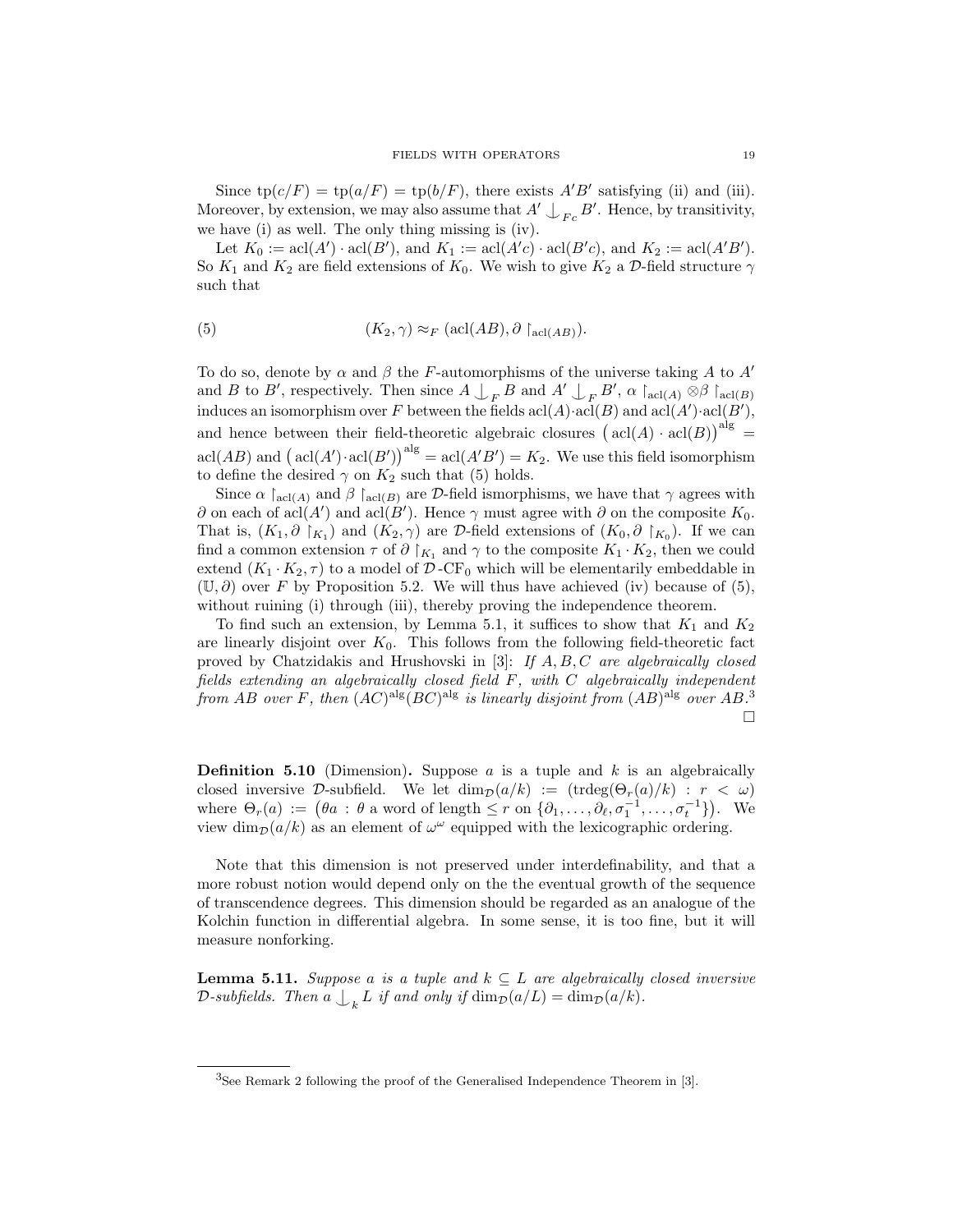Since  $tp(c/F) = tp(a/F) = tp(b/F)$ , there exists A'B' satisfying (ii) and (iii). Moreover, by extension, we may also assume that  $A' \bigcup_{Fc} B'$ . Hence, by transitivity, we have (i) as well. The only thing missing is (iv).

Let  $K_0 := \operatorname{acl}(A') \cdot \operatorname{acl}(B')$ , and  $K_1 := \operatorname{acl}(A'c) \cdot \operatorname{acl}(B'c)$ , and  $K_2 := \operatorname{acl}(A'B')$ . So  $K_1$  and  $K_2$  are field extensions of  $K_0$ . We wish to give  $K_2$  a D-field structure  $\gamma$ such that

(5) 
$$
(K_2, \gamma) \approx_F (\text{acl}(AB), \partial \upharpoonright_{\text{acl}(AB)}).
$$

To do so, denote by  $\alpha$  and  $\beta$  the F-automorphisms of the universe taking A to A' and B to B', respectively. Then since  $A \bigcup_{F} B$  and  $A' \bigcup_{F} B'$ ,  $\alpha \upharpoonright_{\text{acl}(A)} \otimes \beta \upharpoonright_{\text{acl}(B)}$ induces an isomorphism over F between the fields  $\text{acl}(A) \cdot \text{acl}(B)$  and  $\text{acl}(A') \cdot \text{acl}(B')$ , and hence between their field-theoretic algebraic closures  $(\text{acl}(A) \cdot \text{acl}(B))$ <sup>alg</sup> =  $\operatorname{acl}(AB)$  and  $(\operatorname{acl}(A') \cdot \operatorname{acl}(B'))^{\operatorname{alg}} = \operatorname{acl}(A'B') = K_2$ . We use this field isomorphism to define the desired  $\gamma$  on  $K_2$  such that (5) holds.

Since  $\alpha \upharpoonright_{\text{acl}(A)}$  and  $\beta \upharpoonright_{\text{acl}(B)}$  are D-field ismorphisms, we have that  $\gamma$  agrees with  $\partial$  on each of acl(A') and acl(B'). Hence  $\gamma$  must agree with  $\partial$  on the composite  $K_0$ . That is,  $(K_1, \partial \rvert_{K_1})$  and  $(K_2, \gamma)$  are D-field extensions of  $(K_0, \partial \rvert_{K_0})$ . If we can find a common extension  $\tau$  of  $\partial |_{K_1}$  and  $\gamma$  to the composite  $K_1 \cdot K_2$ , then we could extend  $(K_1 \cdot K_2, \tau)$  to a model of D-CF<sub>0</sub> which will be elementarily embeddable in  $(\mathbb{U}, \partial)$  over F by Proposition 5.2. We will thus have achieved (iv) because of (5), without ruining (i) through (iii), thereby proving the independence theorem.

To find such an extension, by Lemma 5.1, it suffices to show that  $K_1$  and  $K_2$ are linearly disjoint over  $K_0$ . This follows from the following field-theoretic fact proved by Chatzidakis and Hrushovski in [3]: If  $A, B, C$  are algebraically closed fields extending an algebraically closed field F, with C algebraically independent from AB over F, then  $(AC)^{alg}(BC)^{alg}$  is linearly disjoint from  $(AB)^{alg}$  over  $AB$ .<sup>3</sup>  $\Box$ 

**Definition 5.10** (Dimension). Suppose a is a tuple and k is an algebraically closed inversive D-subfield. We let  $\dim_{\mathcal{D}}(a/k) := (\text{trdeg}(\Theta_r(a)/k) : r < \omega)$ where  $\Theta_r(a) := (\theta a : \theta \text{ a word of length } \leq r \text{ on } \{\partial_1, \ldots, \partial_\ell, \sigma_1^{-1}, \ldots, \sigma_t^{-1}\}).$  We view  $\dim_{\mathcal{D}}(a/k)$  as an element of  $\omega^{\omega}$  equipped with the lexicographic ordering.

Note that this dimension is not preserved under interdefinability, and that a more robust notion would depend only on the the eventual growth of the sequence of transcendence degrees. This dimension should be regarded as an analogue of the Kolchin function in differential algebra. In some sense, it is too fine, but it will measure nonforking.

**Lemma 5.11.** Suppose a is a tuple and  $k \subseteq L$  are algebraically closed inversive D-subfields. Then  $a \bigcup_k L$  if and only if  $\dim_\mathcal{D}(a/L) = \dim_\mathcal{D}(a/k)$ .

<sup>&</sup>lt;sup>3</sup>See Remark 2 following the proof of the Generalised Independence Theorem in [3].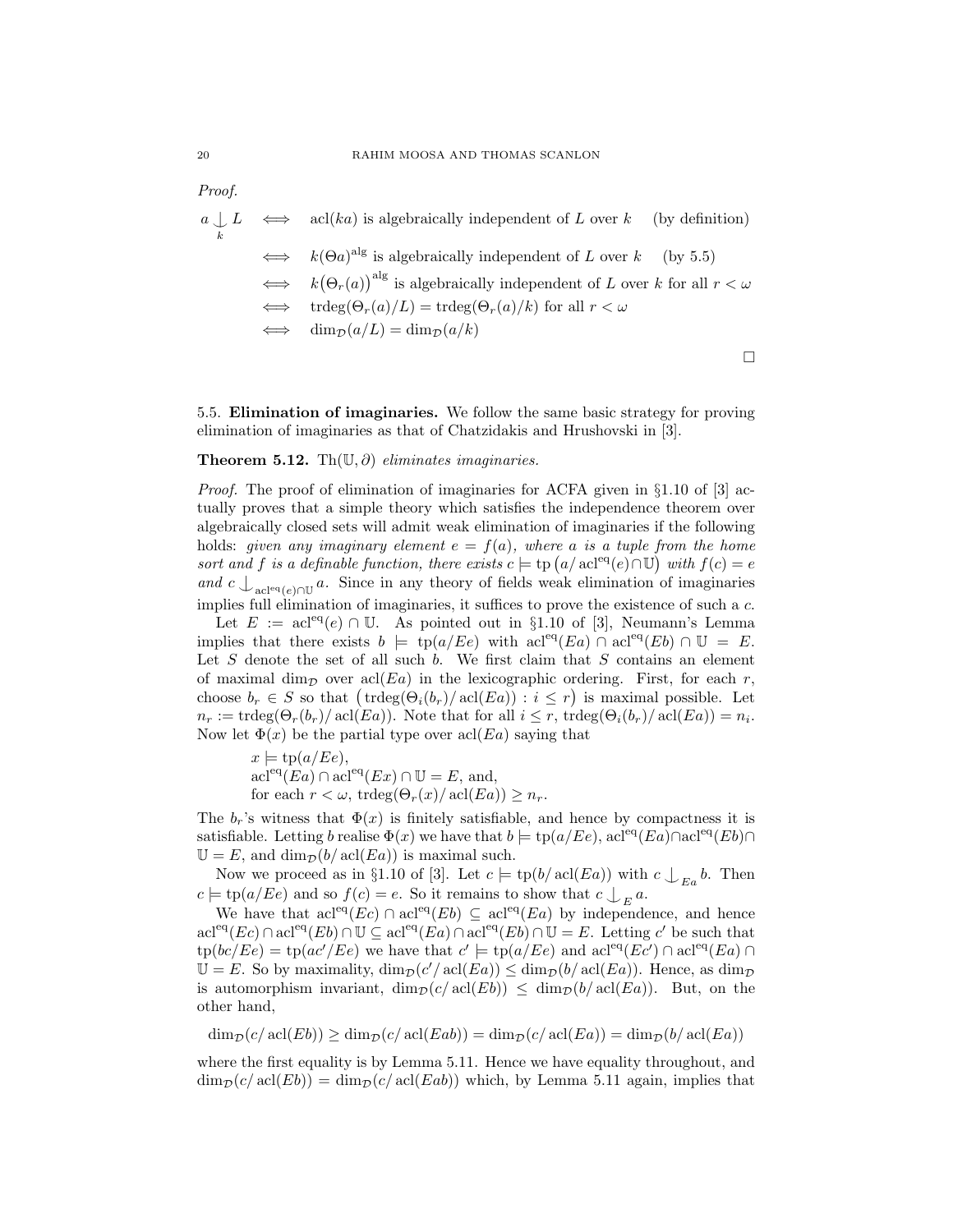*Proof.*  
\n
$$
a \perp L \iff \text{acl}(ka)
$$
 is algebraically independent of *L* over *k* (by definition)  
\n $\iff k(\Theta a)^{\text{alg}}$  is algebraically independent of *L* over *k* (by 5.5)  
\n $\iff k(\Theta_r(a))^{\text{alg}}$  is algebraically independent of *L* over *k* for all  $r < \omega$   
\n $\iff \text{trdeg}(\Theta_r(a)/L) = \text{trdeg}(\Theta_r(a)/k)$  for all  $r < \omega$   
\n $\iff \dim_{\mathcal{D}}(a/L) = \dim_{\mathcal{D}}(a/k)$ 

5.5. Elimination of imaginaries. We follow the same basic strategy for proving elimination of imaginaries as that of Chatzidakis and Hrushovski in [3].

### Theorem 5.12. Th $(\mathbb{U}, \partial)$  eliminates imaginaries.

*Proof.* The proof of elimination of imaginaries for ACFA given in  $\S1.10$  of [3] actually proves that a simple theory which satisfies the independence theorem over algebraically closed sets will admit weak elimination of imaginaries if the following holds: given any imaginary element  $e = f(a)$ , where a is a tuple from the home sort and f is a definable function, there exists  $c \models$  tp  $(a/\operatorname{acl}^{eq}(e) \cap \mathbb{U})$  with  $f(c) = e$ and  $c \int_{\text{acl}^{\text{eq}}(e) \cap \mathbb{U}} a$ . Since in any theory of fields weak elimination of imaginaries implies full elimination of imaginaries, it suffices to prove the existence of such a c.

Let  $E := \text{acl}^{\text{eq}}(e) \cap \mathbb{U}$ . As pointed out in §1.10 of [3], Neumann's Lemma implies that there exists  $b \models \text{tp}(a/Ee)$  with  $\text{acl}^{\text{eq}}(Ea) \cap \text{acl}^{\text{eq}}(Eb) \cap \mathbb{U} = E$ . Let  $S$  denote the set of all such  $b$ . We first claim that  $S$  contains an element of maximal dim<sub>p</sub> over acl(Ea) in the lexicographic ordering. First, for each r, choose  $b_r \in S$  so that  $(\text{trdeg}(\Theta_i(b_r)/\text{acl}(E_a)) : i \leq r)$  is maximal possible. Let  $n_r := \text{trdeg}(\Theta_r(b_r)/\text{acl}(Ea))$ . Note that for all  $i \leq r$ ,  $\text{trdeg}(\Theta_i(b_r)/\text{acl}(Ea)) = n_i$ . Now let  $\Phi(x)$  be the partial type over acl $(Ea)$  saying that

 $x \models \text{tp}(a/Ee),$  $\operatorname{acl}^{\text{eq}}(Ea) \cap \operatorname{acl}^{\text{eq}}(Ex) \cap \mathbb{U} = E$ , and, for each  $r < \omega$ , trdeg $(\Theta_r(x)/\text{acl}(Ea)) \geq n_r$ .

The  $b_r$ 's witness that  $\Phi(x)$  is finitely satisfiable, and hence by compactness it is satisfiable. Letting b realise  $\Phi(x)$  we have that  $b \models \text{tp}(a/EE)$ , acl<sup>eq</sup>(Ea)∩acl<sup>eq</sup>(Eb)∩  $\mathbb{U} = E$ , and  $\dim_{\mathcal{D}}(b/\operatorname{acl}(Ea))$  is maximal such.

Now we proceed as in §1.10 of [3]. Let  $c \models \text{tp}(b/\text{acl}(Ea))$  with  $c \bigcup_{E_a} b$ . Then  $c \models \text{tp}(a/Ee)$  and so  $f(c) = e$ . So it remains to show that  $c \bigcup_{E} a$ .

We have that  $\mathrm{acl}^{\mathrm{eq}}(Ec) \cap \mathrm{acl}^{\mathrm{eq}}(Eb) \subseteq \mathrm{acl}^{\mathrm{eq}}(Ea)$  by independence, and hence  $\text{acl}^{\text{eq}}(Ec) \cap \text{acl}^{\text{eq}}(Eb) \cap \mathbb{U} \subseteq \text{acl}^{\text{eq}}(Ea) \cap \text{acl}^{\text{eq}}(Eb) \cap \mathbb{U} = E.$  Letting c' be such that  $\text{tp}(bc/Ee) = \text{tp}(ac/EE)$  we have that  $c' \models \text{tp}(a/EE)$  and  $\text{acl}^{\text{eq}}(Ec') \cap \text{acl}^{\text{eq}}(Ea) \cap$  $\mathbb{U} = E$ . So by maximality,  $\dim_{\mathcal{D}}(c'/\text{acl}(E_a)) \leq \dim_{\mathcal{D}}(b/\text{acl}(E_a))$ . Hence, as  $\dim_{\mathcal{D}}$ is automorphism invariant,  $\dim_{\mathcal{D}}(c/\text{acl}(Eb)) \leq \dim_{\mathcal{D}}(b/\text{acl}(Ea)).$  But, on the other hand,

 $\dim_{\mathcal{D}}(c/\operatorname{acl}(Eb)) \geq \dim_{\mathcal{D}}(c/\operatorname{acl}(Eab)) = \dim_{\mathcal{D}}(c/\operatorname{acl}(Ea)) = \dim_{\mathcal{D}}(b/\operatorname{acl}(Ea))$ 

where the first equality is by Lemma 5.11. Hence we have equality throughout, and  $\dim_{\mathcal{D}}(c/\operatorname{acl}(Eb)) = \dim_{\mathcal{D}}(c/\operatorname{acl}(Eab))$  which, by Lemma 5.11 again, implies that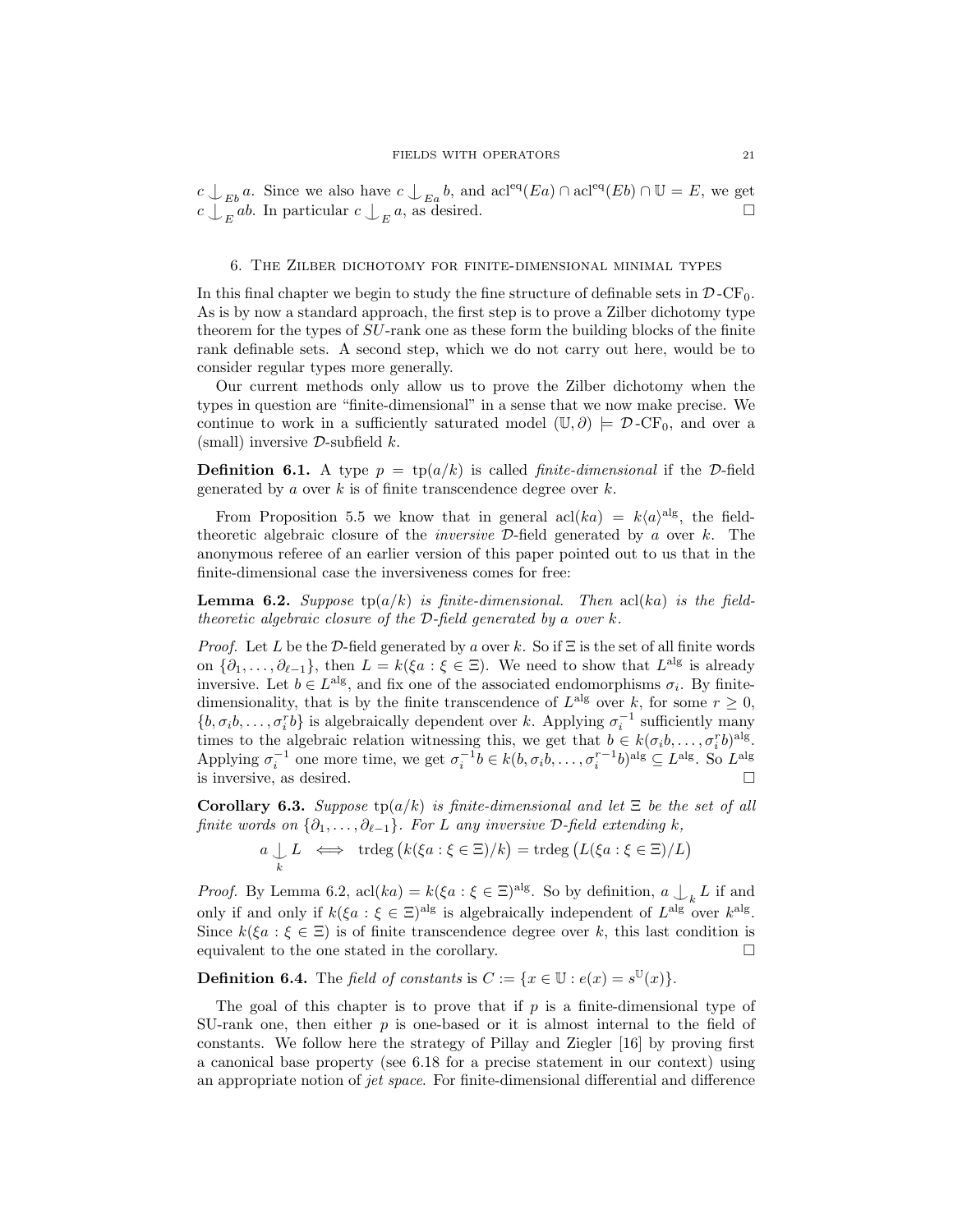$c \perp_{Eb} a$ . Since we also have  $c \perp_{Ea} b$ , and  $\text{acl}^{\text{eq}}(Ea) \cap \text{acl}^{\text{eq}}(Eb) \cap \mathbb{U} = E$ , we get  $c \bigcup_{E} ab$ . In particular  $c \bigcup_{E}$ a, as desired.  $\Box$ 

### 6. The Zilber dichotomy for finite-dimensional minimal types

In this final chapter we begin to study the fine structure of definable sets in  $\mathcal{D}$ -CF<sub>0</sub>. As is by now a standard approach, the first step is to prove a Zilber dichotomy type theorem for the types of SU-rank one as these form the building blocks of the finite rank definable sets. A second step, which we do not carry out here, would be to consider regular types more generally.

Our current methods only allow us to prove the Zilber dichotomy when the types in question are "finite-dimensional" in a sense that we now make precise. We continue to work in a sufficiently saturated model  $(\mathbb{U}, \partial) \models \mathcal{D} \text{-CF}_0$ , and over a (small) inversive  $\mathcal{D}$ -subfield k.

**Definition 6.1.** A type  $p = \text{tp}(a/k)$  is called *finite-dimensional* if the D-field generated by a over  $k$  is of finite transcendence degree over  $k$ .

From Proposition 5.5 we know that in general  $\text{acl}(ka) = k\langle a \rangle^{\text{alg}}$ , the fieldtheoretic algebraic closure of the *inversive*  $\mathcal{D}\text{-field generated by }a$  over k. The anonymous referee of an earlier version of this paper pointed out to us that in the finite-dimensional case the inversiveness comes for free:

**Lemma 6.2.** Suppose tp( $a/k$ ) is finite-dimensional. Then acl( $ka$ ) is the fieldtheoretic algebraic closure of the  $\mathcal{D}\text{-field}$  generated by a over k.

*Proof.* Let L be the D-field generated by a over k. So if  $\Xi$  is the set of all finite words on  $\{\partial_1,\ldots,\partial_{\ell-1}\},\$  then  $L = k(\xi a : \xi \in \Xi)$ . We need to show that  $L^{\text{alg}}$  is already inversive. Let  $b \in L^{\text{alg}}$ , and fix one of the associated endomorphisms  $\sigma_i$ . By finitedimensionality, that is by the finite transcendence of  $L^{alg}$  over k, for some  $r \geq 0$ ,  $\{b, \sigma_i b, \ldots, \sigma_i^r b\}$  is algebraically dependent over k. Applying  $\sigma_i^{-1}$  sufficiently many times to the algebraic relation witnessing this, we get that  $b \in k(\sigma_i b, \ldots, \sigma_i^r b)^{\text{alg}}$ . Applying  $\sigma_i^{-1}$  one more time, we get  $\sigma_i^{-1}b \in k(b, \sigma_i b, \ldots, \sigma_i^{r-1}b)^{\text{alg}} \subseteq L^{\text{alg}}$ . So  $L^{\text{alg}}$ is inversive, as desired.

Corollary 6.3. Suppose  $tp(a/k)$  is finite-dimensional and let  $\Xi$  be the set of all finite words on  $\{\partial_1,\ldots,\partial_{\ell-1}\}$ . For L any inversive D-field extending k,

> $a \nightharpoonup_k$ L  $\iff$  trdeg  $(k(\xi a : \xi \in \Xi)/k) = \text{trdeg}(L(\xi a : \xi \in \Xi)/L)$

*Proof.* By Lemma 6.2,  $\text{acl}(ka) = k(\xi a : \xi \in \Xi)^{\text{alg}}$ . So by definition,  $a \bigcup_k L$  if and only if and only if  $k(\xi a : \xi \in \Xi)$ <sup>alg</sup> is algebraically independent of  $L^{alg}$  over  $k^{alg}$ . Since  $k(\xi a : \xi \in \Xi)$  is of finite transcendence degree over k, this last condition is equivalent to the one stated in the corollary.  $\square$ 

**Definition 6.4.** The field of constants is  $C := \{x \in \mathbb{U} : e(x) = s^{\mathbb{U}}(x)\}.$ 

The goal of this chapter is to prove that if  $p$  is a finite-dimensional type of SU-rank one, then either  $p$  is one-based or it is almost internal to the field of constants. We follow here the strategy of Pillay and Ziegler [16] by proving first a canonical base property (see 6.18 for a precise statement in our context) using an appropriate notion of jet space. For finite-dimensional differential and difference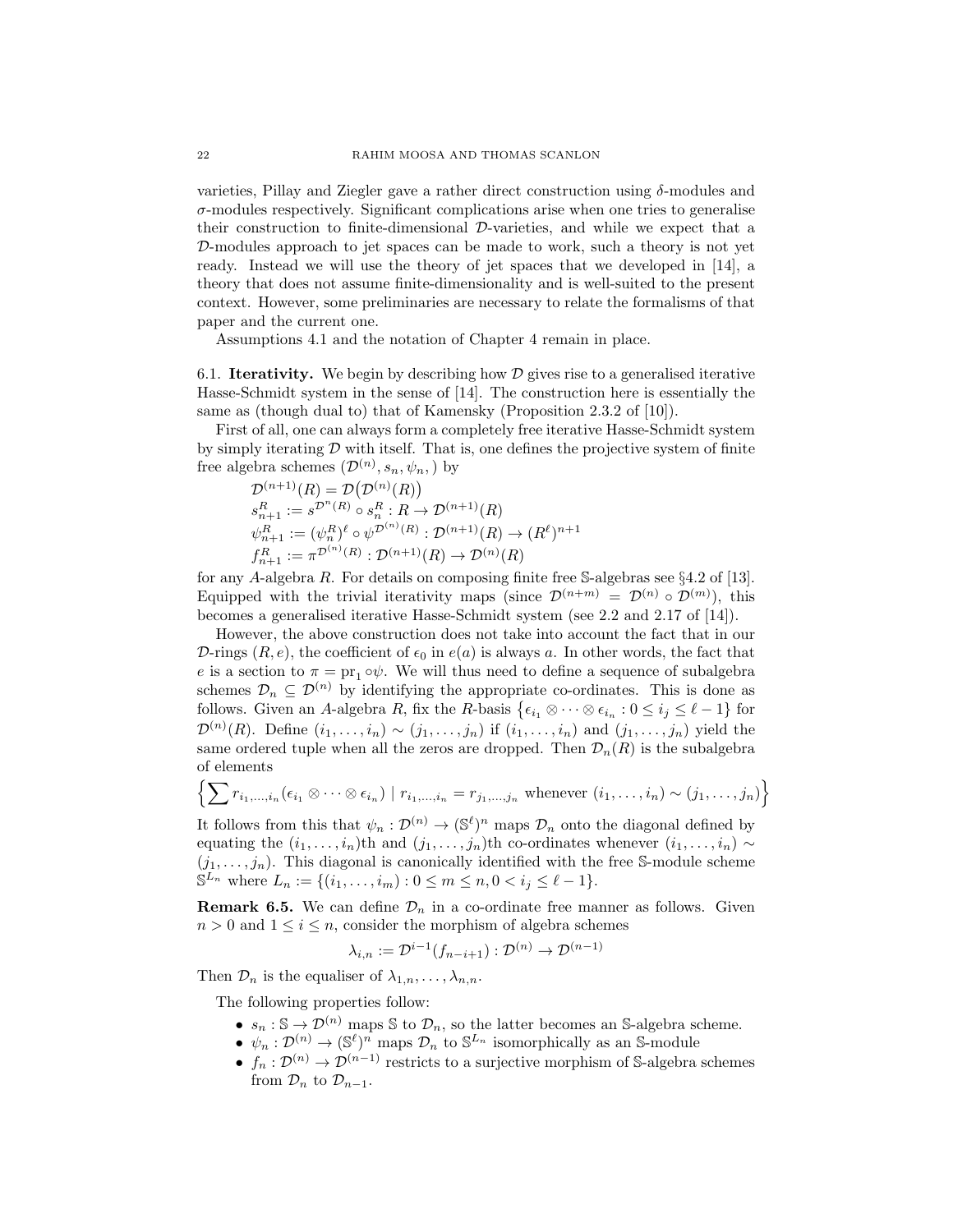varieties, Pillay and Ziegler gave a rather direct construction using δ-modules and  $\sigma$ -modules respectively. Significant complications arise when one tries to generalise their construction to finite-dimensional D-varieties, and while we expect that a D-modules approach to jet spaces can be made to work, such a theory is not yet ready. Instead we will use the theory of jet spaces that we developed in [14], a theory that does not assume finite-dimensionality and is well-suited to the present context. However, some preliminaries are necessary to relate the formalisms of that paper and the current one.

Assumptions 4.1 and the notation of Chapter 4 remain in place.

6.1. **Iterativity.** We begin by describing how  $\mathcal{D}$  gives rise to a generalised iterative Hasse-Schmidt system in the sense of [14]. The construction here is essentially the same as (though dual to) that of Kamensky (Proposition 2.3.2 of [10]).

First of all, one can always form a completely free iterative Hasse-Schmidt system by simply iterating  $D$  with itself. That is, one defines the projective system of finite free algebra schemes  $(\mathcal{D}^{(n)}, s_n, \psi_n)$  by

$$
\mathcal{D}^{(n+1)}(R) = \mathcal{D}(\mathcal{D}^{(n)}(R))
$$
\n
$$
s_{n+1}^R := s^{\mathcal{D}^n(R)} \circ s_n^R : R \to \mathcal{D}^{(n+1)}(R)
$$
\n
$$
\psi_{n+1}^R := (\psi_n^R)^{\ell} \circ \psi^{\mathcal{D}^{(n)}(R)} : \mathcal{D}^{(n+1)}(R) \to (R^{\ell})^{n+1}
$$
\n
$$
f_{n+1}^R := \pi^{\mathcal{D}^{(n)}(R)} : \mathcal{D}^{(n+1)}(R) \to \mathcal{D}^{(n)}(R)
$$

for any A-algebra R. For details on composing finite free S-algebras see  $\S 4.2$  of [13]. Equipped with the trivial iterativity maps (since  $\mathcal{D}^{(n+m)} = \mathcal{D}^{(n)} \circ \mathcal{D}^{(m)}$ ), this becomes a generalised iterative Hasse-Schmidt system (see 2.2 and 2.17 of [14]).

However, the above construction does not take into account the fact that in our D-rings  $(R, e)$ , the coefficient of  $\epsilon_0$  in  $e(a)$  is always a. In other words, the fact that e is a section to  $\pi = \text{pr}_1 \circ \psi$ . We will thus need to define a sequence of subalgebra schemes  $\mathcal{D}_n \subseteq \mathcal{D}^{(n)}$  by identifying the appropriate co-ordinates. This is done as follows. Given an A-algebra R, fix the R-basis  $\{\epsilon_{i_1} \otimes \cdots \otimes \epsilon_{i_n} : 0 \leq i_j \leq \ell - 1\}$  for  $\mathcal{D}^{(n)}(R)$ . Define  $(i_1,\ldots,i_n) \sim (j_1,\ldots,j_n)$  if  $(i_1,\ldots,i_n)$  and  $(j_1,\ldots,j_n)$  yield the same ordered tuple when all the zeros are dropped. Then  $\mathcal{D}_n(R)$  is the subalgebra of elements

$$
\left\{\sum r_{i_1,\ldots,i_n}(\epsilon_{i_1}\otimes\cdots\otimes\epsilon_{i_n})\mid r_{i_1,\ldots,i_n}=r_{j_1,\ldots,j_n}\text{ whenever }(i_1,\ldots,i_n)\sim(j_1,\ldots,j_n)\right\}
$$

It follows from this that  $\psi_n: \mathcal{D}^{(n)} \to (\mathbb{S}^{\ell})^n$  maps  $\mathcal{D}_n$  onto the diagonal defined by equating the  $(i_1, \ldots, i_n)$ th and  $(j_1, \ldots, j_n)$ th co-ordinates whenever  $(i_1, \ldots, i_n) \sim$  $(j_1, \ldots, j_n)$ . This diagonal is canonically identified with the free S-module scheme  $\mathbb{S}^{L_n}$  where  $L_n := \{(i_1, \ldots, i_m) : 0 \leq m \leq n, 0 < i_j \leq \ell - 1\}.$ 

**Remark 6.5.** We can define  $\mathcal{D}_n$  in a co-ordinate free manner as follows. Given  $n > 0$  and  $1 \leq i \leq n$ , consider the morphism of algebra schemes

$$
\lambda_{i,n} := \mathcal{D}^{i-1}(f_{n-i+1}) : \mathcal{D}^{(n)} \to \mathcal{D}^{(n-1)}
$$

Then  $\mathcal{D}_n$  is the equaliser of  $\lambda_{1,n}, \ldots, \lambda_{n,n}$ .

The following properties follow:

- $s_n : \mathbb{S} \to \mathcal{D}^{(n)}$  maps  $\mathbb{S}$  to  $\mathcal{D}_n$ , so the latter becomes an  $\mathbb{S}$ -algebra scheme.
- $\psi_n: \mathcal{D}^{(n)} \to (\mathbb{S}^{\ell})^n$  maps  $\mathcal{D}_n$  to  $\mathbb{S}^{L_n}$  isomorphically as an S-module
- $f_n: \mathcal{D}^{(n)} \to \mathcal{D}^{(n-1)}$  restricts to a surjective morphism of S-algebra schemes from  $\mathcal{D}_n$  to  $\mathcal{D}_{n-1}$ .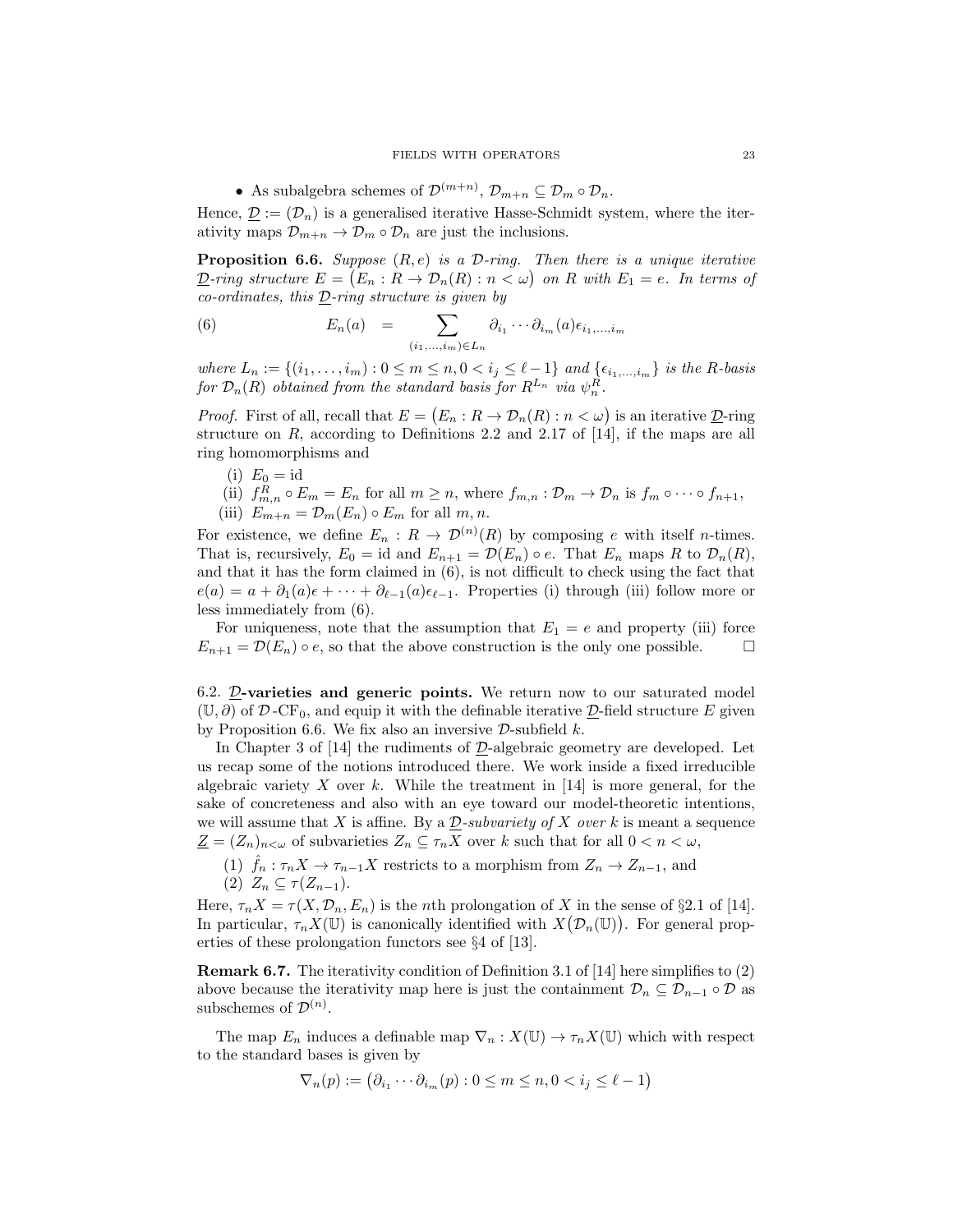• As subalgebra schemes of  $\mathcal{D}^{(m+n)}$ ,  $\mathcal{D}_{m+n} \subseteq \mathcal{D}_m \circ \mathcal{D}_n$ .

Hence,  $\underline{\mathcal{D}} := (\mathcal{D}_n)$  is a generalised iterative Hasse-Schmidt system, where the iterativity maps  $\mathcal{D}_{m+n} \to \mathcal{D}_m \circ \mathcal{D}_n$  are just the inclusions.

**Proposition 6.6.** Suppose  $(R, e)$  is a D-ring. Then there is a unique iterative  $\underline{\mathcal{D}}$ -ring structure  $E = (E_n : R \to \mathcal{D}_n(R) : n < \omega)$  on R with  $E_1 = e$ . In terms of  $co-ordinates, this  $D\rightarrow ring$  structure is given by$ 

(6) 
$$
E_n(a) = \sum_{(i_1,\ldots,i_m)\in L_n} \partial_{i_1} \cdots \partial_{i_m}(a) \epsilon_{i_1,\ldots,i_m}
$$

where  $L_n := \{(i_1, ..., i_m) : 0 \le m \le n, 0 < i_j \le \ell - 1\}$  and  $\{\epsilon_{i_1,...,i_m}\}$  is the R-basis for  $\mathcal{D}_n(R)$  obtained from the standard basis for  $R^{L_n}$  via  $\psi_n^R$ .

*Proof.* First of all, recall that  $E = (E_n : R \to \mathcal{D}_n(R) : n < \omega)$  is an iterative  $\underline{\mathcal{D}}$ -ring structure on  $R$ , according to Definitions 2.2 and 2.17 of [14], if the maps are all ring homomorphisms and

- (i)  $E_0 = id$
- (ii)  $f_{m,n}^R \circ E_m = E_n$  for all  $m \ge n$ , where  $f_{m,n} : \mathcal{D}_m \to \mathcal{D}_n$  is  $f_m \circ \cdots \circ f_{n+1}$ , (iii)  $E_{m+n} = \mathcal{D}_m(E_n) \circ E_m$  for all  $m, n$ .

For existence, we define  $E_n: R \to \mathcal{D}^{(n)}(R)$  by composing e with itself n-times. That is, recursively,  $E_0 = id$  and  $E_{n+1} = \mathcal{D}(E_n) \circ e$ . That  $E_n$  maps R to  $\mathcal{D}_n(R)$ , and that it has the form claimed in (6), is not difficult to check using the fact that  $e(a) = a + \partial_1(a)\epsilon + \cdots + \partial_{\ell-1}(a)\epsilon_{\ell-1}$ . Properties (i) through (iii) follow more or less immediately from (6).

For uniqueness, note that the assumption that  $E_1 = e$  and property (iii) force  $E_{n+1} = \mathcal{D}(E_n) \circ e$ , so that the above construction is the only one possible.  $\Box$ 

6.2.  $\mathcal{D}$ -varieties and generic points. We return now to our saturated model  $(\mathbb{U}, \partial)$  of D-CF<sub>0</sub>, and equip it with the definable iterative D-field structure E given by Proposition 6.6. We fix also an inversive  $\mathcal{D}\text{-subfield }k$ .

In Chapter 3 of  $[14]$  the rudiments of  $\mathcal{D}$ -algebraic geometry are developed. Let us recap some of the notions introduced there. We work inside a fixed irreducible algebraic variety X over k. While the treatment in  $[14]$  is more general, for the sake of concreteness and also with an eye toward our model-theoretic intentions, we will assume that X is affine. By a  $\mathcal{D}\text{-subvariety of }X$  over k is meant a sequence  $\underline{Z} = (Z_n)_{n \leq \omega}$  of subvarieties  $Z_n \subseteq \tau_n X$  over k such that for all  $0 < n < \omega$ ,

(1)  $\hat{f}_n : \tau_n X \to \tau_{n-1} X$  restricts to a morphism from  $Z_n \to Z_{n-1}$ , and (2)  $Z_n \subseteq \tau(Z_{n-1}).$ 

Here,  $\tau_n X = \tau(X, \mathcal{D}_n, E_n)$  is the *n*th prolongation of X in the sense of §2.1 of [14]. In particular,  $\tau_n X(\mathbb{U})$  is canonically identified with  $X(\mathcal{D}_n(\mathbb{U}))$ . For general properties of these prolongation functors see §4 of [13].

Remark 6.7. The iterativity condition of Definition 3.1 of [14] here simplifies to (2) above because the iterativity map here is just the containment  $\mathcal{D}_n \subseteq \mathcal{D}_{n-1} \circ \mathcal{D}$  as subschemes of  $\mathcal{D}^{(n)}$ .

The map  $E_n$  induces a definable map  $\nabla_n : X(\mathbb{U}) \to \tau_n X(\mathbb{U})$  which with respect to the standard bases is given by

$$
\nabla_n(p) := \left(\partial_{i_1} \cdots \partial_{i_m}(p) : 0 \le m \le n, 0 < i_j \le \ell - 1\right)
$$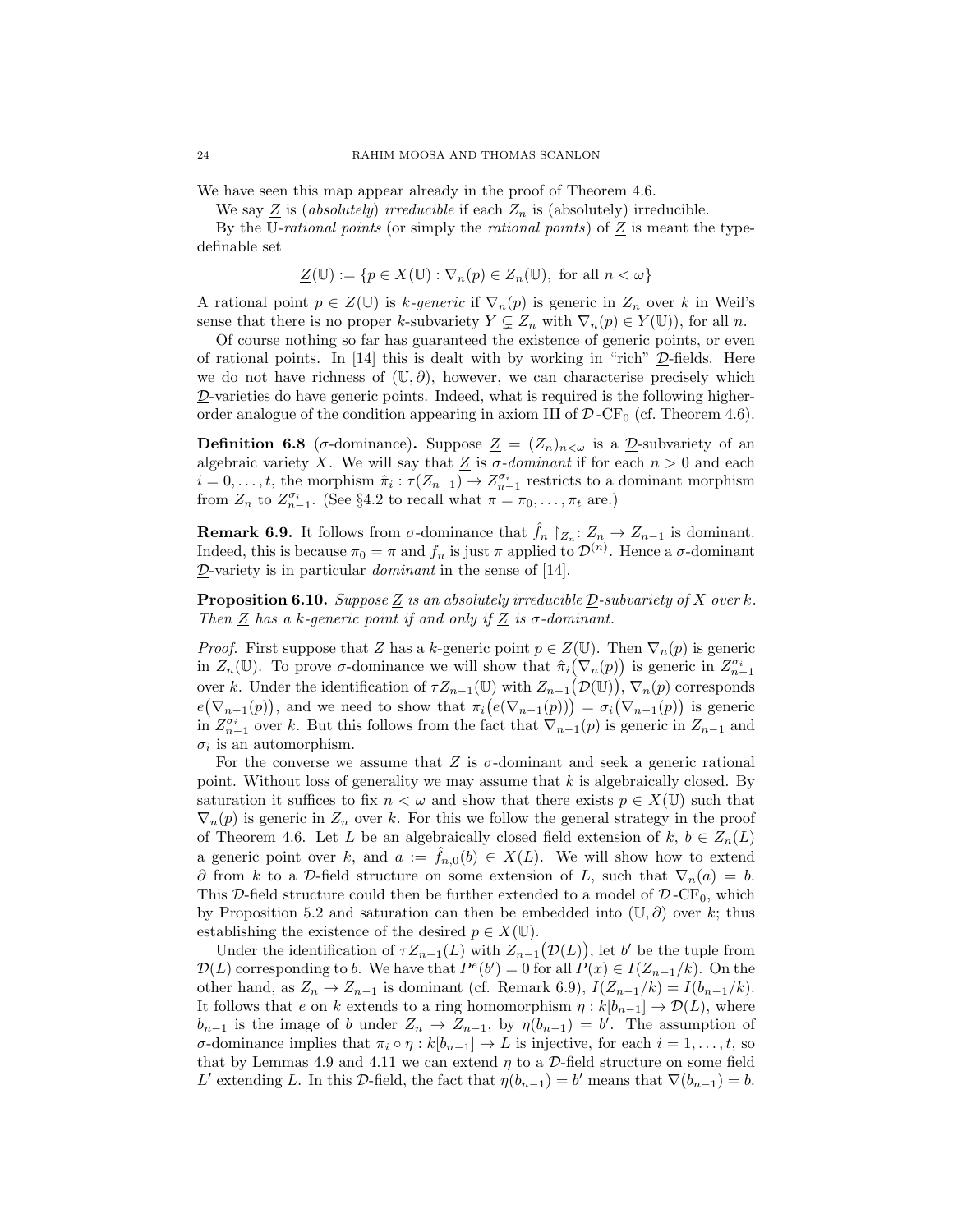We have seen this map appear already in the proof of Theorem 4.6.

We say  $Z$  is (absolutely) irreducible if each  $Z_n$  is (absolutely) irreducible.

By the U-rational points (or simply the rational points) of  $Z$  is meant the typedefinable set

$$
\underline{Z}(\mathbb{U}) := \{ p \in X(\mathbb{U}) : \nabla_n(p) \in Z_n(\mathbb{U}), \text{ for all } n < \omega \}
$$

A rational point  $p \in \underline{Z}(\mathbb{U})$  is k-generic if  $\nabla_n(p)$  is generic in  $Z_n$  over k in Weil's sense that there is no proper k-subvariety  $Y \subsetneq Z_n$  with  $\nabla_n(p) \in Y(\mathbb{U})$ , for all n.

Of course nothing so far has guaranteed the existence of generic points, or even of rational points. In  $[14]$  this is dealt with by working in "rich"  $D$ -fields. Here we do not have richness of  $(\mathbb{U}, \partial)$ , however, we can characterise precisely which D-varieties do have generic points. Indeed, what is required is the following higherorder analogue of the condition appearing in axiom III of  $\mathcal{D}$ -CF<sub>0</sub> (cf. Theorem 4.6).

**Definition 6.8** ( $\sigma$ -dominance). Suppose  $\underline{Z} = (Z_n)_{n < \omega}$  is a  $\underline{D}$ -subvariety of an algebraic variety X. We will say that  $Z$  is  $\sigma$ -dominant if for each  $n > 0$  and each  $i = 0, \ldots, t$ , the morphism  $\hat{\pi}_i : \tau(Z_{n-1}) \to Z_{n-1}^{\sigma_i}$  restricts to a dominant morphism from  $Z_n$  to  $Z_{n-1}^{\sigma_i}$ . (See §4.2 to recall what  $\pi = \pi_0, \ldots, \pi_t$  are.)

**Remark 6.9.** It follows from  $\sigma$ -dominance that  $\hat{f}_n$   $\restriction_{Z_n}: Z_n \to Z_{n-1}$  is dominant. Indeed, this is because  $\pi_0 = \pi$  and  $f_n$  is just  $\pi$  applied to  $\mathcal{D}^{(n)}$ . Hence a  $\sigma$ -dominant  $D$ -variety is in particular *dominant* in the sense of [14].

**Proposition 6.10.** Suppose Z is an absolutely irreducible  $D$ -subvariety of X over k. Then Z has a k-generic point if and only if Z is  $\sigma$ -dominant.

*Proof.* First suppose that  $\underline{Z}$  has a k-generic point  $p \in \underline{Z}(\mathbb{U})$ . Then  $\nabla_n(p)$  is generic in  $Z_n(\mathbb{U})$ . To prove  $\sigma$ -dominance we will show that  $\hat{\pi}_i(\nabla_n(p))$  is generic in  $Z_{n-1}^{\sigma_i}$ over k. Under the identification of  $\tau Z_{n-1}(\mathbb{U})$  with  $Z_{n-1}(\mathcal{D}(\mathbb{U}))$ ,  $\nabla_n(p)$  corresponds  $e(\nabla_{n-1}(p))$ , and we need to show that  $\pi_i(e(\nabla_{n-1}(p))) = \sigma_i(\nabla_{n-1}(p))$  is generic in  $Z_{n-1}^{\sigma_i}$  over k. But this follows from the fact that  $\nabla_{n-1}(p)$  is generic in  $Z_{n-1}$  and  $\sigma_i$  is an automorphism.

For the converse we assume that  $Z$  is  $\sigma$ -dominant and seek a generic rational point. Without loss of generality we may assume that  $k$  is algebraically closed. By saturation it suffices to fix  $n < \omega$  and show that there exists  $p \in X(\mathbb{U})$  such that  $\nabla_n(p)$  is generic in  $Z_n$  over k. For this we follow the general strategy in the proof of Theorem 4.6. Let L be an algebraically closed field extension of  $k, b \in Z_n(L)$ a generic point over k, and  $a := f_{n,0}(b) \in X(L)$ . We will show how to extend  $\partial$  from k to a D-field structure on some extension of L, such that  $\nabla_n(a) = b$ . This D-field structure could then be further extended to a model of  $\mathcal{D}$ -CF<sub>0</sub>, which by Proposition 5.2 and saturation can then be embedded into  $(\mathbb{U}, \partial)$  over k; thus establishing the existence of the desired  $p \in X(\mathbb{U})$ .

Under the identification of  $\tau Z_{n-1}(L)$  with  $Z_{n-1}(\mathcal{D}(L))$ , let b' be the tuple from  $\mathcal{D}(L)$  corresponding to b. We have that  $P^e(b') = 0$  for all  $P(x) \in I(Z_{n-1}/k)$ . On the other hand, as  $Z_n \to Z_{n-1}$  is dominant (cf. Remark 6.9),  $I(Z_{n-1}/k) = I(b_{n-1}/k)$ . It follows that e on k extends to a ring homomorphism  $\eta : k[b_{n-1}] \to \mathcal{D}(L)$ , where  $b_{n-1}$  is the image of b under  $Z_n \to Z_{n-1}$ , by  $\eta(b_{n-1}) = b'$ . The assumption of σ-dominance implies that  $\pi_i \circ \eta : k[b_{n-1}] \to L$  is injective, for each  $i = 1, \ldots, t$ , so that by Lemmas 4.9 and 4.11 we can extend  $\eta$  to a D-field structure on some field L' extending L. In this D-field, the fact that  $\eta(b_{n-1}) = b'$  means that  $\nabla(b_{n-1}) = b$ .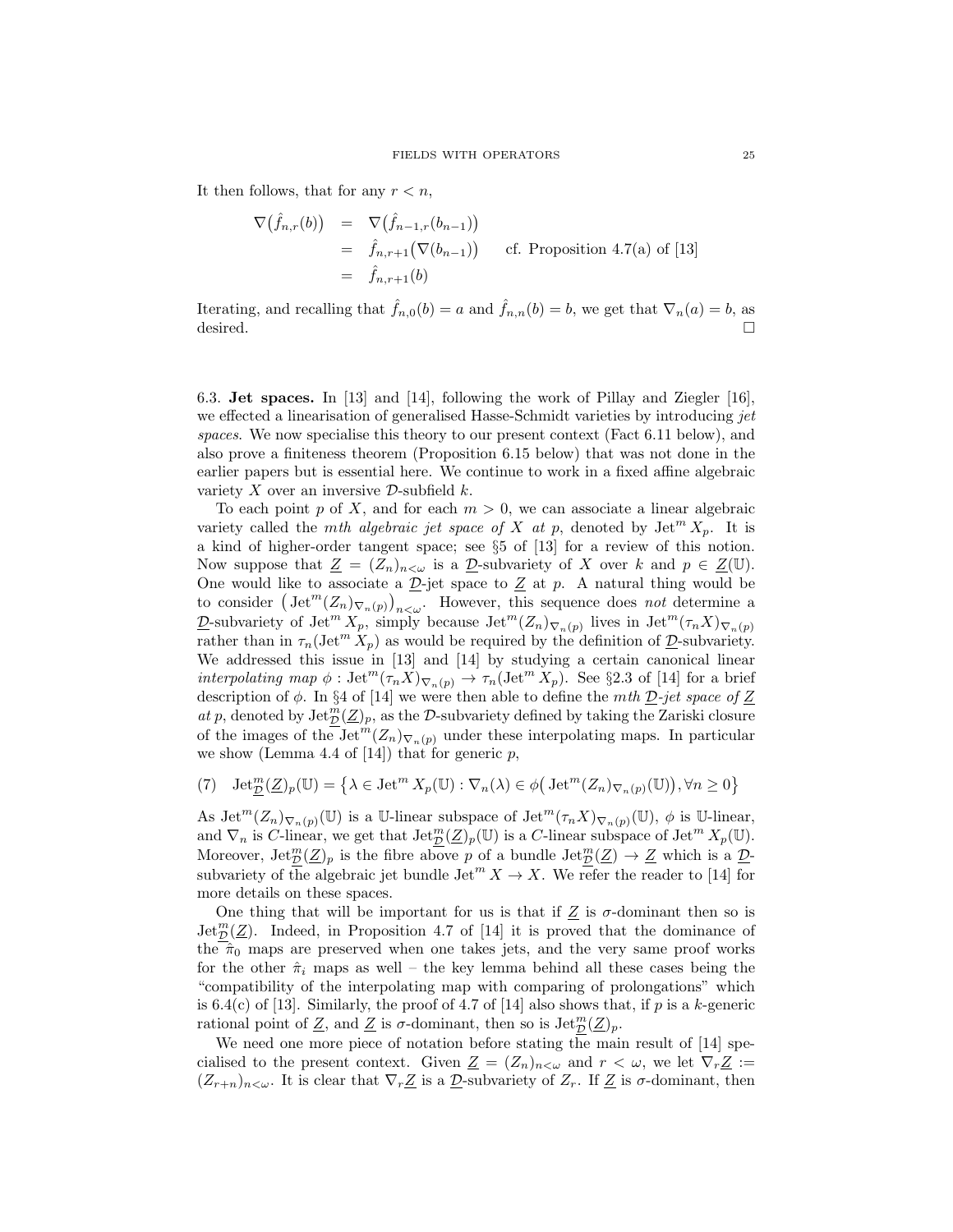It then follows, that for any  $r < n$ ,

$$
\nabla(\hat{f}_{n,r}(b)) = \nabla(\hat{f}_{n-1,r}(b_{n-1}))
$$
\n
$$
= \hat{f}_{n,r+1}(\nabla(b_{n-1})) \qquad \text{cf. Proposition 4.7(a) of [13]}
$$
\n
$$
= \hat{f}_{n,r+1}(b)
$$

Iterating, and recalling that  $\hat{f}_{n,0}(b) = a$  and  $\hat{f}_{n,n}(b) = b$ , we get that  $\nabla_n(a) = b$ , as desired.  $\Box$ 

6.3. Jet spaces. In [13] and [14], following the work of Pillay and Ziegler [16], we effected a linearisation of generalised Hasse-Schmidt varieties by introducing jet spaces. We now specialise this theory to our present context (Fact 6.11 below), and also prove a finiteness theorem (Proposition 6.15 below) that was not done in the earlier papers but is essential here. We continue to work in a fixed affine algebraic variety  $X$  over an inversive  $D$ -subfield  $k$ .

To each point p of X, and for each  $m > 0$ , we can associate a linear algebraic variety called the *mth algebraic jet space of* X at p, denoted by  $\text{Jet}^m X_p$ . It is a kind of higher-order tangent space; see §5 of [13] for a review of this notion. Now suppose that  $\underline{Z} = (Z_n)_{n < \omega}$  is a  $\underline{D}$ -subvariety of X over k and  $p \in \underline{Z}(\mathbb{U})$ . One would like to associate a  $\underline{\mathcal{D}}$ -jet space to  $\underline{\mathcal{Z}}$  at p. A natural thing would be to consider  $(\text{Jet}^m(Z_n)_{\nabla_n(p)})_{n\lt\omega}$ . However, this sequence does not determine a D-subvariety of Jet<sup>m</sup>  $X_p$ , simply because Jet<sup>m</sup> $(Z_n)_{\nabla_n(p)}$  lives in Jet<sup>m</sup> $(\tau_n X)_{\nabla_n(p)}$ rather than in  $\tau_n(\text{Jet}^m X_p)$  as would be required by the definition of  $\underline{\mathcal{D}}$ -subvariety. We addressed this issue in [13] and [14] by studying a certain canonical linear interpolating map  $\phi$ : Jet<sup>m</sup> $(\tau_n X)_{\nabla_n(p)} \to \tau_n(\text{Jet}^m X_p)$ . See §2.3 of [14] for a brief description of  $\phi$ . In §4 of [14] we were then able to define the *mth*  $D$ -jet space of  $Z$ at p, denoted by  $\mathrm{Jet}_{\mathcal{D}}^{m}(\underline{Z})_{p}$ , as the D-subvariety defined by taking the Zariski closure of the images of the Jet<sup>m</sup> $(Z_n)_{\nabla_n(p)}$  under these interpolating maps. In particular we show (Lemma 4.4 of [14]) that for generic  $p$ ,

$$
(7) \quad \det_{\mathcal{D}}^{m}(\mathcal{Z})_{p}(\mathbb{U}) = \left\{ \lambda \in \mathcal{J} \in \mathbb{U}^{m} X_{p}(\mathbb{U}) : \nabla_{n}(\lambda) \in \phi\big(\mathcal{J} \in \mathcal{U}^{m}(Z_{n})_{\nabla_{n}(p)}(\mathbb{U})\big), \forall n \geq 0 \right\}
$$

As  $\mathrm{Jet}^m(Z_n)_{\nabla_n(p)}(\mathbb{U})$  is a U-linear subspace of  $\mathrm{Jet}^m(\tau_n X)_{\nabla_n(p)}(\mathbb{U}), \phi$  is U-linear, and  $\nabla_n$  is C-linear, we get that  $\mathrm{Jet}_{\mathcal{D}}^m(\mathcal{Z})_p(\mathbb{U})$  is a C-linear subspace of  $\mathrm{Jet}^m X_p(\mathbb{U})$ . Moreover,  $\mathrm{Jet}_{\mathcal{D}}^m(\underline{Z})_p$  is the fibre above p of a bundle  $\mathrm{Jet}_{\mathcal{D}}^m(\underline{Z})\to \underline{Z}$  which is a  $\underline{\mathcal{D}}$ subvariety of the algebraic jet bundle  $\mathrm{Jet}^m X \to X$ . We refer the reader to [14] for more details on these spaces.

One thing that will be important for us is that if  $Z$  is  $\sigma$ -dominant then so is  $\mathrm{Jet}_{\mathcal{D}}^{m}(\underline{Z})$ . Indeed, in Proposition 4.7 of [14] it is proved that the dominance of the  $\hat{\pi}_0$  maps are preserved when one takes jets, and the very same proof works for the other  $\hat{\pi}_i$  maps as well – the key lemma behind all these cases being the "compatibility of the interpolating map with comparing of prolongations" which is 6.4(c) of [13]. Similarly, the proof of 4.7 of [14] also shows that, if  $p$  is a k-generic rational point of Z, and Z is  $\sigma$ -dominant, then so is  $\mathrm{Jet}_{\mathcal{D}}^m(\mathcal{Z})_p$ .

We need one more piece of notation before stating the main result of [14] specialised to the present context. Given  $\underline{Z} = (Z_n)_{n < \omega}$  and  $r < \omega$ , we let  $\nabla_r \underline{Z} :=$  $(Z_{r+n})_{n<\omega}$ . It is clear that  $\nabla_r \underline{Z}$  is a  $\underline{\mathcal{D}}$ -subvariety of  $Z_r$ . If  $\underline{Z}$  is  $\sigma$ -dominant, then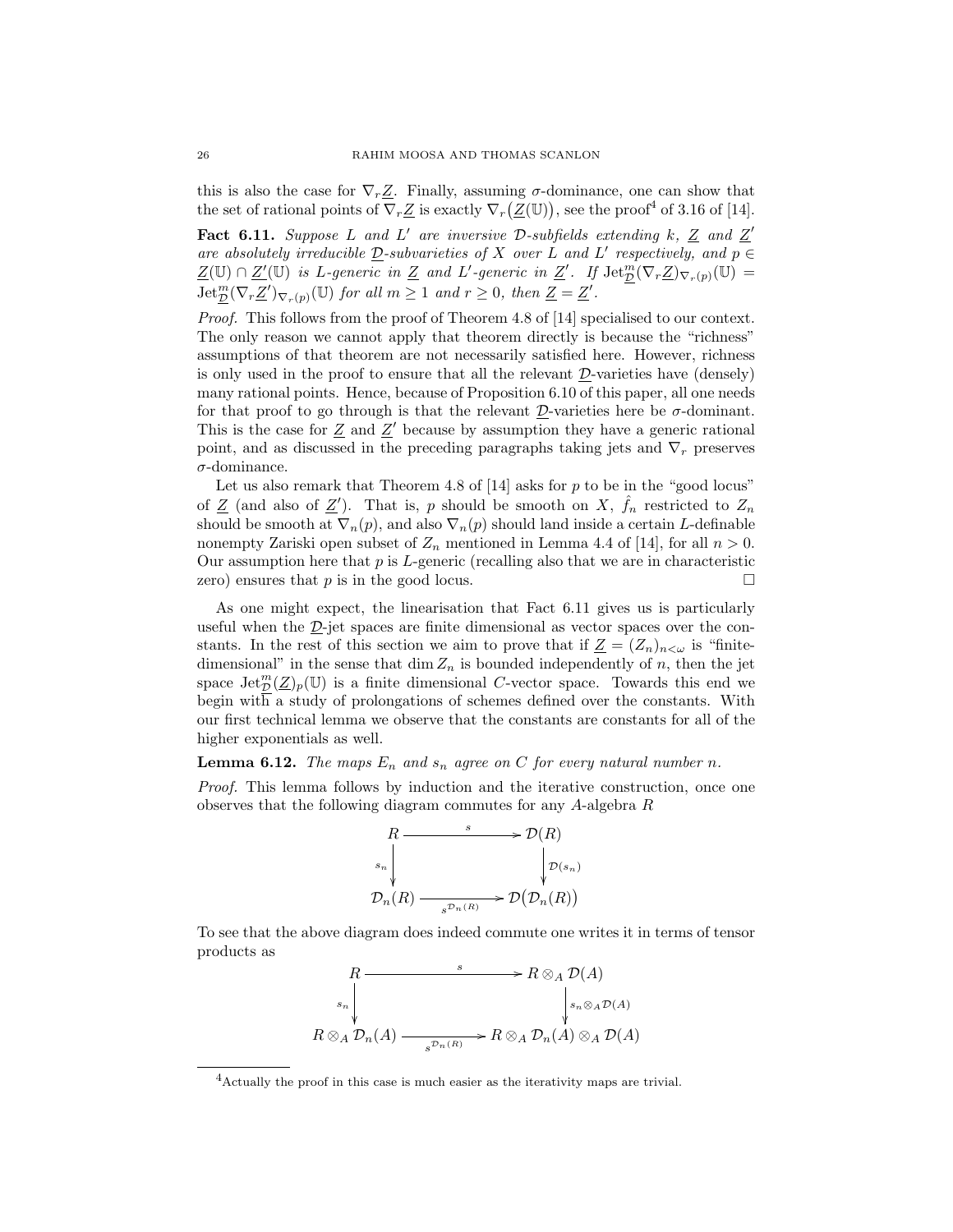this is also the case for  $\nabla_r \underline{Z}$ . Finally, assuming  $\sigma$ -dominance, one can show that the set of rational points of  $\nabla_r \underline{Z}$  is exactly  $\nabla_r (\underline{Z}(\mathbb{U}))$ , see the proof<sup>4</sup> of 3.16 of [14].

Fact 6.11. Suppose L and L' are inversive D-subfields extending k,  $Z$  and  $Z'$ are absolutely irreducible  $D$ -subvarieties of X over L and L' respectively, and  $p \in$  $\underline{Z}(\mathbb{U}) \cap \underline{Z}'(\mathbb{U})$  is L-generic in  $\underline{Z}$  and L'-generic in  $\underline{Z}'$ . If  $\operatorname{Jet}_{\mathcal{D}}^m(\nabla_r \underline{Z})_{\nabla_r(p)}(\mathbb{U}) =$  $\mathrm{Jet}_{\mathcal{D}}^{m}(\nabla_r \underline{Z}')_{\nabla_r(p)}(\mathbb{U})$  for all  $m \geq 1$  and  $r \geq 0$ , then  $\underline{Z} = \underline{Z}'$ .

*Proof.* This follows from the proof of Theorem 4.8 of [14] specialised to our context. The only reason we cannot apply that theorem directly is because the "richness" assumptions of that theorem are not necessarily satisfied here. However, richness is only used in the proof to ensure that all the relevant  $D$ -varieties have (densely) many rational points. Hence, because of Proposition 6.10 of this paper, all one needs for that proof to go through is that the relevant  $\mathcal{D}$ -varieties here be  $\sigma$ -dominant. This is the case for  $Z$  and  $Z'$  because by assumption they have a generic rational point, and as discussed in the preceding paragraphs taking jets and  $\nabla_r$  preserves  $\sigma$ -dominance.

Let us also remark that Theorem 4.8 of  $[14]$  asks for p to be in the "good locus" of  $\underline{Z}$  (and also of  $\underline{Z}'$ ). That is, p should be smooth on X,  $\hat{f}_n$  restricted to  $Z_n$ should be smooth at  $\nabla_n(p)$ , and also  $\nabla_n(p)$  should land inside a certain L-definable nonempty Zariski open subset of  $Z_n$  mentioned in Lemma 4.4 of [14], for all  $n > 0$ . Our assumption here that  $p$  is  $L$ -generic (recalling also that we are in characteristic zero) ensures that  $p$  is in the good locus.

As one might expect, the linearisation that Fact 6.11 gives us is particularly useful when the  $\mathcal{D}$ -jet spaces are finite dimensional as vector spaces over the constants. In the rest of this section we aim to prove that if  $\underline{Z} = (Z_n)_{n < \omega}$  is "finitedimensional" in the sense that dim  $Z_n$  is bounded independently of n, then the jet space  $\mathrm{Jet}_{\mathcal{D}}^m(\mathcal{Z})_p(\mathbb{U})$  is a finite dimensional C-vector space. Towards this end we begin with a study of prolongations of schemes defined over the constants. With our first technical lemma we observe that the constants are constants for all of the higher exponentials as well.

# **Lemma 6.12.** The maps  $E_n$  and  $s_n$  agree on C for every natural number n.

Proof. This lemma follows by induction and the iterative construction, once one observes that the following diagram commutes for any A-algebra R



To see that the above diagram does indeed commute one writes it in terms of tensor products as

$$
R \longrightarrow R \otimes_A \mathcal{D}(A)
$$
  
\n
$$
\downarrow_{s_n} \downarrow_{s_n \otimes_A \mathcal{D}_n(A)} \downarrow_{s_n \otimes_A \mathcal{D}(A)} s_n \otimes_A \mathcal{D}_n(A)
$$
  
\n
$$
R \otimes_A \mathcal{D}_n(A) \longrightarrow R \otimes_A \mathcal{D}_n(A) \otimes_A \mathcal{D}(A)
$$

<sup>4</sup>Actually the proof in this case is much easier as the iterativity maps are trivial.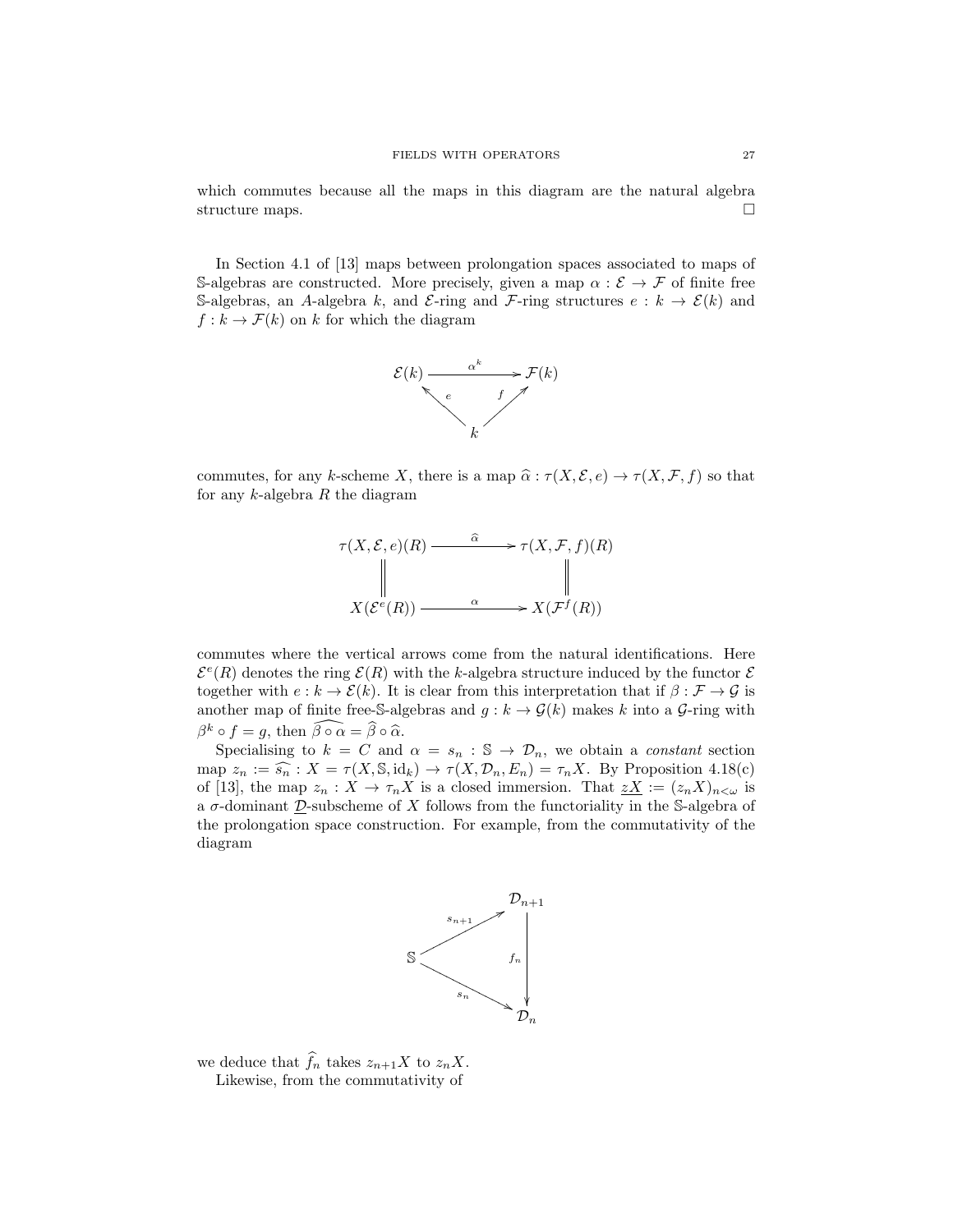which commutes because all the maps in this diagram are the natural algebra structure maps.  $\Box$ 

In Section 4.1 of [13] maps between prolongation spaces associated to maps of S-algebras are constructed. More precisely, given a map  $\alpha : \mathcal{E} \to \mathcal{F}$  of finite free S-algebras, an A-algebra k, and E-ring and F-ring structures  $e : k \to \mathcal{E}(k)$  and  $f : k \to \mathcal{F}(k)$  on k for which the diagram



commutes, for any k-scheme X, there is a map  $\widehat{\alpha} : \tau (X, \mathcal{E}, e) \to \tau (X, \mathcal{F}, f)$  so that for any  $k$ -algebra  $R$  the diagram



commutes where the vertical arrows come from the natural identifications. Here  $\mathcal{E}^e(R)$  denotes the ring  $\mathcal{E}(R)$  with the k-algebra structure induced by the functor  $\mathcal{E}$ together with  $e : k \to \mathcal{E}(k)$ . It is clear from this interpretation that if  $\beta : \mathcal{F} \to \mathcal{G}$  is another map of finite free-S-algebras and  $g : k \to \mathcal{G}(k)$  makes k into a  $\mathcal{G}\text{-ring}$  with  $\beta^k \circ f = g$ , then  $\widehat{\beta \circ \alpha} = \widehat{\beta} \circ \widehat{\alpha}$ .<br>Specialising to  $k = C$  and

Specialising to  $k = C$  and  $\alpha = s_n : \mathbb{S} \to \mathcal{D}_n$ , we obtain a *constant* section map  $z_n := \widehat{s_n} : X = \tau(X, \mathbb{S}, \text{id}_k) \to \tau(X, \mathcal{D}_n, E_n) = \tau_n X$ . By Proposition 4.18(c) of [13], the map  $z_n : X \to \tau_n X$  is a closed immersion. That  $\sum_{i=1}^n (z_n X)_{n \leq \omega}$  is a  $\sigma$ -dominant  $\mathcal{D}$ -subscheme of X follows from the functoriality in the S-algebra of the prolongation space construction. For example, from the commutativity of the diagram



we deduce that  $\widehat{f}_n$  takes  $z_{n+1}X$  to  $z_nX$ . Likewise, from the commutativity of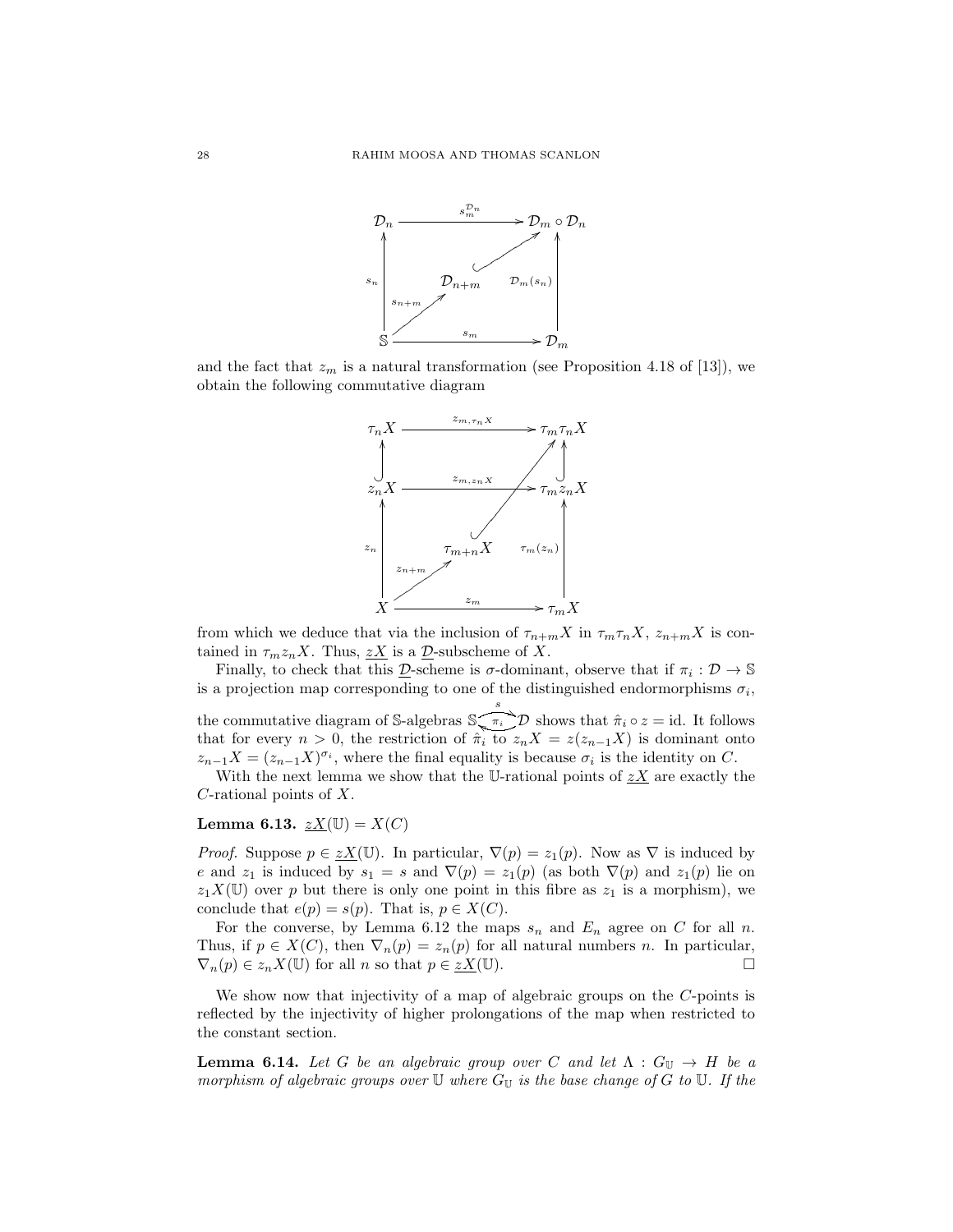

and the fact that  $z_m$  is a natural transformation (see Proposition 4.18 of [13]), we obtain the following commutative diagram



from which we deduce that via the inclusion of  $\tau_{n+m}X$  in  $\tau_m\tau_nX$ ,  $z_{n+m}X$  is contained in  $\tau_m z_n X$ . Thus,  $\underline{z}X$  is a  $\underline{\mathcal{D}}$ -subscheme of X.

Finally, to check that this  $\underline{\mathcal{D}}$ -scheme is  $\sigma$ -dominant, observe that if  $\pi_i : \mathcal{D} \to \mathbb{S}$ is a projection map corresponding to one of the distinguished endormorphisms  $\sigma_i$ , the commutative diagram of S-algebras  $\int_{0}^{s} \pi_i \hat{D}$  shows that  $\hat{\pi}_i \circ z = id$ . It follows that for every  $n > 0$ , the restriction of  $\hat{\pi}_i$  to  $z_n X = z(z_{n-1}X)$  is dominant onto  $z_{n-1}X = (z_{n-1}X)^{\sigma_i}$ , where the final equality is because  $\sigma_i$  is the identity on C.

With the next lemma we show that the U-rational points of  $\mathcal{Z}X$  are exactly the C-rational points of X.

# Lemma 6.13.  $\underline{zX}(\mathbb{U}) = X(C)$

*Proof.* Suppose  $p \in \underline{zX}(\mathbb{U})$ . In particular,  $\nabla(p) = z_1(p)$ . Now as  $\nabla$  is induced by e and  $z_1$  is induced by  $s_1 = s$  and  $\nabla(p) = z_1(p)$  (as both  $\nabla(p)$  and  $z_1(p)$  lie on  $z_1X(\mathbb{U})$  over p but there is only one point in this fibre as  $z_1$  is a morphism), we conclude that  $e(p) = s(p)$ . That is,  $p \in X(C)$ .

For the converse, by Lemma 6.12 the maps  $s_n$  and  $E_n$  agree on C for all n. Thus, if  $p \in X(C)$ , then  $\nabla_n(p) = z_n(p)$  for all natural numbers n. In particular,  $\nabla_n(p) \in z_n X(\mathbb{U})$  for all n so that  $p \in \underline{zX}(\mathbb{U})$ .

We show now that injectivity of a map of algebraic groups on the C-points is reflected by the injectivity of higher prolongations of the map when restricted to the constant section.

**Lemma 6.14.** Let G be an algebraic group over C and let  $\Lambda : G_{\mathbb{U}} \to H$  be a morphism of algebraic groups over  $\mathbb U$  where  $G_{\mathbb U}$  is the base change of G to  $\mathbb U$ . If the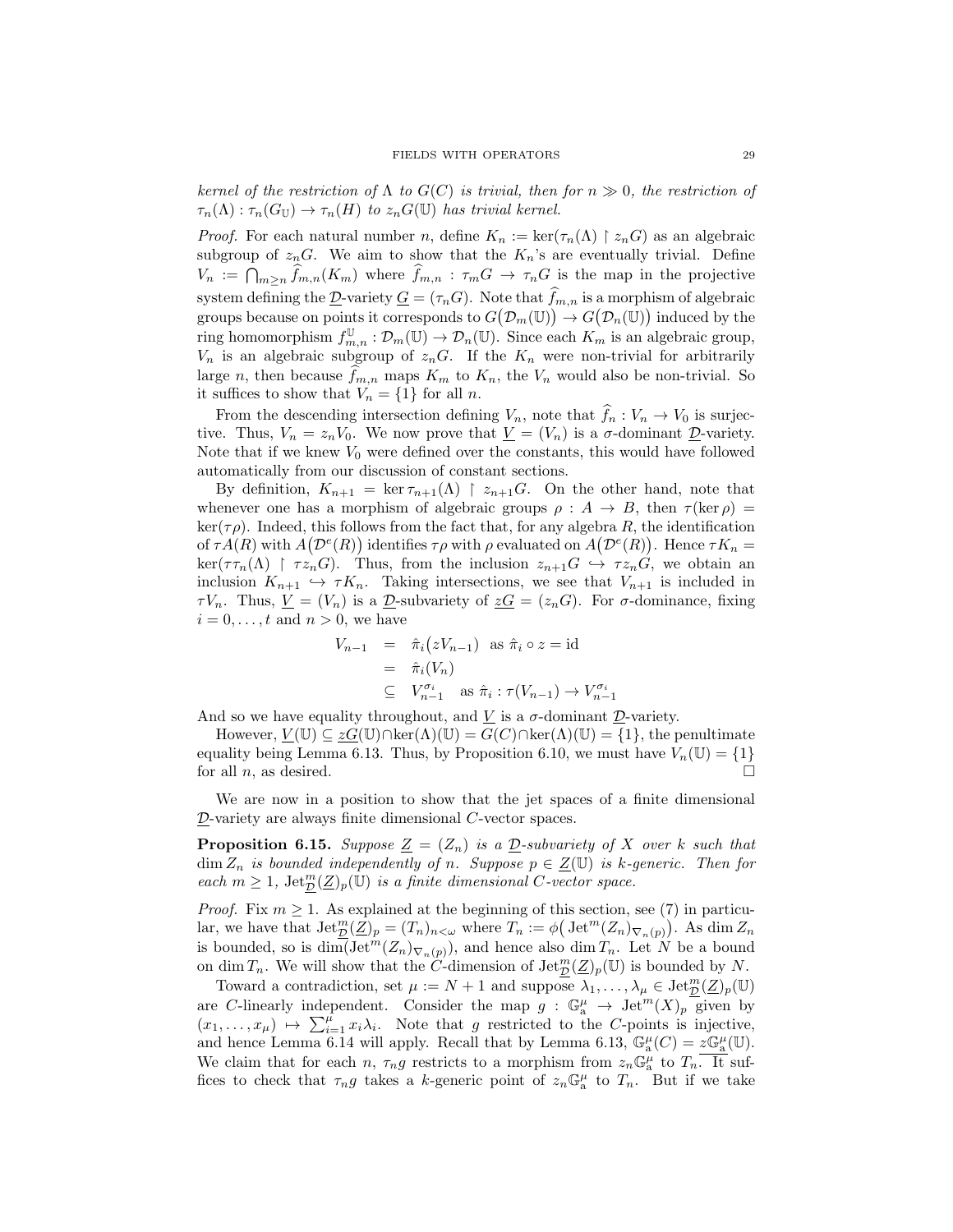kernel of the restriction of  $\Lambda$  to  $G(C)$  is trivial, then for  $n \gg 0$ , the restriction of  $\tau_n(\Lambda) : \tau_n(G_{\mathbb{U}}) \to \tau_n(H)$  to  $z_n(G(\mathbb{U}))$  has trivial kernel.

*Proof.* For each natural number n, define  $K_n := \text{ker}(\tau_n(\Lambda) \restriction z_n G)$  as an algebraic subgroup of  $z_n$ G. We aim to show that the  $K_n$ 's are eventually trivial. Define  $V_n := \bigcap_{m \geq n} f_{m,n}(K_m)$  where  $f_{m,n} : \tau_m G \to \tau_n G$  is the map in the projective system defining the  $\underline{\mathcal{D}}$ -variety  $\underline{G} = (\tau_n G)$ . Note that  $\widehat{f}_{m,n}$  is a morphism of algebraic groups because on points it corresponds to  $G(\mathcal{D}_m(\mathbb{U})) \to G(\mathcal{D}_n(\mathbb{U}))$  induced by the ring homomorphism  $f_{m,n}^{\mathbb{U}} : \mathcal{D}_m(\mathbb{U}) \to \mathcal{D}_n(\mathbb{U})$ . Since each  $K_m$  is an algebraic group,  $V_n$  is an algebraic subgroup of  $z_nG$ . If the  $K_n$  were non-trivial for arbitrarily large n, then because  $\hat{f}_{m,n}$  maps  $K_m$  to  $K_n$ , the  $V_n$  would also be non-trivial. So it suffices to show that  $V_n = \{1\}$  for all n.

From the descending intersection defining  $V_n$ , note that  $\widehat{f}_n : V_n \to V_0$  is surjective. Thus,  $V_n = z_n V_0$ . We now prove that  $\underline{V} = (V_n)$  is a  $\sigma$ -dominant  $\underline{D}$ -variety. Note that if we knew  $V_0$  were defined over the constants, this would have followed automatically from our discussion of constant sections.

By definition,  $K_{n+1} = \ker \tau_{n+1}(\Lambda) \restriction z_{n+1}G$ . On the other hand, note that whenever one has a morphism of algebraic groups  $\rho : A \to B$ , then  $\tau(\ker \rho) =$  $\ker(\tau \rho)$ . Indeed, this follows from the fact that, for any algebra R, the identification of  $\tau A(R)$  with  $A(D^e(R))$  identifies  $\tau \rho$  with  $\rho$  evaluated on  $A(D^e(R))$ . Hence  $\tau K_n =$  $\ker(\tau \tau_n(\Lambda) \restriction \tau z_n G)$ . Thus, from the inclusion  $z_{n+1}G \hookrightarrow \tau z_nG$ , we obtain an inclusion  $K_{n+1} \hookrightarrow \tau K_n$ . Taking intersections, we see that  $V_{n+1}$  is included in  $\tau V_n$ . Thus,  $\underline{V} = (V_n)$  is a  $\underline{\mathcal{D}}$ -subvariety of  $\underline{z}G = (z_n G)$ . For  $\sigma$ -dominance, fixing  $i = 0, \ldots, t$  and  $n > 0$ , we have

$$
V_{n-1} = \hat{\pi}_i (zV_{n-1}) \text{ as } \hat{\pi}_i \circ z = \text{id}
$$
  
=  $\hat{\pi}_i (V_n)$   

$$
\subseteq V_{n-1}^{\sigma_i} \text{ as } \hat{\pi}_i : \tau(V_{n-1}) \to V_{n-1}^{\sigma_i}
$$

And so we have equality throughout, and  $\underline{V}$  is a  $\sigma$ -dominant  $\underline{\mathcal{D}}$ -variety.

However,  $\underline{V}(\mathbb{U}) \subseteq \underline{zG}(\mathbb{U}) \cap \text{ker}(\Lambda)(\mathbb{U}) = G(C) \cap \text{ker}(\Lambda)(\mathbb{U}) = \{1\}$ , the penultimate equality being Lemma 6.13. Thus, by Proposition 6.10, we must have  $V_n(\mathbb{U}) = \{1\}$ for all  $n$ , as desired.

We are now in a position to show that the jet spaces of a finite dimensional D-variety are always finite dimensional C-vector spaces.

**Proposition 6.15.** Suppose  $\underline{Z} = (Z_n)$  is a  $\underline{D}$ -subvariety of X over k such that  $\dim Z_n$  is bounded independently of n. Suppose  $p \in \underline{Z}(\mathbb{U})$  is k-generic. Then for each  $m \geq 1$ ,  $\operatorname{Jet}_{\mathcal{D}}^m(\underline{Z})_p(\mathbb{U})$  is a finite dimensional C-vector space.

*Proof.* Fix  $m \geq 1$ . As explained at the beginning of this section, see (7) in particular, we have that  $\mathrm{Jet}_{\mathcal{D}}^m(\mathcal{Z})_p = (T_n)_{n<\omega}$  where  $T_n := \phi\big(\operatorname{Jet}^m(\mathcal{Z}_n)_{\nabla_n(p)}\big)$ . As  $\dim \mathcal{Z}_n$ is bounded, so is  $\dim(\mathrm{Jet}^m(Z_n)_{\nabla_n(p)})$ , and hence also  $\dim T_n$ . Let N be a bound on dim  $T_n$ . We will show that the C-dimension of  $\mathrm{Jet}_{\mathcal{D}}^m(\mathcal{Z})_p(\mathbb{U})$  is bounded by N.

Toward a contradiction, set  $\mu := N + 1$  and suppose  $\lambda_1, \ldots, \lambda_\mu \in \text{Jet}_{\mathcal{D}}^m(\mathcal{Z})_p(\mathbb{U})$ are C-linearly independent. Consider the map  $g : \mathbb{G}_a^{\mu} \to \text{Jet}^m(X)_p$  given by  $(x_1, \ldots, x_\mu) \mapsto \sum_{i=1}^{\mu} x_i \lambda_i$ . Note that g restricted to the C-points is injective, and hence Lemma 6.14 will apply. Recall that by Lemma 6.13,  $\mathbb{G}_{\rm a}^{\mu}(C) = z \mathbb{G}_{\rm a}^{\mu}(U)$ . We claim that for each n,  $\tau_n g$  restricts to a morphism from  $z_n \mathbb{G}_a^{\mu}$  to  $T_n$ . It suffices to check that  $\tau_n g$  takes a k-generic point of  $z_n \mathbb{G}_a^{\mu}$  to  $T_n$ . But if we take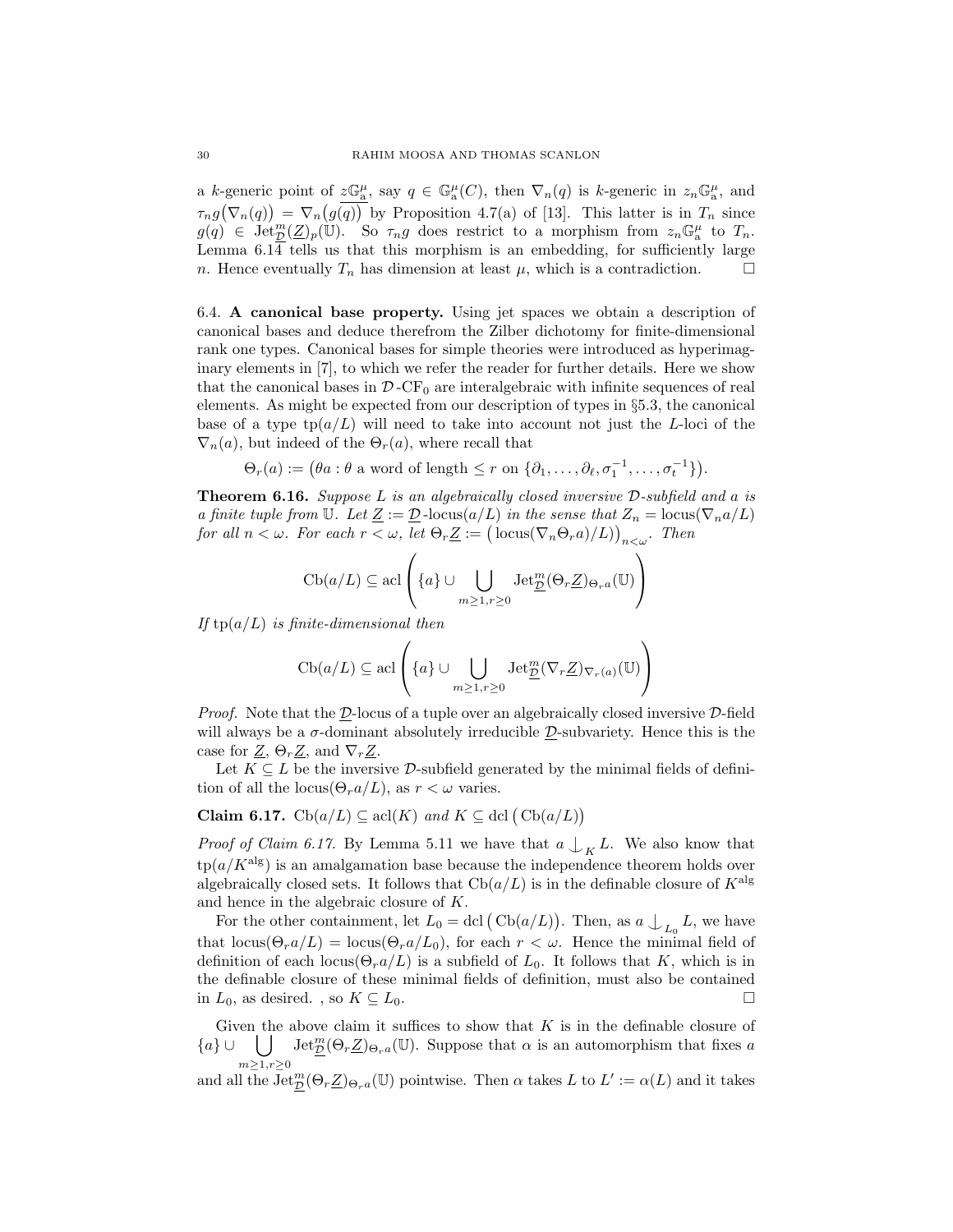a k-generic point of  $z\mathbb{G}_a^{\mu}$ , say  $q \in \mathbb{G}_a^{\mu}(C)$ , then  $\nabla_n(q)$  is k-generic in  $z_n\mathbb{G}_a^{\mu}$ , and  $\tau_n g(\nabla_n(q)) = \nabla_n(g(q))$  by Proposition 4.7(a) of [13]. This latter is in  $T_n$  since  $g(q) \in \text{Jet}_{\mathcal{D}}^m(\mathcal{Z})_p(\mathbb{U})$ . So  $\tau_n g$  does restrict to a morphism from  $z_n \mathbb{G}_a^{\mu}$  to  $T_n$ . Lemma 6.14 tells us that this morphism is an embedding, for sufficiently large *n*. Hence eventually  $T_n$  has dimension at least  $\mu$ , which is a contradiction.

6.4. A canonical base property. Using jet spaces we obtain a description of canonical bases and deduce therefrom the Zilber dichotomy for finite-dimensional rank one types. Canonical bases for simple theories were introduced as hyperimaginary elements in [7], to which we refer the reader for further details. Here we show that the canonical bases in  $\mathcal{D}$ -CF<sub>0</sub> are interalgebraic with infinite sequences of real elements. As might be expected from our description of types in §5.3, the canonical base of a type  $tp(a/L)$  will need to take into account not just the L-loci of the  $\nabla_n(a)$ , but indeed of the  $\Theta_n(a)$ , where recall that

 $\Theta_r(a) := (\theta a : \theta \text{ a word of length } \leq r \text{ on } \{\partial_1, \ldots, \partial_\ell, \sigma_1^{-1}, \ldots, \sigma_t^{-1}\}).$ 

Theorem 6.16. Suppose L is an algebraically closed inversive D-subfield and a is a finite tuple from U. Let  $\underline{Z} := \underline{\mathcal{D}}$ -locus $(a/L)$  in the sense that  $Z_n = \text{locus}(\nabla_n a/L)$ for all  $n < \omega$ . For each  $r < \omega$ , let  $\Theta_r \underline{Z} := (\text{locus}(\nabla_n \Theta_r a)/L))_{n < \omega}$ . Then

$$
\mathrm{Cb}(a/L)\subseteq\mathrm{acl}\left(\{a\}\cup\bigcup_{m\geq 1,r\geq 0}\mathrm{Jet}_{\underline{\mathcal{D}}}^m(\Theta_r\underline{Z})_{\Theta_ra}(\mathbb{U})\right)
$$

If  $tp(a/L)$  is finite-dimensional then

$$
\mathrm{Cb}(a/L)\subseteq\mathrm{acl}\left(\{a\}\cup\bigcup_{m\geq 1,r\geq 0}\mathrm{Jet}_{\underline{\mathcal{D}}}^{m}(\nabla_{r}\underline{Z})_{\nabla_{r}(a)}(\mathbb{U})\right)
$$

*Proof.* Note that the  $D$ -locus of a tuple over an algebraically closed inversive  $D$ -field will always be a  $\sigma$ -dominant absolutely irreducible  $\mathcal{D}$ -subvariety. Hence this is the case for  $\underline{Z}$ ,  $\Theta_r \underline{Z}$ , and  $\nabla_r \underline{Z}$ .

Let  $K \subseteq L$  be the inversive D-subfield generated by the minimal fields of definition of all the locus( $\Theta_r a/L$ ), as  $r < \omega$  varies.

## Claim 6.17.  $\text{Cb}(a/L) \subseteq \text{acl}(K)$  and  $K \subseteq \text{dcl}(\text{Cb}(a/L))$

*Proof of Claim 6.17.* By Lemma 5.11 we have that  $a \bigcup_{K} L$ . We also know that  $tp(a/K^{\text{alg}})$  is an amalgamation base because the independence theorem holds over algebraically closed sets. It follows that  $\text{Cb}(a/L)$  is in the definable closure of  $K^{\text{alg}}$ and hence in the algebraic closure of K.

For the other containment, let  $L_0 = \text{dcl}(\text{Cb}(a/L))$ . Then, as  $a \bigcup_{L_0} L$ , we have that  $\text{locus}(\Theta_r a/L) = \text{locus}(\Theta_r a/L_0)$ , for each  $r < \omega$ . Hence the minimal field of definition of each locus( $\Theta_r a/L$ ) is a subfield of  $L_0$ . It follows that K, which is in the definable closure of these minimal fields of definition, must also be contained in  $L_0$ , as desired., so  $K \subseteq L_0$ .

Given the above claim it suffices to show that  $K$  is in the definable closure of  ${a} \cup$  | |  $m \geq 1, r \geq 0$  $\text{Jet}_{\mathcal{D}}^{m}(\Theta_r \underline{Z})_{\Theta_r a}(\mathbb{U})$ . Suppose that  $\alpha$  is an automorphism that fixes a

and all the  $\bar{\rm Jet}^m_{\cal D}(\Theta_r \underline{Z})_{\Theta_r a}(\mathbb{U})$  pointwise. Then  $\alpha$  takes L to  $L' := \alpha(L)$  and it takes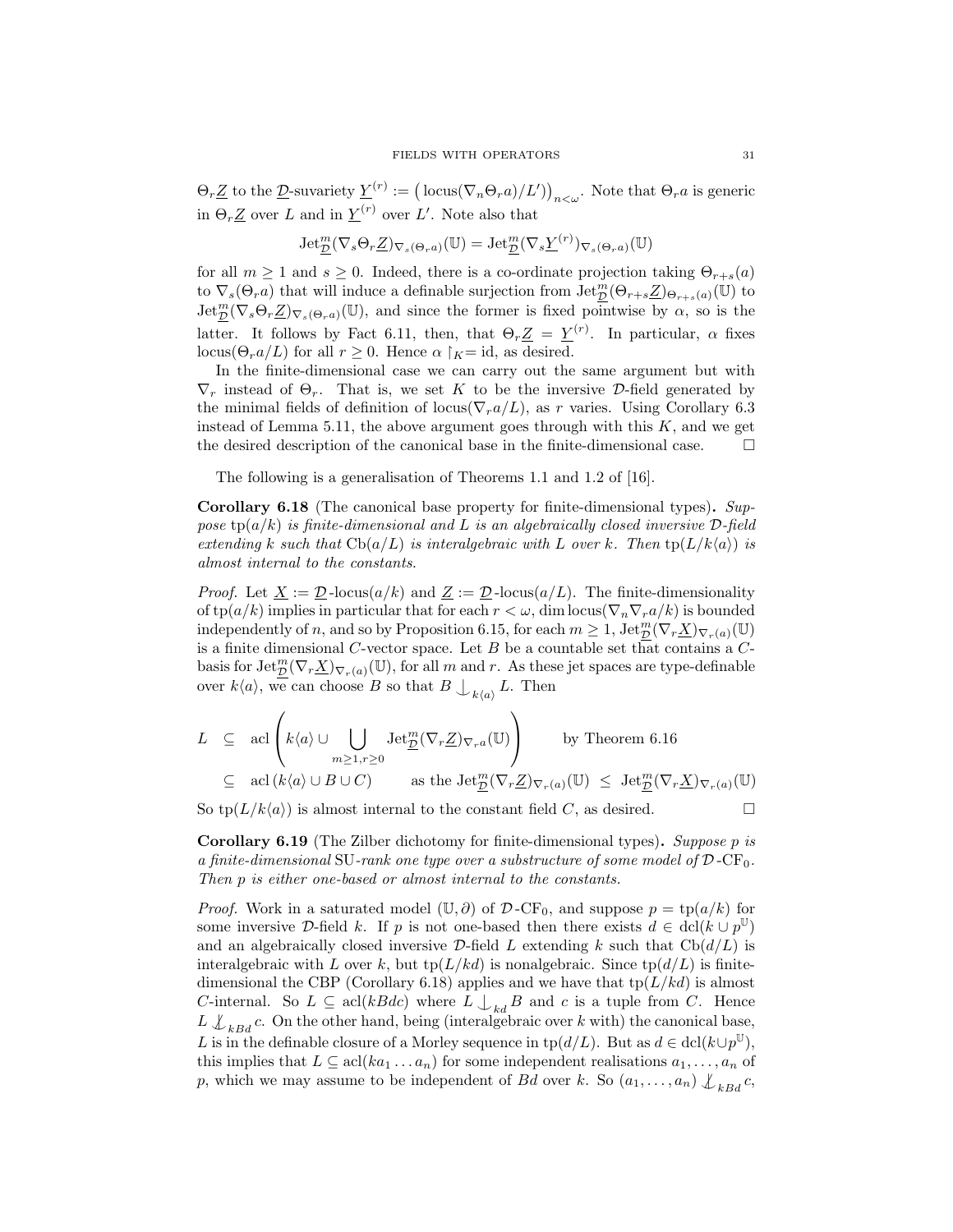$\Theta_r \underline{Z}$  to the  $\underline{D}$ -suvariety  $\underline{Y}^{(r)} := (\text{locus}(\nabla_n \Theta_r a)/L')_{n < \omega}$ . Note that  $\Theta_r a$  is generic in  $\Theta_r \underline{Z}$  over L and in  $\underline{Y}^{(r)}$  over L'. Note also that

$$
\operatorname{Jet}_{\underline{\mathcal{D}}}^m(\nabla_s\Theta_r\underline{Z})_{\nabla_s(\Theta_r a)}(\mathbb{U})=\operatorname{Jet}_{\underline{\mathcal{D}}}^m(\nabla_s\underline{Y}^{(r)})_{\nabla_s(\Theta_r a)}(\mathbb{U})
$$

for all  $m \ge 1$  and  $s \ge 0$ . Indeed, there is a co-ordinate projection taking  $\Theta_{r+s}(a)$ to  $\nabla_s(\Theta_r a)$  that will induce a definable surjection from  $\overline{\text{Jet}_{\mathcal{D}}^m}(\Theta_{r+s}\underline{Z})_{\Theta_{r+s}(a)}(\mathbb{U})$  to  $\text{Jet}_{\mathcal{D}}^{m}(\nabla_{s}\Theta_{r}\underline{Z})_{\nabla_{s}(\Theta_{r}a)}(\mathbb{U})$ , and since the former is fixed pointwise by  $\alpha$ , so is the latter. It follows by Fact 6.11, then, that  $\Theta_r \underline{Z} = \underline{Y}^{(r)}$ . In particular,  $\alpha$  fixes locus( $\Theta_r a/L$ ) for all  $r > 0$ . Hence  $\alpha \restriction_K = id$ , as desired.

In the finite-dimensional case we can carry out the same argument but with  $\nabla_r$  instead of  $\Theta_r$ . That is, we set K to be the inversive D-field generated by the minimal fields of definition of locus( $\nabla_r a/L$ ), as r varies. Using Corollary 6.3 instead of Lemma 5.11, the above argument goes through with this  $K$ , and we get the desired description of the canonical base in the finite-dimensional case.  $\Box$ 

The following is a generalisation of Theorems 1.1 and 1.2 of [16].

Corollary 6.18 (The canonical base property for finite-dimensional types). Suppose  $tp(a/k)$  is finite-dimensional and L is an algebraically closed inversive  $\mathcal{D}\text{-field}$ extending k such that  $\text{Cb}(a/L)$  is interalgebraic with L over k. Then  $\text{tp}(L/k\langle a \rangle)$  is almost internal to the constants.

*Proof.* Let  $\underline{X} := \underline{\mathcal{D}}$ -locus $(a/k)$  and  $\underline{Z} := \underline{\mathcal{D}}$ -locus $(a/L)$ . The finite-dimensionality of  $\text{tp}(a/k)$  implies in particular that for each  $r < \omega$ , dim locus $(\nabla_n \nabla_r a/k)$  is bounded independently of n, and so by Proposition 6.15, for each  $m \geq 1$ ,  $\text{Jet}_{\mathcal{D}}^{m}(\nabla_r \underline{X})_{\nabla_r(a)}(\mathbb{U})$ is a finite dimensional  $C$ -vector space. Let  $B$  be a countable set that contains a  $C$ basis for  $\mathrm{Jet}_{\mathcal{D}}^m(\nabla_r \underline{X})_{\nabla_r(a)}(\mathbb{U})$ , for all m and r. As these jet spaces are type-definable over  $k\langle a \rangle$ , we can choose B so that  $B \bigcup_{k\langle a \rangle} L$ . Then

$$
L \subseteq \text{acl}\left(k\langle a\rangle \cup \bigcup_{m\geq 1, r\geq 0} \text{Jet}_{\underline{\mathcal{D}}}^{m}(\nabla_{r}\underline{Z})_{\nabla_{r}a}(\mathbb{U})\right) \qquad \text{by Theorem 6.16}
$$
  

$$
\subseteq \text{acl}\left(k\langle a\rangle \cup B \cup C\right) \qquad \text{as the Jet}_{\underline{\mathcal{D}}}^{m}(\nabla_{r}\underline{Z})_{\nabla_{r}(a)}(\mathbb{U}) \leq \text{Jet}_{\underline{\mathcal{D}}}^{m}(\nabla_{r}\underline{X})_{\nabla_{r}(a)}(\mathbb{U})
$$

So  $\text{tp}(L/k(a))$  is almost internal to the constant field C, as desired.

**Corollary 6.19** (The Zilber dichotomy for finite-dimensional types). Suppose p is a finite-dimensional SU-rank one type over a substructure of some model of  $\mathcal{D}$ -CF<sub>0</sub>. Then p is either one-based or almost internal to the constants.

*Proof.* Work in a saturated model  $(\mathbb{U}, \partial)$  of  $\mathcal{D}$ -CF<sub>0</sub>, and suppose  $p = \text{tp}(a/k)$  for some inversive D-field k. If p is not one-based then there exists  $d \in \text{dcl}(k \cup p^{\mathbb{U}})$ and an algebraically closed inversive D-field L extending k such that  $\text{Cb}(d/L)$  is interalgebraic with L over k, but tp( $L/kd$ ) is nonalgebraic. Since tp( $d/L$ ) is finitedimensional the CBP (Corollary 6.18) applies and we have that  $tp(L/kd)$  is almost C-internal. So  $L \subseteq \text{acl}(kBdc)$  where  $L \bigcup_{kd} B$  and c is a tuple from C. Hence  $L \not\perp_{kBd} c$ . On the other hand, being (interalgebraic over k with) the canonical base, L is in the definable closure of a Morley sequence in tp( $d/L$ ). But as  $d \in \text{dcl}(k \cup p^{\mathbb{U}})$ , this implies that  $L \subseteq \text{acl}(ka_1 \ldots a_n)$  for some independent realisations  $a_1, \ldots, a_n$  of p, which we may assume to be independent of Bd over k. So  $(a_1, \ldots, a_n) \n\downarrow_{kBd} c$ ,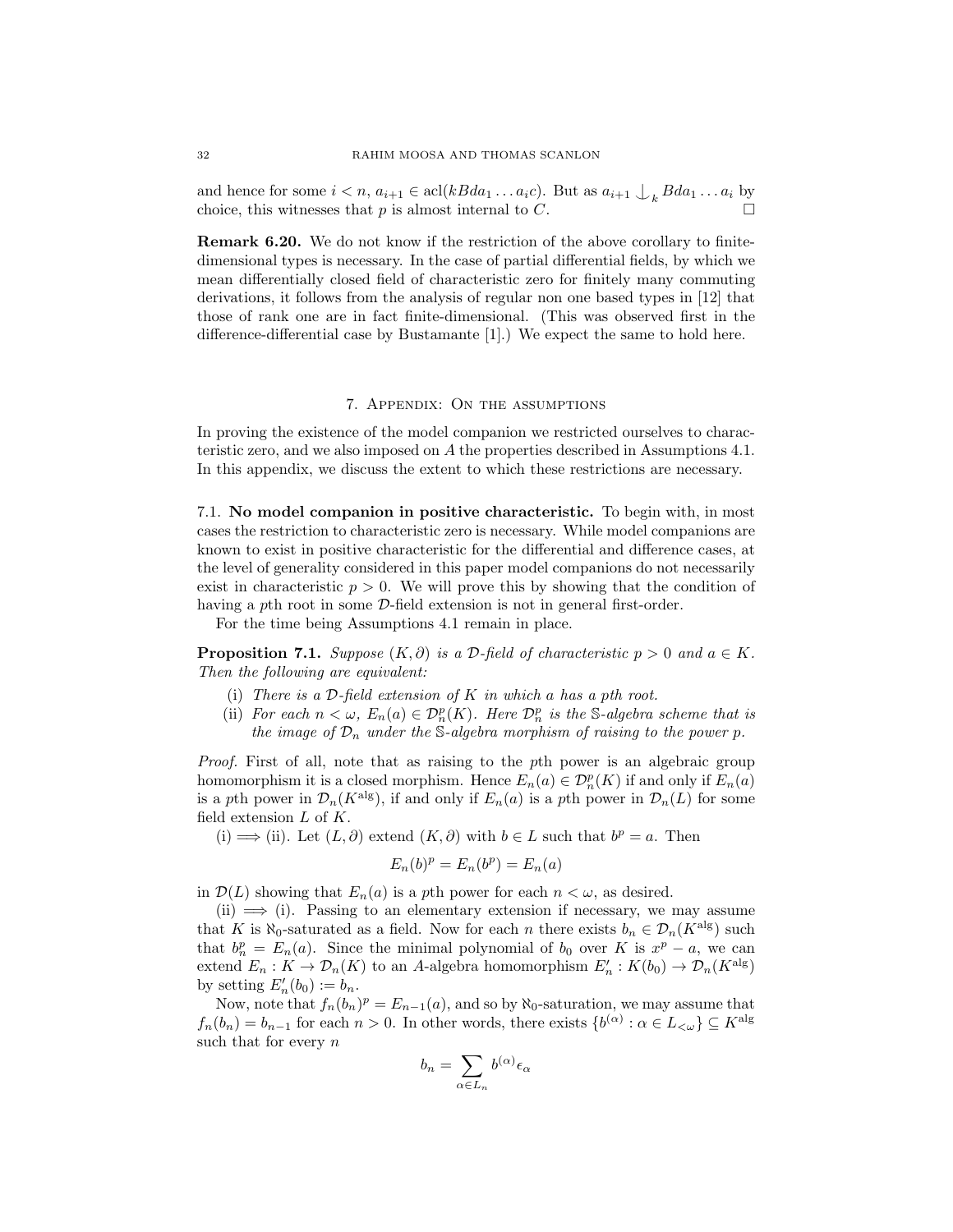and hence for some  $i < n$ ,  $a_{i+1} \in \text{acl}(kBda_1 \ldots a_ic)$ . But as  $a_{i+1} \nightharpoonup_k Bda_1 \ldots a_i$  by choice, this witnesses that  $p$  is almost internal to  $C$ .

Remark 6.20. We do not know if the restriction of the above corollary to finitedimensional types is necessary. In the case of partial differential fields, by which we mean differentially closed field of characteristic zero for finitely many commuting derivations, it follows from the analysis of regular non one based types in [12] that those of rank one are in fact finite-dimensional. (This was observed first in the difference-differential case by Bustamante [1].) We expect the same to hold here.

### 7. Appendix: On the assumptions

In proving the existence of the model companion we restricted ourselves to characteristic zero, and we also imposed on A the properties described in Assumptions 4.1. In this appendix, we discuss the extent to which these restrictions are necessary.

7.1. No model companion in positive characteristic. To begin with, in most cases the restriction to characteristic zero is necessary. While model companions are known to exist in positive characteristic for the differential and difference cases, at the level of generality considered in this paper model companions do not necessarily exist in characteristic  $p > 0$ . We will prove this by showing that the condition of having a pth root in some D-field extension is not in general first-order.

For the time being Assumptions 4.1 remain in place.

**Proposition 7.1.** Suppose  $(K, \partial)$  is a D-field of characteristic  $p > 0$  and  $a \in K$ . Then the following are equivalent:

- (i) There is a  $\mathcal D$ -field extension of K in which a has a pth root.
- (ii) For each  $n < \omega$ ,  $E_n(a) \in \mathcal{D}_n^p(K)$ . Here  $\mathcal{D}_n^p$  is the S-algebra scheme that is the image of  $\mathcal{D}_n$  under the S-algebra morphism of raising to the power p.

Proof. First of all, note that as raising to the pth power is an algebraic group homomorphism it is a closed morphism. Hence  $E_n(a) \in \mathcal{D}_n^p(K)$  if and only if  $E_n(a)$ is a pth power in  $\mathcal{D}_n(K^{\text{alg}})$ , if and only if  $E_n(a)$  is a pth power in  $\mathcal{D}_n(L)$  for some field extension  $L$  of  $K$ .

(i)  $\implies$  (ii). Let  $(L, \partial)$  extend  $(K, \partial)$  with  $b \in L$  such that  $b^p = a$ . Then

$$
E_n(b)^p = E_n(b^p) = E_n(a)
$$

in  $\mathcal{D}(L)$  showing that  $E_n(a)$  is a pth power for each  $n < \omega$ , as desired.

 $(i) \implies (i)$ . Passing to an elementary extension if necessary, we may assume that K is  $\aleph_0$ -saturated as a field. Now for each n there exists  $b_n \in \mathcal{D}_n(K^{\text{alg}})$  such that  $b_n^p = E_n(a)$ . Since the minimal polynomial of  $b_0$  over K is  $x^p - a$ , we can extend  $E_n: K \to \mathcal{D}_n(K)$  to an A-algebra homomorphism  $E'_n: K(b_0) \to \mathcal{D}_n(K^{\text{alg}})$ by setting  $E'_n(b_0) := b_n$ .

Now, note that  $f_n(b_n)^p = E_{n-1}(a)$ , and so by  $\aleph_0$ -saturation, we may assume that  $f_n(b_n) = b_{n-1}$  for each  $n > 0$ . In other words, there exists  $\{b^{(\alpha)} : \alpha \in L_{\leq \omega}\}\subseteq K^{\text{alg}}$ such that for every  $n$ 

$$
b_n = \sum_{\alpha \in L_n} b^{(\alpha)} \epsilon_\alpha
$$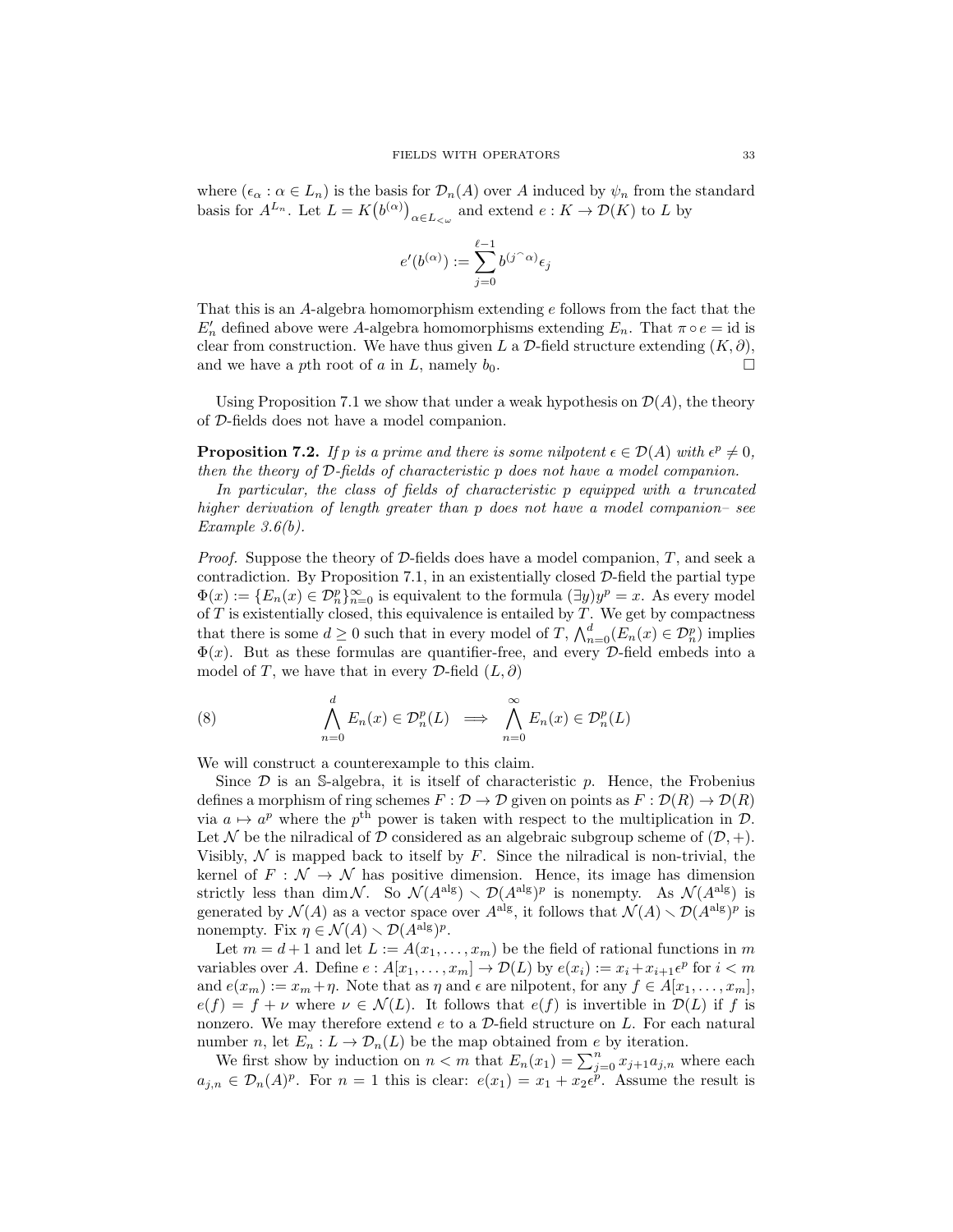where  $(\epsilon_{\alpha}: \alpha \in L_n)$  is the basis for  $\mathcal{D}_n(A)$  over A induced by  $\psi_n$  from the standard basis for  $A^{L_n}$ . Let  $L = K(b^{(\alpha)})_{\alpha \in L_{\leq \omega}}$  and extend  $e : K \to \mathcal{D}(K)$  to L by

$$
e'(b^{(\alpha)}):=\sum_{j=0}^{\ell-1}b^{(j^{\frown}\alpha)}\epsilon_j
$$

That this is an A-algebra homomorphism extending e follows from the fact that the  $E'_n$  defined above were A-algebra homomorphisms extending  $E_n$ . That  $\pi \circ e = id$  is clear from construction. We have thus given L a  $\mathcal D$ -field structure extending  $(K, \partial),$ and we have a pth root of a in L, namely  $b_0$ .

Using Proposition 7.1 we show that under a weak hypothesis on  $\mathcal{D}(A)$ , the theory of D-fields does not have a model companion.

**Proposition 7.2.** If p is a prime and there is some nilpotent  $\epsilon \in \mathcal{D}(A)$  with  $\epsilon^p \neq 0$ , then the theory of D-fields of characteristic p does not have a model companion.

In particular, the class of fields of characteristic p equipped with a truncated higher derivation of length greater than p does not have a model companion– see Example 3.6(b).

*Proof.* Suppose the theory of  $D$ -fields does have a model companion,  $T$ , and seek a contradiction. By Proposition 7.1, in an existentially closed  $\mathcal{D}\text{-field}$  the partial type  $\Phi(x) := \{E_n(x) \in \mathcal{D}_n^p\}_{n=0}^\infty$  is equivalent to the formula  $(\exists y) y^p = x$ . As every model of  $T$  is existentially closed, this equivalence is entailed by  $T$ . We get by compactness that there is some  $d \geq 0$  such that in every model of T,  $\bigwedge_{n=0}^{d} (E_n(x) \in \mathcal{D}_n^p)$  implies  $\Phi(x)$ . But as these formulas are quantifier-free, and every D-field embeds into a model of T, we have that in every D-field  $(L, \partial)$ 

(8) 
$$
\bigwedge_{n=0}^{d} E_n(x) \in \mathcal{D}_n^p(L) \implies \bigwedge_{n=0}^{\infty} E_n(x) \in \mathcal{D}_n^p(L)
$$

We will construct a counterexample to this claim.

Since  $\mathcal D$  is an S-algebra, it is itself of characteristic  $p$ . Hence, the Frobenius defines a morphism of ring schemes  $F : \mathcal{D} \to \mathcal{D}$  given on points as  $F : \mathcal{D}(R) \to \mathcal{D}(R)$ via  $a \mapsto a^p$  where the  $p^{\text{th}}$  power is taken with respect to the multiplication in  $\mathcal{D}$ . Let N be the nilradical of D considered as an algebraic subgroup scheme of  $(D, +)$ . Visibly,  $\mathcal N$  is mapped back to itself by  $F$ . Since the nilradical is non-trivial, the kernel of  $F : \mathcal{N} \to \mathcal{N}$  has positive dimension. Hence, its image has dimension strictly less than dim N. So  $\mathcal{N}(A^{\text{alg}}) \setminus \mathcal{D}(A^{\text{alg}})^p$  is nonempty. As  $\mathcal{N}(A^{\text{alg}})$  is generated by  $\mathcal{N}(A)$  as a vector space over  $A^{alg}$ , it follows that  $\mathcal{N}(A) \setminus \mathcal{D}(A^{alg})^p$  is nonempty. Fix  $\eta \in \mathcal{N}(A) \setminus \mathcal{D}(A^{\text{alg}})^p$ .

Let  $m = d + 1$  and let  $L := A(x_1, \ldots, x_m)$  be the field of rational functions in m variables over A. Define  $e: A[x_1, \ldots, x_m] \to \mathcal{D}(L)$  by  $e(x_i) := x_i + x_{i+1} \epsilon^p$  for  $i < m$ and  $e(x_m) := x_m + \eta$ . Note that as  $\eta$  and  $\epsilon$  are nilpotent, for any  $f \in A[x_1, \ldots, x_m],$  $e(f) = f + \nu$  where  $\nu \in \mathcal{N}(L)$ . It follows that  $e(f)$  is invertible in  $\mathcal{D}(L)$  if f is nonzero. We may therefore extend  $e$  to a  $D$ -field structure on  $L$ . For each natural number n, let  $E_n: L \to \mathcal{D}_n(L)$  be the map obtained from e by iteration.

We first show by induction on  $n < m$  that  $E_n(x_1) = \sum_{j=0}^n x_{j+1} a_{j,n}$  where each  $a_{j,n} \in \mathcal{D}_n(A)^p$ . For  $n=1$  this is clear:  $e(x_1) = x_1 + x_2 e^{\tilde{p}}$ . Assume the result is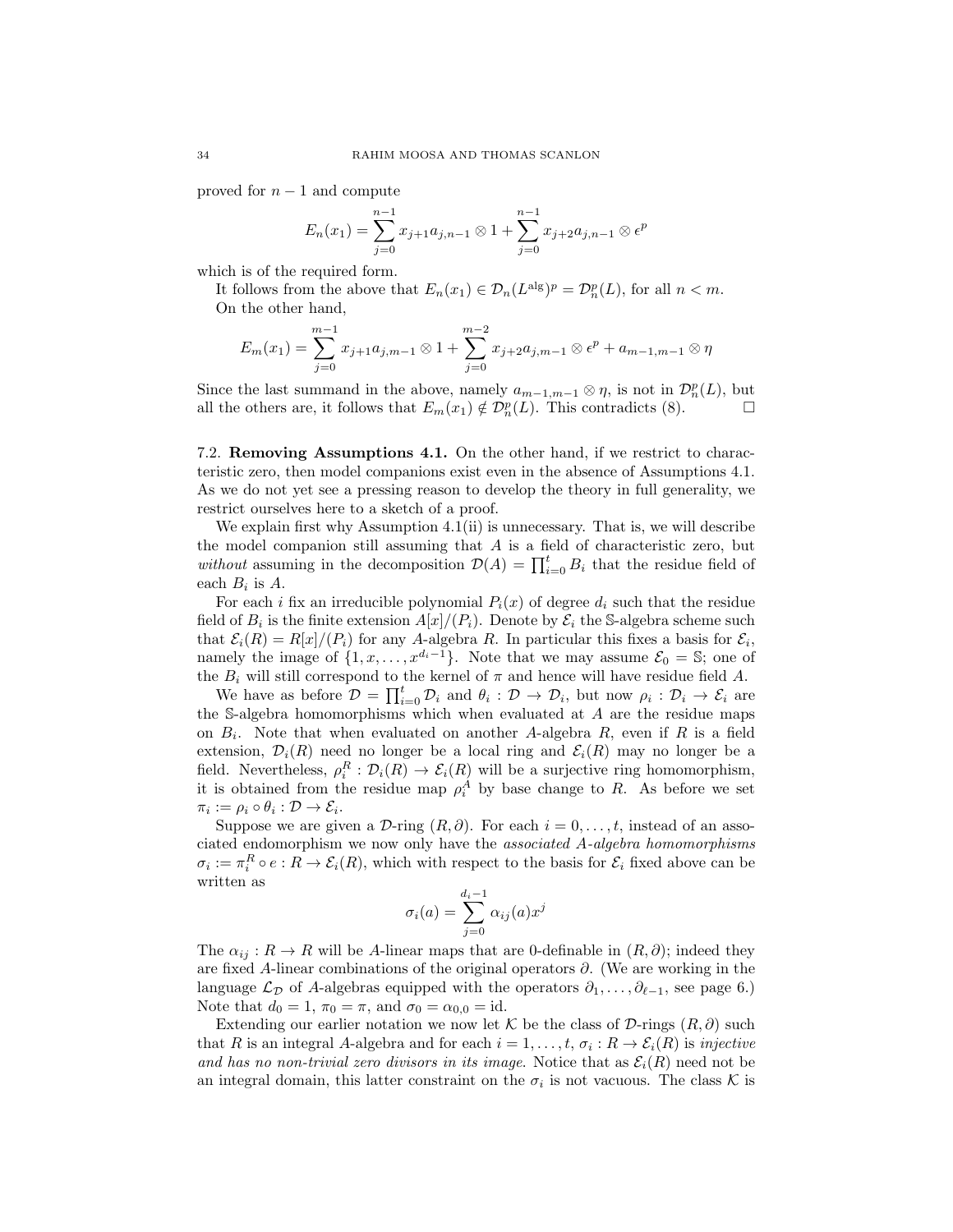proved for  $n-1$  and compute

$$
E_n(x_1) = \sum_{j=0}^{n-1} x_{j+1} a_{j,n-1} \otimes 1 + \sum_{j=0}^{n-1} x_{j+2} a_{j,n-1} \otimes \epsilon^p
$$

which is of the required form.

It follows from the above that  $E_n(x_1) \in \mathcal{D}_n(L^{\text{alg}})^p = \mathcal{D}_n^p(L)$ , for all  $n < m$ . On the other hand,

$$
E_m(x_1) = \sum_{j=0}^{m-1} x_{j+1} a_{j,m-1} \otimes 1 + \sum_{j=0}^{m-2} x_{j+2} a_{j,m-1} \otimes \epsilon^p + a_{m-1,m-1} \otimes \eta
$$

Since the last summand in the above, namely  $a_{m-1,m-1}\otimes\eta$ , is not in  $\mathcal{D}_n^p(L)$ , but all the others are, it follows that  $E_m(x_1) \notin \mathcal{D}_n^p(L)$ . This contradicts (8).

7.2. Removing Assumptions 4.1. On the other hand, if we restrict to characteristic zero, then model companions exist even in the absence of Assumptions 4.1. As we do not yet see a pressing reason to develop the theory in full generality, we restrict ourselves here to a sketch of a proof.

We explain first why Assumption 4.1(ii) is unnecessary. That is, we will describe the model companion still assuming that  $A$  is a field of characteristic zero, but without assuming in the decomposition  $\mathcal{D}(A) = \prod_{i=0}^{t} B_i$  that the residue field of each  $B_i$  is A.

For each i fix an irreducible polynomial  $P_i(x)$  of degree  $d_i$  such that the residue field of  $B_i$  is the finite extension  $A[x]/(P_i)$ . Denote by  $\mathcal{E}_i$  the S-algebra scheme such that  $\mathcal{E}_i(R) = R[x]/(P_i)$  for any A-algebra R. In particular this fixes a basis for  $\mathcal{E}_i$ , namely the image of  $\{1, x, \ldots, x^{d_i-1}\}$ . Note that we may assume  $\mathcal{E}_0 = \mathbb{S}$ ; one of the  $B_i$  will still correspond to the kernel of  $\pi$  and hence will have residue field A.

We have as before  $\mathcal{D} = \prod_{i=0}^t \mathcal{D}_i$  and  $\theta_i : \mathcal{D} \to \mathcal{D}_i$ , but now  $\rho_i : \mathcal{D}_i \to \mathcal{E}_i$  are the S-algebra homomorphisms which when evaluated at A are the residue maps on  $B_i$ . Note that when evaluated on another A-algebra  $R$ , even if  $R$  is a field extension,  $\mathcal{D}_i(R)$  need no longer be a local ring and  $\mathcal{E}_i(R)$  may no longer be a field. Nevertheless,  $\rho_i^R : \mathcal{D}_i(R) \to \mathcal{E}_i(R)$  will be a surjective ring homomorphism, it is obtained from the residue map  $\rho_i^A$  by base change to R. As before we set  $\pi_i := \rho_i \circ \theta_i : \mathcal{D} \to \mathcal{E}_i.$ 

Suppose we are given a D-ring  $(R, \partial)$ . For each  $i = 0, \ldots, t$ , instead of an associated endomorphism we now only have the associated A-algebra homomorphisms  $\sigma_i := \pi_i^R \circ e : R \to \mathcal{E}_i(R)$ , which with respect to the basis for  $\mathcal{E}_i$  fixed above can be written as

$$
\sigma_i(a) = \sum_{j=0}^{d_i-1} \alpha_{ij}(a) x^j
$$

The  $\alpha_{ij}$ :  $R \to R$  will be A-linear maps that are 0-definable in  $(R, \partial)$ ; indeed they are fixed A-linear combinations of the original operators ∂. (We are working in the language  $\mathcal{L}_{\mathcal{D}}$  of A-algebras equipped with the operators  $\partial_1, \ldots, \partial_{\ell-1}$ , see page 6.) Note that  $d_0 = 1$ ,  $\pi_0 = \pi$ , and  $\sigma_0 = \alpha_{0,0} = \text{id}$ .

Extending our earlier notation we now let K be the class of D-rings  $(R, \partial)$  such that R is an integral A-algebra and for each  $i = 1, \ldots, t, \sigma_i : R \to \mathcal{E}_i(R)$  is *injective* and has no non-trivial zero divisors in its image. Notice that as  $\mathcal{E}_i(R)$  need not be an integral domain, this latter constraint on the  $\sigma_i$  is not vacuous. The class K is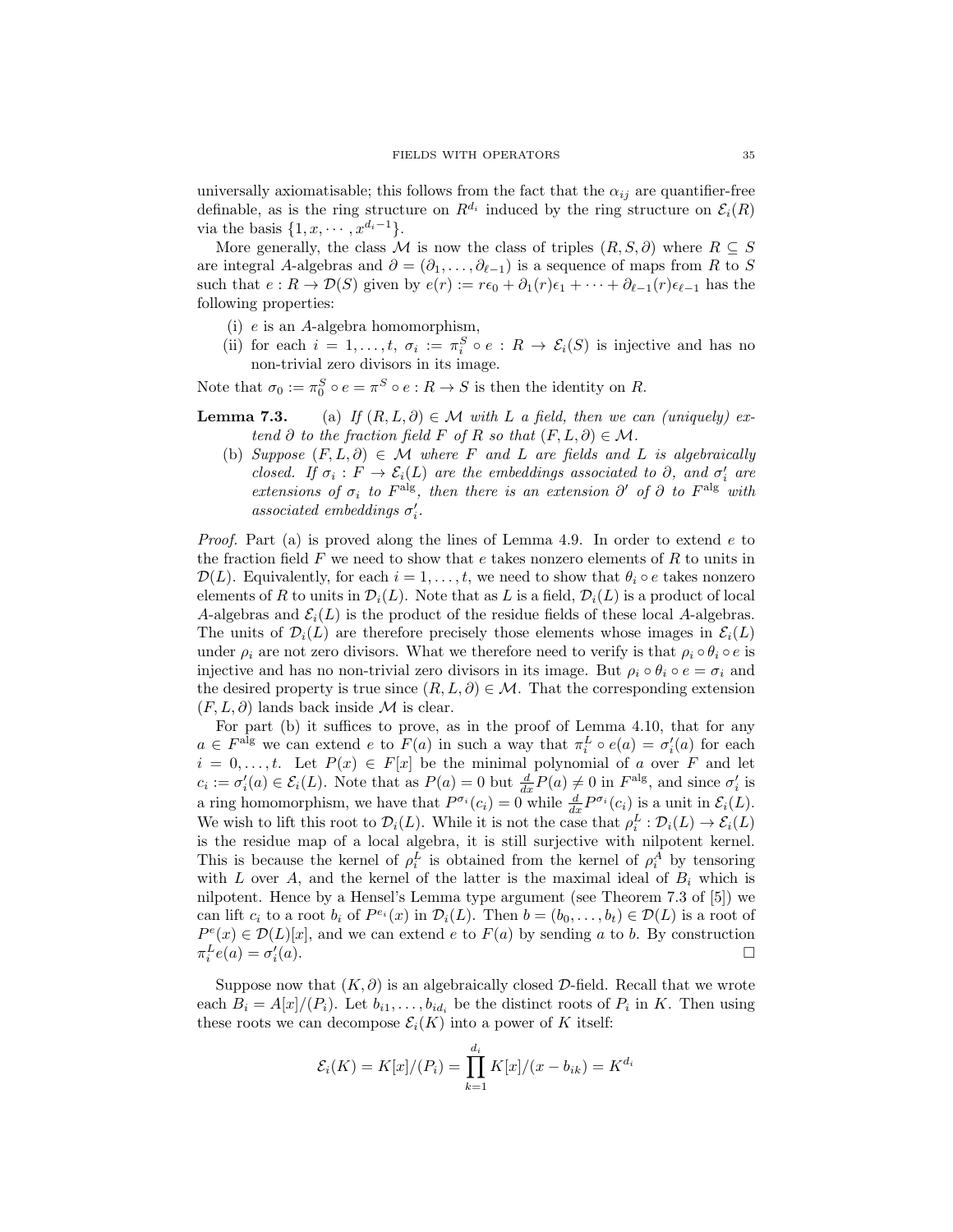universally axiomatisable; this follows from the fact that the  $\alpha_{ij}$  are quantifier-free definable, as is the ring structure on  $R^{d_i}$  induced by the ring structure on  $\mathcal{E}_i(R)$ via the basis  $\{1, x, \cdots, x^{d_i-1}\}.$ 

More generally, the class M is now the class of triples  $(R, S, \partial)$  where  $R \subseteq S$ are integral A-algebras and  $\partial = (\partial_1, \dots, \partial_{\ell-1})$  is a sequence of maps from R to S such that  $e: R \to \mathcal{D}(S)$  given by  $e(r) := r\epsilon_0 + \partial_1(r)\epsilon_1 + \cdots + \partial_{\ell-1}(r)\epsilon_{\ell-1}$  has the following properties:

- (i) e is an A-algebra homomorphism,
- (ii) for each  $i = 1, ..., t$ ,  $\sigma_i := \pi_i^S \circ e : R \to \mathcal{E}_i(S)$  is injective and has no non-trivial zero divisors in its image.

Note that  $\sigma_0 := \pi_0^S \circ e = \pi^S \circ e : R \to S$  is then the identity on R.

**Lemma 7.3.** (a) If  $(R, L, \partial) \in \mathcal{M}$  with L a field, then we can (uniquely) extend ∂ to the fraction field F of R so that  $(F, L, \partial) \in \mathcal{M}$ .

(b) Suppose  $(F, L, \partial) \in \mathcal{M}$  where F and L are fields and L is algebraically closed. If  $\sigma_i : F \to \mathcal{E}_i(L)$  are the embeddings associated to  $\partial$ , and  $\sigma'_i$  are extensions of  $\sigma_i$  to  $F^{\text{alg}}$ , then there is an extension  $\partial'$  of  $\partial$  to  $F^{\text{alg}}$  with  $associated\ embedding$ s  $\sigma'_i$ .

*Proof.* Part (a) is proved along the lines of Lemma 4.9. In order to extend  $e$  to the fraction field  $F$  we need to show that  $e$  takes nonzero elements of  $R$  to units in  $\mathcal{D}(L)$ . Equivalently, for each  $i = 1, \ldots, t$ , we need to show that  $\theta_i \circ e$  takes nonzero elements of R to units in  $\mathcal{D}_i(L)$ . Note that as L is a field,  $\mathcal{D}_i(L)$  is a product of local A-algebras and  $\mathcal{E}_i(L)$  is the product of the residue fields of these local A-algebras. The units of  $\mathcal{D}_i(L)$  are therefore precisely those elements whose images in  $\mathcal{E}_i(L)$ under  $\rho_i$  are not zero divisors. What we therefore need to verify is that  $\rho_i \circ \theta_i \circ e$  is injective and has no non-trivial zero divisors in its image. But  $\rho_i \circ \theta_i \circ e = \sigma_i$  and the desired property is true since  $(R, L, \partial) \in \mathcal{M}$ . That the corresponding extension  $(F, L, \partial)$  lands back inside M is clear.

For part (b) it suffices to prove, as in the proof of Lemma 4.10, that for any  $a \in F^{\text{alg}}$  we can extend e to  $F(a)$  in such a way that  $\pi_i^L \circ e(a) = \sigma_i'(a)$  for each  $i = 0, \ldots, t$ . Let  $P(x) \in F[x]$  be the minimal polynomial of a over F and let  $c_i := \sigma'_i(a) \in \mathcal{E}_i(L)$ . Note that as  $P(a) = 0$  but  $\frac{d}{dx}P(a) \neq 0$  in  $F^{\text{alg}}$ , and since  $\sigma'_i$  is a ring homomorphism, we have that  $P^{\sigma_i}(c_i) = 0$  while  $\frac{d}{dx} P^{\sigma_i}(c_i)$  is a unit in  $\mathcal{E}_i(L)$ . We wish to lift this root to  $\mathcal{D}_i(L)$ . While it is not the case that  $\rho_i^L : \mathcal{D}_i(L) \to \mathcal{E}_i(L)$ is the residue map of a local algebra, it is still surjective with nilpotent kernel. This is because the kernel of  $\rho_i^L$  is obtained from the kernel of  $\rho_i^A$  by tensoring with L over A, and the kernel of the latter is the maximal ideal of  $B_i$  which is nilpotent. Hence by a Hensel's Lemma type argument (see Theorem 7.3 of [5]) we can lift  $c_i$  to a root  $b_i$  of  $P^{e_i}(x)$  in  $\mathcal{D}_i(L)$ . Then  $b = (b_0, \ldots, b_t) \in \mathcal{D}(L)$  is a root of  $P^{e}(x) \in \mathcal{D}(L)[x]$ , and we can extend e to  $F(a)$  by sending a to b. By construction  $\pi_i^L e(a) = \sigma_i^{\prime}$  $(a).$ 

Suppose now that  $(K, \partial)$  is an algebraically closed  $\mathcal{D}\text{-field}$ . Recall that we wrote each  $B_i = A[x]/(P_i)$ . Let  $b_{i1}, \ldots, b_{id_i}$  be the distinct roots of  $P_i$  in K. Then using these roots we can decompose  $\mathcal{E}_i(K)$  into a power of K itself:

$$
\mathcal{E}_i(K) = K[x]/(P_i) = \prod_{k=1}^{d_i} K[x]/(x - b_{ik}) = K^{d_i}
$$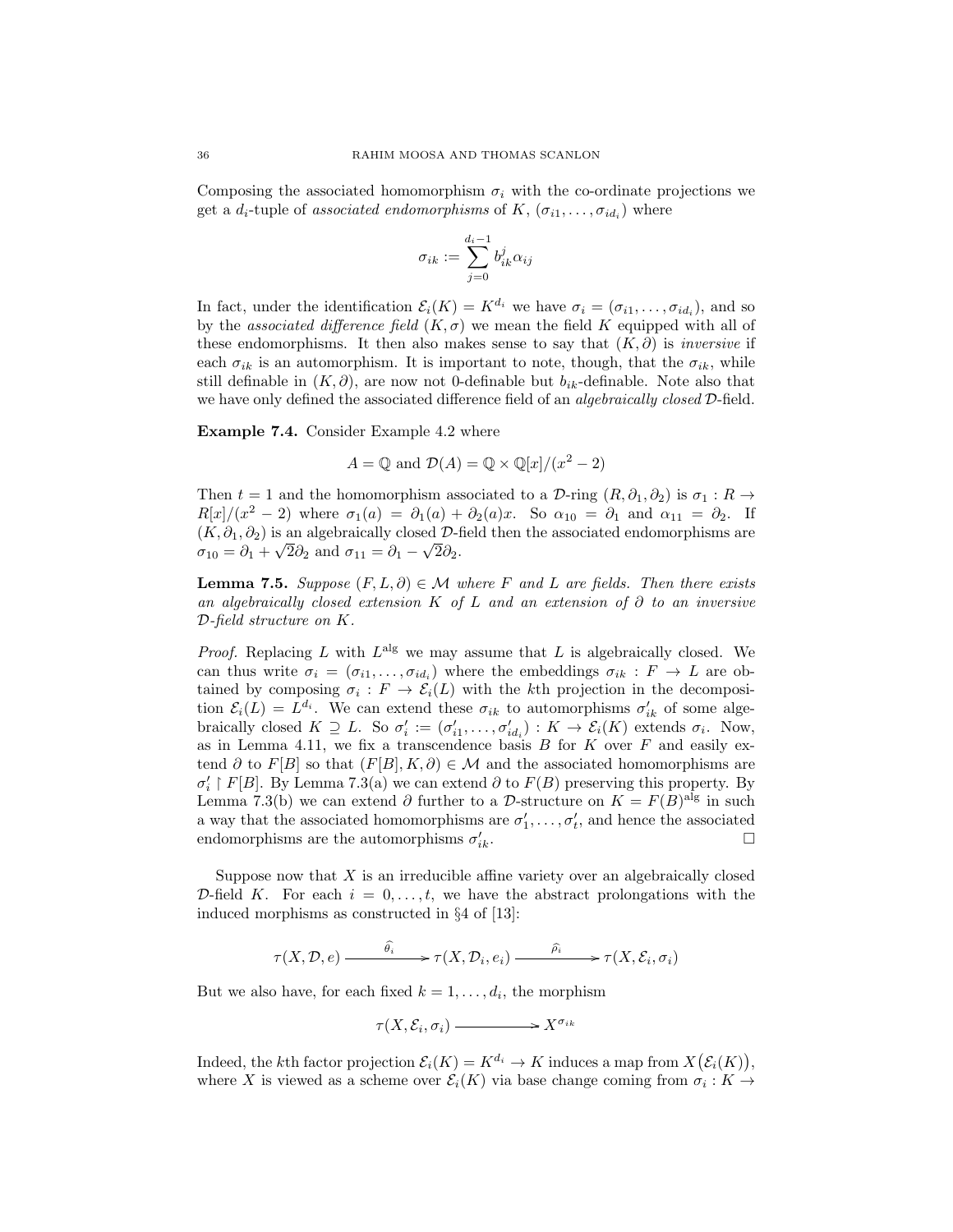Composing the associated homomorphism  $\sigma_i$  with the co-ordinate projections we get a  $d_i$ -tuple of associated endomorphisms of  $K, (\sigma_{i1}, \ldots, \sigma_{id_i})$  where

$$
\sigma_{ik} := \sum_{j=0}^{d_i-1} b_{ik}^j \alpha_{ij}
$$

In fact, under the identification  $\mathcal{E}_i(K) = K^{d_i}$  we have  $\sigma_i = (\sigma_{i1}, \dots, \sigma_{id_i})$ , and so by the associated difference field  $(K, \sigma)$  we mean the field K equipped with all of these endomorphisms. It then also makes sense to say that  $(K, \partial)$  is *inversive* if each  $\sigma_{ik}$  is an automorphism. It is important to note, though, that the  $\sigma_{ik}$ , while still definable in  $(K, \partial)$ , are now not 0-definable but  $b_{ik}$ -definable. Note also that we have only defined the associated difference field of an *algebraically closed*  $D$ -field.

Example 7.4. Consider Example 4.2 where

$$
A = \mathbb{Q}
$$
 and  $\mathcal{D}(A) = \mathbb{Q} \times \mathbb{Q}[x]/(x^2 - 2)$ 

Then  $t = 1$  and the homomorphism associated to a D-ring  $(R, \partial_1, \partial_2)$  is  $\sigma_1 : R \to$  $R[x]/(x^2-2)$  where  $\sigma_1(a) = \partial_1(a) + \partial_2(a)x$ . So  $\alpha_{10} = \partial_1$  and  $\alpha_{11} = \partial_2$ . If  $(K, \partial_1, \partial_2)$  is an algebraically closed  $\mathcal{D}$ -field then the associated endomorphisms are  $\sigma_{10} = \partial_1 + \sqrt{2\partial_2}$  and  $\sigma_{11} = \partial_1 - \sqrt{2\partial_2}$ .

**Lemma 7.5.** Suppose  $(F, L, \partial) \in \mathcal{M}$  where F and L are fields. Then there exists an algebraically closed extension K of L and an extension of  $\partial$  to an inversive D-field structure on K.

*Proof.* Replacing L with  $L^{alg}$  we may assume that L is algebraically closed. We can thus write  $\sigma_i = (\sigma_{i1}, \ldots, \sigma_{id_i})$  where the embeddings  $\sigma_{ik} : F \to L$  are obtained by composing  $\sigma_i : F \to \mathcal{E}_i(L)$  with the kth projection in the decomposition  $\mathcal{E}_i(L) = L^{d_i}$ . We can extend these  $\sigma_{ik}$  to automorphisms  $\sigma'_{ik}$  of some algebraically closed  $K \supseteq L$ . So  $\sigma'_i := (\sigma'_{i1}, \ldots, \sigma'_{id_i}) : K \to \mathcal{E}_i(K)$  extends  $\sigma_i$ . Now, as in Lemma 4.11, we fix a transcendence basis  $B$  for  $K$  over  $F$  and easily extend ∂ to  $F[B]$  so that  $(F[B], K, \partial) \in \mathcal{M}$  and the associated homomorphisms are  $\sigma'_{i}$  |  $F[B]$ . By Lemma 7.3(a) we can extend  $\partial$  to  $F(B)$  preserving this property. By Lemma 7.3(b) we can extend  $\partial$  further to a D-structure on  $K = F(B)^{\text{alg}}$  in such a way that the associated homomorphisms are  $\sigma'_1, \ldots, \sigma'_t$ , and hence the associated endomorphisms are the automorphisms  $\sigma'_{i}$  $\prod_{ik}$ .

Suppose now that  $X$  is an irreducible affine variety over an algebraically closed D-field K. For each  $i = 0, \ldots, t$ , we have the abstract prolongations with the induced morphisms as constructed in §4 of [13]:

$$
\tau(X, \mathcal{D}, e) \xrightarrow{\widehat{\theta_i}} \tau(X, \mathcal{D}_i, e_i) \xrightarrow{\widehat{\rho_i}} \tau(X, \mathcal{E}_i, \sigma_i)
$$

But we also have, for each fixed  $k = 1, \ldots, d_i$ , the morphism

$$
\tau(X, \mathcal{E}_i, \sigma_i) \longrightarrow X^{\sigma_{ik}}
$$

Indeed, the kth factor projection  $\mathcal{E}_i(K) = K^{d_i} \to K$  induces a map from  $X(\mathcal{E}_i(K))$ , where X is viewed as a scheme over  $\mathcal{E}_i(K)$  via base change coming from  $\sigma_i: K \to$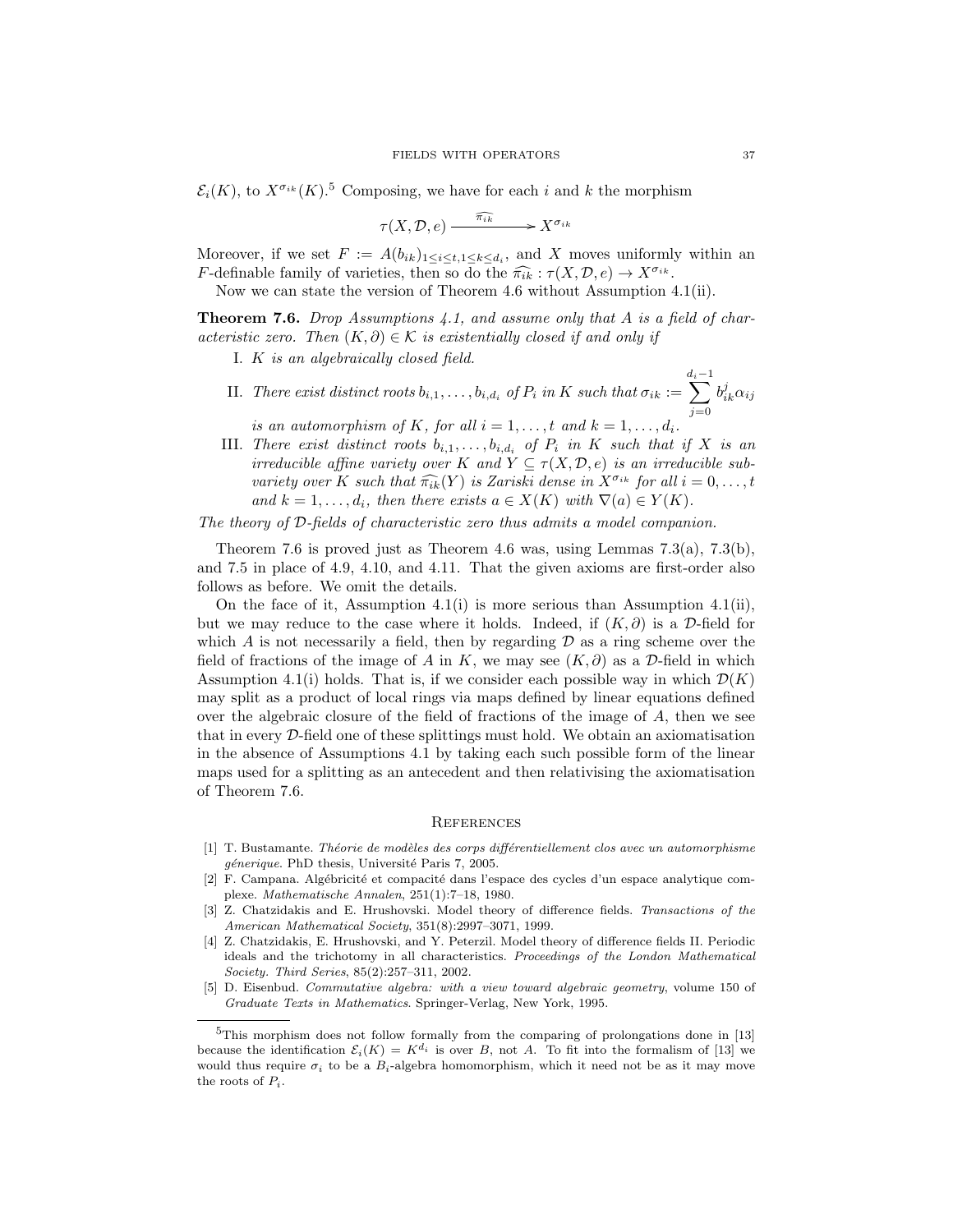$\mathcal{E}_i(K)$ , to  $X^{\sigma_{ik}}(K)$ .<sup>5</sup> Composing, we have for each i and k the morphism

$$
\tau(X, \mathcal{D}, e) \xrightarrow{\widehat{\pi_{ik}}} X^{\sigma_{ik}}
$$

Moreover, if we set  $F := A(b_{ik})_{1 \leq i \leq t, 1 \leq k \leq d_i}$ , and X moves uniformly within an *F*-definable family of varieties, then so do the  $\widehat{\pi_{ik}} : \tau(X, \mathcal{D}, e) \to X^{\sigma_{ik}}$ .

Now we can state the version of Theorem 4.6 without Assumption 4.1(ii).

**Theorem 7.6.** Drop Assumptions 4.1, and assume only that A is a field of characteristic zero. Then  $(K, \partial) \in \mathcal{K}$  is existentially closed if and only if

I. K is an algebraically closed field.

II. There exist distinct roots  $b_{i,1}, \ldots, b_{i,d_i}$  of  $P_i$  in K such that  $\sigma_{ik} :=$  $\sum_{i=1}^{d_i-1}$  $j=0$  $b_{ik}^j \alpha_{ij}$ 

is an automorphism of K, for all  $i = 1, \ldots, t$  and  $k = 1, \ldots, d_i$ .

III. There exist distinct roots  $b_{i,1}, \ldots, b_{i,d_i}$  of  $P_i$  in K such that if X is an irreducible affine variety over K and  $Y \subseteq \tau(X, \mathcal{D}, e)$  is an irreducible subvariety over K such that  $\widehat{\pi_{ik}}(Y)$  is Zariski dense in  $X^{\sigma_{ik}}$  for all  $i = 0, \ldots, t$ and  $k = 1, \ldots, d_i$ , then there exists  $a \in X(K)$  with  $\nabla(a) \in Y(K)$ .

The theory of D-fields of characteristic zero thus admits a model companion.

Theorem 7.6 is proved just as Theorem 4.6 was, using Lemmas  $7.3(a)$ ,  $7.3(b)$ , and 7.5 in place of 4.9, 4.10, and 4.11. That the given axioms are first-order also follows as before. We omit the details.

On the face of it, Assumption 4.1(i) is more serious than Assumption 4.1(ii), but we may reduce to the case where it holds. Indeed, if  $(K, \partial)$  is a D-field for which  $A$  is not necessarily a field, then by regarding  $D$  as a ring scheme over the field of fractions of the image of A in K, we may see  $(K, \partial)$  as a D-field in which Assumption 4.1(i) holds. That is, if we consider each possible way in which  $\mathcal{D}(K)$ may split as a product of local rings via maps defined by linear equations defined over the algebraic closure of the field of fractions of the image of  $A$ , then we see that in every D-field one of these splittings must hold. We obtain an axiomatisation in the absence of Assumptions 4.1 by taking each such possible form of the linear maps used for a splitting as an antecedent and then relativising the axiomatisation of Theorem 7.6.

#### **REFERENCES**

- [1] T. Bustamante. Théorie de modèles des corps différentiellement clos avec un automorphisme génerique. PhD thesis, Université Paris 7, 2005.
- [2] F. Campana. Algébricité et compacité dans l'espace des cycles d'un espace analytique complexe. Mathematische Annalen, 251(1):7–18, 1980.
- [3] Z. Chatzidakis and E. Hrushovski. Model theory of difference fields. Transactions of the American Mathematical Society, 351(8):2997–3071, 1999.
- [4] Z. Chatzidakis, E. Hrushovski, and Y. Peterzil. Model theory of difference fields II. Periodic ideals and the trichotomy in all characteristics. Proceedings of the London Mathematical Society. Third Series, 85(2):257–311, 2002.
- [5] D. Eisenbud. Commutative algebra: with a view toward algebraic geometry, volume 150 of Graduate Texts in Mathematics. Springer-Verlag, New York, 1995.

<sup>&</sup>lt;sup>5</sup>This morphism does not follow formally from the comparing of prolongations done in [13] because the identification  $\mathcal{E}_i(K) = K^{d_i}$  is over B, not A. To fit into the formalism of [13] we would thus require  $\sigma_i$  to be a  $B_i$ -algebra homomorphism, which it need not be as it may move the roots of  $P_i$ .